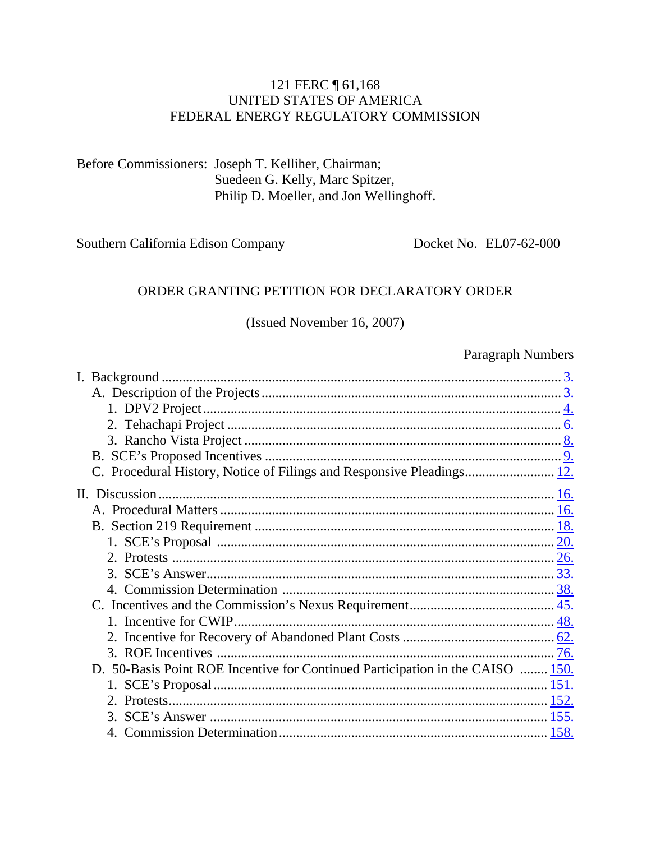#### 121 FERC 161,168 UNITED STATES OF AMERICA FEDERAL ENERGY REGULATORY COMMISSION

Before Commissioners: Joseph T. Kelliher, Chairman; Suedeen G. Kelly, Marc Spitzer, Philip D. Moeller, and Jon Wellinghoff.

Southern California Edison Company

Docket No. EL07-62-000

#### ORDER GRANTING PETITION FOR DECLARATORY ORDER

#### (Issued November 16, 2007)

#### **Paragraph Numbers**

| I. Background.                                                                 |      |
|--------------------------------------------------------------------------------|------|
|                                                                                |      |
|                                                                                |      |
|                                                                                |      |
|                                                                                |      |
|                                                                                |      |
|                                                                                |      |
|                                                                                |      |
|                                                                                |      |
|                                                                                |      |
|                                                                                |      |
|                                                                                |      |
|                                                                                |      |
|                                                                                |      |
|                                                                                |      |
|                                                                                |      |
|                                                                                |      |
|                                                                                |      |
|                                                                                |      |
| D. 50-Basis Point ROE Incentive for Continued Participation in the CAISO  150. |      |
|                                                                                |      |
|                                                                                |      |
|                                                                                |      |
|                                                                                | 158. |
|                                                                                |      |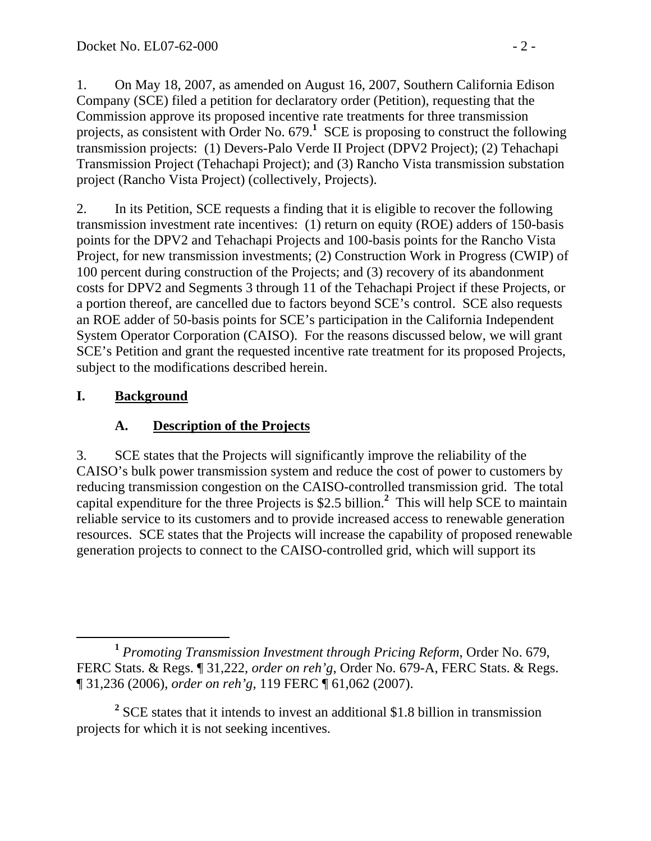1. On May 18, 2007, as amended on August 16, 2007, Southern California Edison Company (SCE) filed a petition for declaratory order (Petition), requesting that the Commission approve its proposed incentive rate treatments for three transmission projects, as consistent with Order No.  $679$ <sup>1</sup> SCE is proposing to construct the following transmission projects: (1) Devers-Palo Verde II Project (DPV2 Project); (2) Tehachapi Transmission Project (Tehachapi Project); and (3) Rancho Vista transmission substation project (Rancho Vista Project) (collectively, Projects).

2. In its Petition, SCE requests a finding that it is eligible to recover the following transmission investment rate incentives: (1) return on equity (ROE) adders of 150-basis points for the DPV2 and Tehachapi Projects and 100-basis points for the Rancho Vista Project, for new transmission investments; (2) Construction Work in Progress (CWIP) of 100 percent during construction of the Projects; and (3) recovery of its abandonment costs for DPV2 and Segments 3 through 11 of the Tehachapi Project if these Projects, or a portion thereof, are cancelled due to factors beyond SCE's control. SCE also requests an ROE adder of 50-basis points for SCE's participation in the California Independent System Operator Corporation (CAISO). For the reasons discussed below, we will grant SCE's Petition and grant the requested incentive rate treatment for its proposed Projects, subject to the modifications described herein.

## **I. Background**

# **A. Description of the Projects**

3. SCE states that the Projects will significantly improve the reliability of the CAISO's bulk power transmission system and reduce the cost of power to customers by reducing transmission congestion on the CAISO-controlled transmission grid. The total capital expenditure for the three Projects is \$2.5 billion.**<sup>2</sup>** This will help SCE to maintain reliable service to its customers and to provide increased access to renewable generation resources. SCE states that the Projects will increase the capability of proposed renewable generation projects to connect to the CAISO-controlled grid, which will support its

**<sup>1</sup>** *Promoting Transmission Investment through Pricing Reform*, Order No. 679, FERC Stats. & Regs. ¶ 31,222, *order on reh'g*, Order No. 679-A, FERC Stats. & Regs. ¶ 31,236 (2006), *order on reh'g*, 119 FERC ¶ 61,062 (2007).

<sup>&</sup>lt;sup>2</sup> SCE states that it intends to invest an additional \$1.8 billion in transmission projects for which it is not seeking incentives.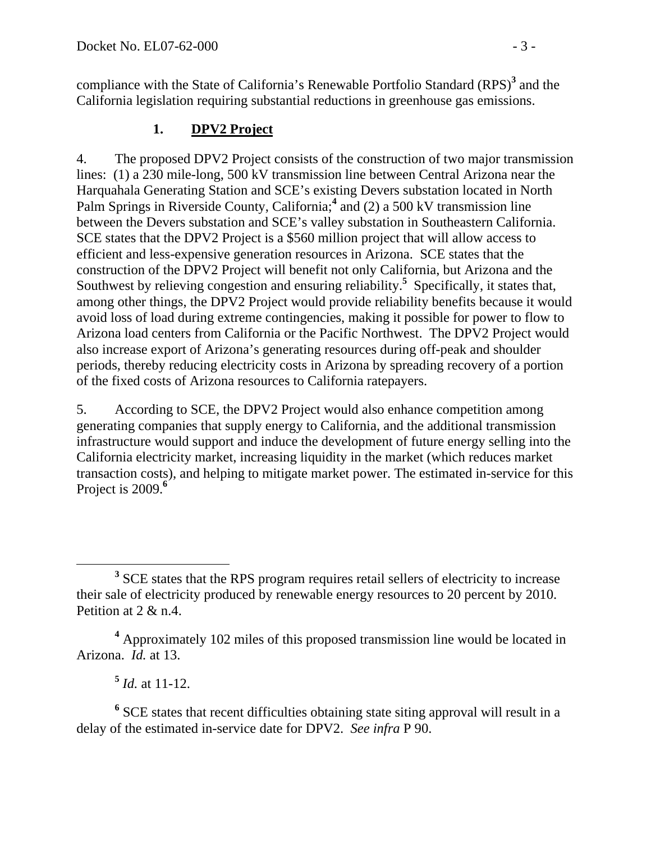compliance with the State of California's Renewable Portfolio Standard (RPS)<sup>3</sup> and the California legislation requiring substantial reductions in greenhouse gas emissions.

### **1. DPV2 Project**

4. The proposed DPV2 Project consists of the construction of two major transmission lines: (1) a 230 mile-long, 500 kV transmission line between Central Arizona near the Harquahala Generating Station and SCE's existing Devers substation located in North Palm Springs in Riverside County, California;<sup>4</sup> and (2) a 500 kV transmission line between the Devers substation and SCE's valley substation in Southeastern California. SCE states that the DPV2 Project is a \$560 million project that will allow access to efficient and less-expensive generation resources in Arizona. SCE states that the construction of the DPV2 Project will benefit not only California, but Arizona and the Southwest by relieving congestion and ensuring reliability.<sup>5</sup> Specifically, it states that, among other things, the DPV2 Project would provide reliability benefits because it would avoid loss of load during extreme contingencies, making it possible for power to flow to Arizona load centers from California or the Pacific Northwest. The DPV2 Project would also increase export of Arizona's generating resources during off-peak and shoulder periods, thereby reducing electricity costs in Arizona by spreading recovery of a portion of the fixed costs of Arizona resources to California ratepayers.

5. According to SCE, the DPV2 Project would also enhance competition among generating companies that supply energy to California, and the additional transmission infrastructure would support and induce the development of future energy selling into the California electricity market, increasing liquidity in the market (which reduces market transaction costs), and helping to mitigate market power. The estimated in-service for this Project is 2009.**<sup>6</sup>**

 $\frac{5}{1}$  *Id.* at 11-12.

<sup>6</sup> SCE states that recent difficulties obtaining state siting approval will result in a delay of the estimated in-service date for DPV2. *See infra* P 90.

**<sup>3</sup>** <sup>3</sup> SCE states that the RPS program requires retail sellers of electricity to increase their sale of electricity produced by renewable energy resources to 20 percent by 2010. Petition at 2 & n.4.

**<sup>4</sup>** Approximately 102 miles of this proposed transmission line would be located in Arizona. *Id.* at 13.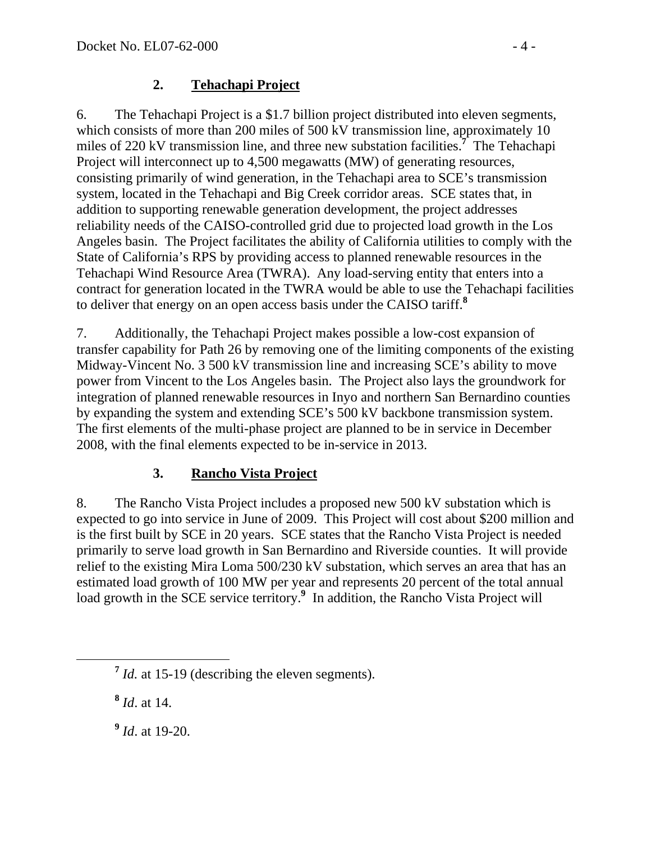#### **2. Tehachapi Project**

6. The Tehachapi Project is a \$1.7 billion project distributed into eleven segments, which consists of more than 200 miles of 500 kV transmission line, approximately 10 miles of 220 kV transmission line, and three new substation facilities.**<sup>7</sup>** The Tehachapi Project will interconnect up to 4,500 megawatts (MW) of generating resources, consisting primarily of wind generation, in the Tehachapi area to SCE's transmission system, located in the Tehachapi and Big Creek corridor areas. SCE states that, in addition to supporting renewable generation development, the project addresses reliability needs of the CAISO-controlled grid due to projected load growth in the Los Angeles basin. The Project facilitates the ability of California utilities to comply with the State of California's RPS by providing access to planned renewable resources in the Tehachapi Wind Resource Area (TWRA). Any load-serving entity that enters into a contract for generation located in the TWRA would be able to use the Tehachapi facilities to deliver that energy on an open access basis under the CAISO tariff.**<sup>8</sup>**

7. Additionally, the Tehachapi Project makes possible a low-cost expansion of transfer capability for Path 26 by removing one of the limiting components of the existing Midway-Vincent No. 3 500 kV transmission line and increasing SCE's ability to move power from Vincent to the Los Angeles basin. The Project also lays the groundwork for integration of planned renewable resources in Inyo and northern San Bernardino counties by expanding the system and extending SCE's 500 kV backbone transmission system. The first elements of the multi-phase project are planned to be in service in December 2008, with the final elements expected to be in-service in 2013.

### **3. Rancho Vista Project**

8. The Rancho Vista Project includes a proposed new 500 kV substation which is expected to go into service in June of 2009. This Project will cost about \$200 million and is the first built by SCE in 20 years. SCE states that the Rancho Vista Project is needed primarily to serve load growth in San Bernardino and Riverside counties. It will provide relief to the existing Mira Loma 500/230 kV substation, which serves an area that has an estimated load growth of 100 MW per year and represents 20 percent of the total annual load growth in the SCE service territory.<sup>9</sup> In addition, the Rancho Vista Project will

**<sup>8</sup>** *Id*. at 14.

**<sup>9</sup>** *Id*. at 19-20.

**<sup>7</sup>** *Id.* at 15-19 (describing the eleven segments).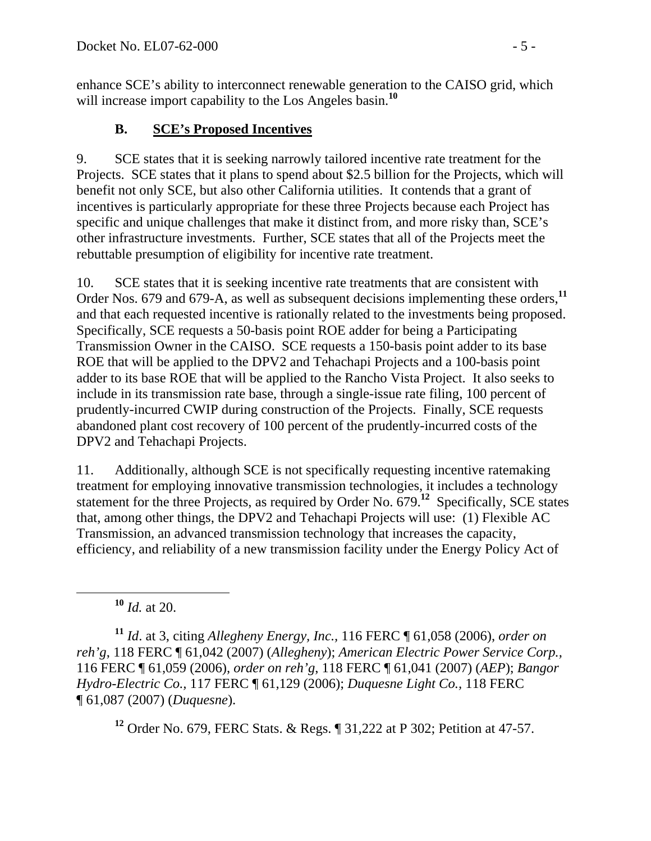enhance SCE's ability to interconnect renewable generation to the CAISO grid, which will increase import capability to the Los Angeles basin.<sup>10</sup>

## **B. SCE's Proposed Incentives**

9. SCE states that it is seeking narrowly tailored incentive rate treatment for the Projects. SCE states that it plans to spend about \$2.5 billion for the Projects, which will benefit not only SCE, but also other California utilities. It contends that a grant of incentives is particularly appropriate for these three Projects because each Project has specific and unique challenges that make it distinct from, and more risky than, SCE's other infrastructure investments. Further, SCE states that all of the Projects meet the rebuttable presumption of eligibility for incentive rate treatment.

10. SCE states that it is seeking incentive rate treatments that are consistent with Order Nos. 679 and 679-A, as well as subsequent decisions implementing these orders,**<sup>11</sup>** and that each requested incentive is rationally related to the investments being proposed. Specifically, SCE requests a 50-basis point ROE adder for being a Participating Transmission Owner in the CAISO. SCE requests a 150-basis point adder to its base ROE that will be applied to the DPV2 and Tehachapi Projects and a 100-basis point adder to its base ROE that will be applied to the Rancho Vista Project. It also seeks to include in its transmission rate base, through a single-issue rate filing, 100 percent of prudently-incurred CWIP during construction of the Projects. Finally, SCE requests abandoned plant cost recovery of 100 percent of the prudently-incurred costs of the DPV2 and Tehachapi Projects.

11. Additionally, although SCE is not specifically requesting incentive ratemaking treatment for employing innovative transmission technologies, it includes a technology statement for the three Projects, as required by Order No. 679.**<sup>12</sup>** Specifically, SCE states that, among other things, the DPV2 and Tehachapi Projects will use: (1) Flexible AC Transmission, an advanced transmission technology that increases the capacity, efficiency, and reliability of a new transmission facility under the Energy Policy Act of

**<sup>10</sup>** *Id.* at 20.

**<sup>11</sup>** *Id*. at 3, citing *Allegheny Energy, Inc.,* 116 FERC ¶ 61,058 (2006), *order on reh'g*, 118 FERC ¶ 61,042 (2007) (*Allegheny*); *American Electric Power Service Corp.,* 116 FERC ¶ 61,059 (2006), *order on reh'g*, 118 FERC ¶ 61,041 (2007) (*AEP*); *Bangor Hydro-Electric Co.,* 117 FERC ¶ 61,129 (2006); *Duquesne Light Co.,* 118 FERC ¶ 61,087 (2007) (*Duquesne*).

**<sup>12</sup>** Order No. 679, FERC Stats. & Regs. ¶ 31,222 at P 302; Petition at 47-57.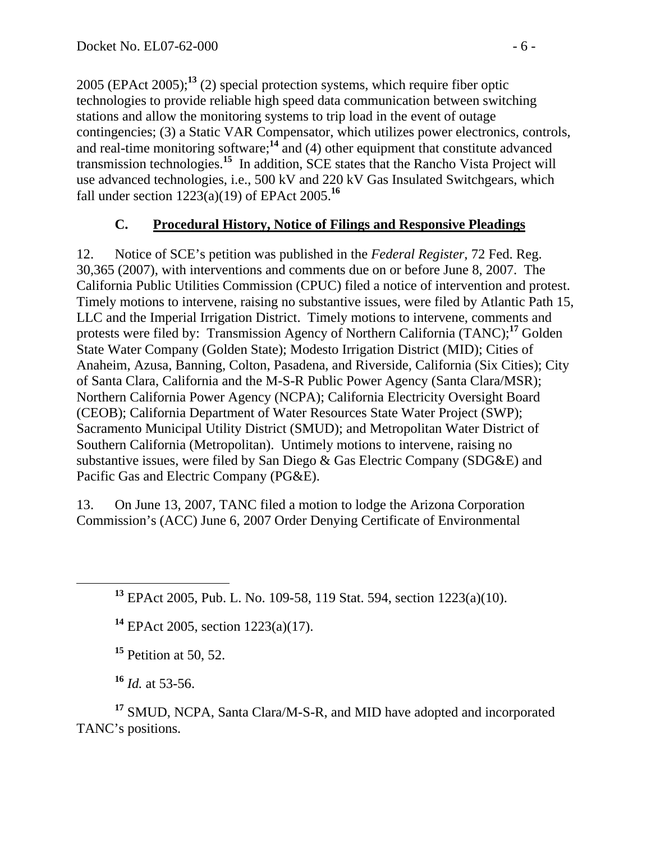2005 (EPAct 2005);**<sup>13</sup>** (2) special protection systems, which require fiber optic technologies to provide reliable high speed data communication between switching stations and allow the monitoring systems to trip load in the event of outage contingencies; (3) a Static VAR Compensator, which utilizes power electronics, controls, and real-time monitoring software;**<sup>14</sup>** and (4) other equipment that constitute advanced transmission technologies.**<sup>15</sup>** In addition, SCE states that the Rancho Vista Project will use advanced technologies, i.e., 500 kV and 220 kV Gas Insulated Switchgears, which fall under section 1223(a)(19) of EPAct 2005.**<sup>16</sup>**

### **C. Procedural History, Notice of Filings and Responsive Pleadings**

12. Notice of SCE's petition was published in the *Federal Register*, 72 Fed. Reg. 30,365 (2007), with interventions and comments due on or before June 8, 2007. The California Public Utilities Commission (CPUC) filed a notice of intervention and protest. Timely motions to intervene, raising no substantive issues, were filed by Atlantic Path 15, LLC and the Imperial Irrigation District. Timely motions to intervene, comments and protests were filed by: Transmission Agency of Northern California (TANC);**<sup>17</sup>** Golden State Water Company (Golden State); Modesto Irrigation District (MID); Cities of Anaheim, Azusa, Banning, Colton, Pasadena, and Riverside, California (Six Cities); City of Santa Clara, California and the M-S-R Public Power Agency (Santa Clara/MSR); Northern California Power Agency (NCPA); California Electricity Oversight Board (CEOB); California Department of Water Resources State Water Project (SWP); Sacramento Municipal Utility District (SMUD); and Metropolitan Water District of Southern California (Metropolitan). Untimely motions to intervene, raising no substantive issues, were filed by San Diego & Gas Electric Company (SDG&E) and Pacific Gas and Electric Company (PG&E).

13. On June 13, 2007, TANC filed a motion to lodge the Arizona Corporation Commission's (ACC) June 6, 2007 Order Denying Certificate of Environmental

**<sup>14</sup>** EPAct 2005, section 1223(a)(17).

**<sup>15</sup>** Petition at 50, 52.

**<sup>16</sup>** *Id.* at 53-56.

**<sup>17</sup>** SMUD, NCPA, Santa Clara/M-S-R, and MID have adopted and incorporated TANC's positions.

**<sup>13</sup>** EPAct 2005, Pub. L. No. 109-58, 119 Stat. 594, section 1223(a)(10).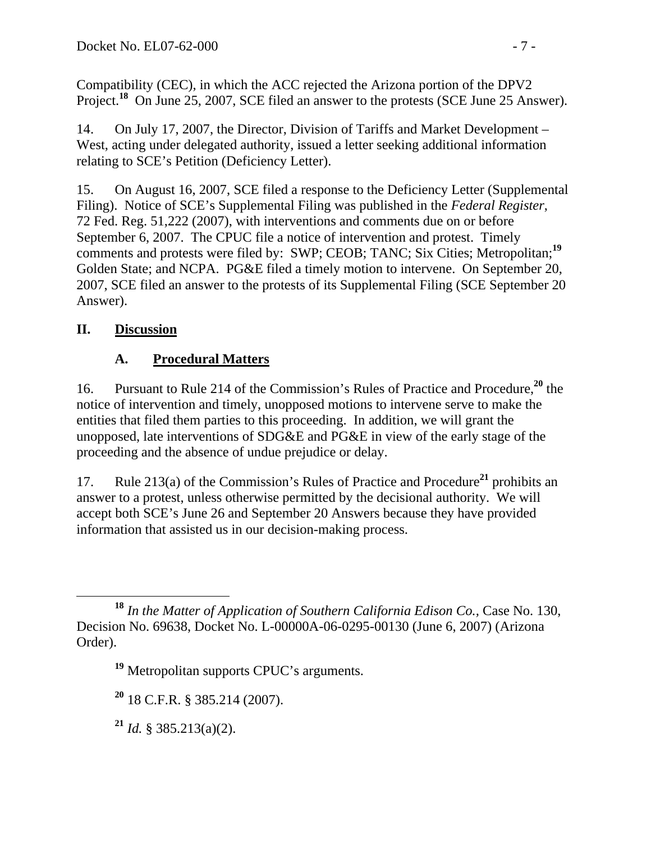Compatibility (CEC), in which the ACC rejected the Arizona portion of the DPV2 Project.**<sup>18</sup>** On June 25, 2007, SCE filed an answer to the protests (SCE June 25 Answer).

14. On July 17, 2007, the Director, Division of Tariffs and Market Development – West, acting under delegated authority, issued a letter seeking additional information relating to SCE's Petition (Deficiency Letter).

15. On August 16, 2007, SCE filed a response to the Deficiency Letter (Supplemental Filing). Notice of SCE's Supplemental Filing was published in the *Federal Register*, 72 Fed. Reg. 51,222 (2007), with interventions and comments due on or before September 6, 2007. The CPUC file a notice of intervention and protest. Timely comments and protests were filed by: SWP; CEOB; TANC; Six Cities; Metropolitan;**<sup>19</sup>** Golden State; and NCPA. PG&E filed a timely motion to intervene. On September 20, 2007, SCE filed an answer to the protests of its Supplemental Filing (SCE September 20 Answer).

## **II. Discussion**

# **A. Procedural Matters**

16. Pursuant to Rule 214 of the Commission's Rules of Practice and Procedure,**<sup>20</sup>** the notice of intervention and timely, unopposed motions to intervene serve to make the entities that filed them parties to this proceeding. In addition, we will grant the unopposed, late interventions of SDG&E and PG&E in view of the early stage of the proceeding and the absence of undue prejudice or delay.

17. Rule 213(a) of the Commission's Rules of Practice and Procedure**<sup>21</sup>** prohibits an answer to a protest, unless otherwise permitted by the decisional authority. We will accept both SCE's June 26 and September 20 Answers because they have provided information that assisted us in our decision-making process.

**<sup>18</sup>** *In the Matter of Application of Southern California Edison Co.,* Case No. 130, Decision No. 69638, Docket No. L-00000A-06-0295-00130 (June 6, 2007) (Arizona Order).

**<sup>19</sup>** Metropolitan supports CPUC's arguments.

**<sup>20</sup>** 18 C.F.R. § 385.214 (2007).

**<sup>21</sup>** *Id.* § 385.213(a)(2).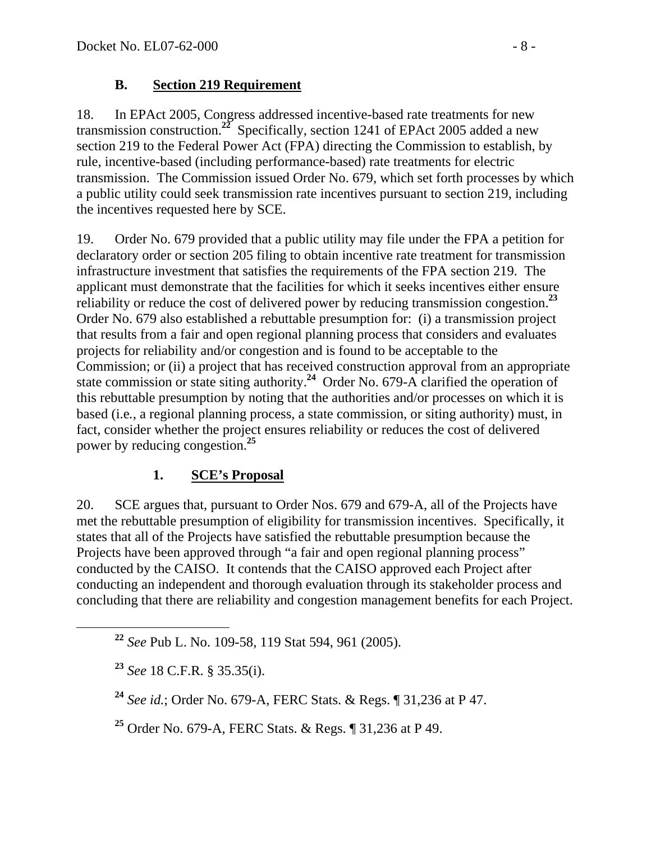#### **B. Section 219 Requirement**

18. In EPAct 2005, Congress addressed incentive-based rate treatments for new transmission construction.**<sup>22</sup>** Specifically, section 1241 of EPAct 2005 added a new section 219 to the Federal Power Act (FPA) directing the Commission to establish, by rule, incentive-based (including performance-based) rate treatments for electric transmission. The Commission issued Order No. 679, which set forth processes by which a public utility could seek transmission rate incentives pursuant to section 219, including the incentives requested here by SCE.

19. Order No. 679 provided that a public utility may file under the FPA a petition for declaratory order or section 205 filing to obtain incentive rate treatment for transmission infrastructure investment that satisfies the requirements of the FPA section 219. The applicant must demonstrate that the facilities for which it seeks incentives either ensure reliability or reduce the cost of delivered power by reducing transmission congestion.**<sup>23</sup>** Order No. 679 also established a rebuttable presumption for: (i) a transmission project that results from a fair and open regional planning process that considers and evaluates projects for reliability and/or congestion and is found to be acceptable to the Commission; or (ii) a project that has received construction approval from an appropriate state commission or state siting authority.**<sup>24</sup>** Order No. 679-A clarified the operation of this rebuttable presumption by noting that the authorities and/or processes on which it is based (i.e*.*, a regional planning process, a state commission, or siting authority) must, in fact, consider whether the project ensures reliability or reduces the cost of delivered power by reducing congestion.**<sup>25</sup>**

### **1. SCE's Proposal**

20. SCE argues that, pursuant to Order Nos. 679 and 679-A, all of the Projects have met the rebuttable presumption of eligibility for transmission incentives. Specifically, it states that all of the Projects have satisfied the rebuttable presumption because the Projects have been approved through "a fair and open regional planning process" conducted by the CAISO. It contends that the CAISO approved each Project after conducting an independent and thorough evaluation through its stakeholder process and concluding that there are reliability and congestion management benefits for each Project.

**<sup>25</sup>** Order No. 679-A, FERC Stats. & Regs. ¶ 31,236 at P 49.

**<sup>22</sup>** *See* Pub L. No. 109-58, 119 Stat 594, 961 (2005).

**<sup>23</sup>** *See* 18 C.F.R. § 35.35(i).

**<sup>24</sup>** *See id.*; Order No. 679-A, FERC Stats. & Regs. ¶ 31,236 at P 47.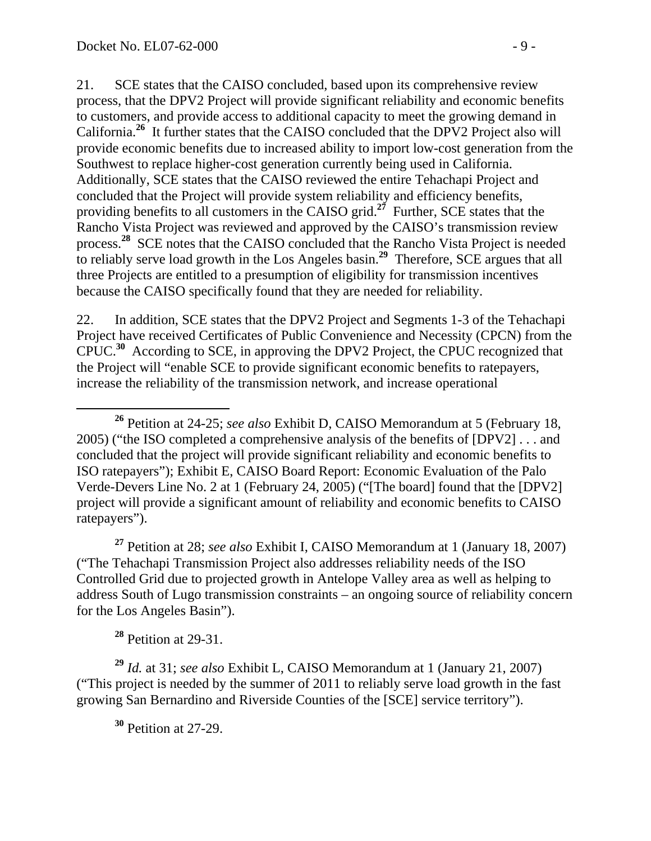21. SCE states that the CAISO concluded, based upon its comprehensive review process, that the DPV2 Project will provide significant reliability and economic benefits to customers, and provide access to additional capacity to meet the growing demand in California.**<sup>26</sup>** It further states that the CAISO concluded that the DPV2 Project also will provide economic benefits due to increased ability to import low-cost generation from the Southwest to replace higher-cost generation currently being used in California. Additionally, SCE states that the CAISO reviewed the entire Tehachapi Project and concluded that the Project will provide system reliability and efficiency benefits, providing benefits to all customers in the CAISO grid.**<sup>27</sup>** Further, SCE states that the Rancho Vista Project was reviewed and approved by the CAISO's transmission review process.**<sup>28</sup>** SCE notes that the CAISO concluded that the Rancho Vista Project is needed to reliably serve load growth in the Los Angeles basin.**<sup>29</sup>** Therefore, SCE argues that all three Projects are entitled to a presumption of eligibility for transmission incentives because the CAISO specifically found that they are needed for reliability.

22. In addition, SCE states that the DPV2 Project and Segments 1-3 of the Tehachapi Project have received Certificates of Public Convenience and Necessity (CPCN) from the CPUC.**<sup>30</sup>** According to SCE, in approving the DPV2 Project, the CPUC recognized that the Project will "enable SCE to provide significant economic benefits to ratepayers, increase the reliability of the transmission network, and increase operational

**<sup>27</sup>** Petition at 28; *see also* Exhibit I, CAISO Memorandum at 1 (January 18, 2007) ("The Tehachapi Transmission Project also addresses reliability needs of the ISO Controlled Grid due to projected growth in Antelope Valley area as well as helping to address South of Lugo transmission constraints – an ongoing source of reliability concern for the Los Angeles Basin").

**<sup>28</sup>** Petition at 29-31.

**<sup>29</sup>** *Id.* at 31; *see also* Exhibit L, CAISO Memorandum at 1 (January 21, 2007) ("This project is needed by the summer of 2011 to reliably serve load growth in the fast growing San Bernardino and Riverside Counties of the [SCE] service territory").

**<sup>30</sup>** Petition at 27-29.

**<sup>26</sup>** Petition at 24-25; *see also* Exhibit D, CAISO Memorandum at 5 (February 18, 2005) ("the ISO completed a comprehensive analysis of the benefits of [DPV2] . . . and concluded that the project will provide significant reliability and economic benefits to ISO ratepayers"); Exhibit E, CAISO Board Report: Economic Evaluation of the Palo Verde-Devers Line No. 2 at 1 (February 24, 2005) ("[The board] found that the [DPV2] project will provide a significant amount of reliability and economic benefits to CAISO ratepayers").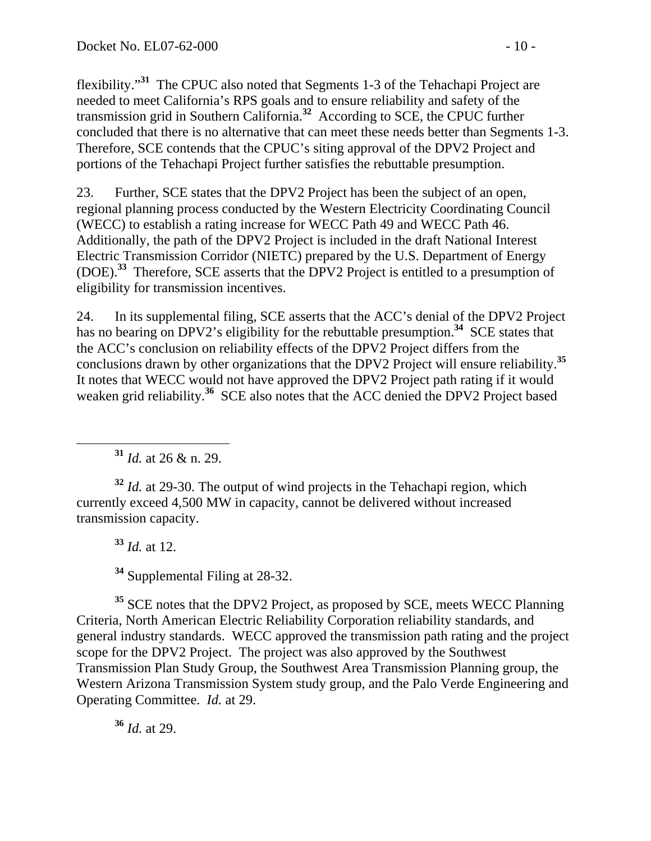flexibility."**<sup>31</sup>** The CPUC also noted that Segments 1-3 of the Tehachapi Project are needed to meet California's RPS goals and to ensure reliability and safety of the transmission grid in Southern California.**<sup>32</sup>** According to SCE, the CPUC further concluded that there is no alternative that can meet these needs better than Segments 1-3. Therefore, SCE contends that the CPUC's siting approval of the DPV2 Project and portions of the Tehachapi Project further satisfies the rebuttable presumption.

23. Further, SCE states that the DPV2 Project has been the subject of an open, regional planning process conducted by the Western Electricity Coordinating Council (WECC) to establish a rating increase for WECC Path 49 and WECC Path 46. Additionally, the path of the DPV2 Project is included in the draft National Interest Electric Transmission Corridor (NIETC) prepared by the U.S. Department of Energy (DOE).**<sup>33</sup>** Therefore, SCE asserts that the DPV2 Project is entitled to a presumption of eligibility for transmission incentives.

24. In its supplemental filing, SCE asserts that the ACC's denial of the DPV2 Project has no bearing on DPV2's eligibility for the rebuttable presumption.<sup>34</sup> SCE states that the ACC's conclusion on reliability effects of the DPV2 Project differs from the conclusions drawn by other organizations that the DPV2 Project will ensure reliability.**<sup>35</sup>** It notes that WECC would not have approved the DPV2 Project path rating if it would weaken grid reliability.<sup>36</sup> SCE also notes that the ACC denied the DPV2 Project based

**<sup>31</sup>** *Id.* at 26 & n. 29.

**<sup>32</sup>** *Id.* at 29-30. The output of wind projects in the Tehachapi region, which currently exceed 4,500 MW in capacity, cannot be delivered without increased transmission capacity.

**<sup>33</sup>** *Id.* at 12.

**<sup>34</sup>** Supplemental Filing at 28-32.

<sup>35</sup> SCE notes that the DPV2 Project, as proposed by SCE, meets WECC Planning Criteria, North American Electric Reliability Corporation reliability standards, and general industry standards. WECC approved the transmission path rating and the project scope for the DPV2 Project. The project was also approved by the Southwest Transmission Plan Study Group, the Southwest Area Transmission Planning group, the Western Arizona Transmission System study group, and the Palo Verde Engineering and Operating Committee. *Id.* at 29.

**<sup>36</sup>** *Id.* at 29.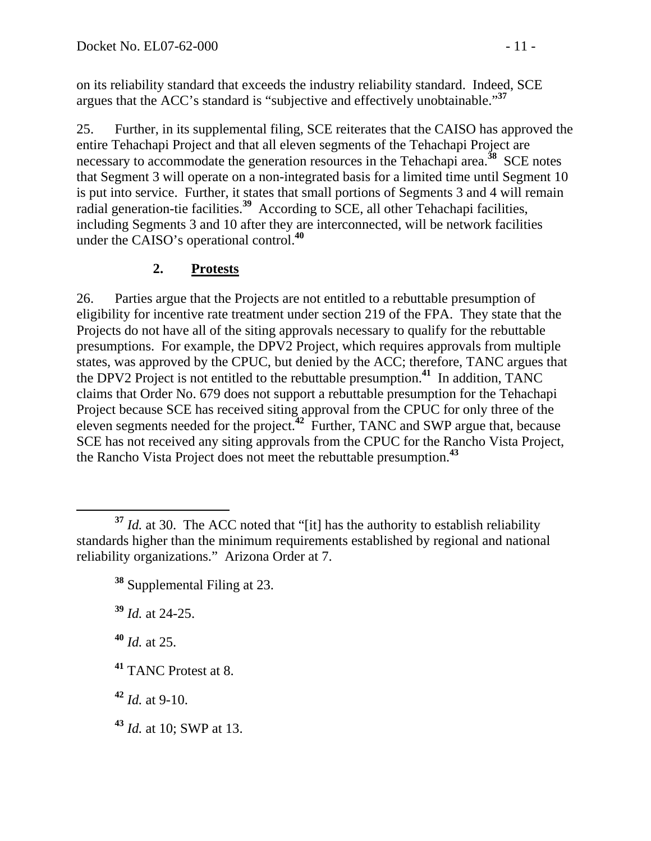on its reliability standard that exceeds the industry reliability standard. Indeed, SCE argues that the ACC's standard is "subjective and effectively unobtainable."**<sup>37</sup>**

25. Further, in its supplemental filing, SCE reiterates that the CAISO has approved the entire Tehachapi Project and that all eleven segments of the Tehachapi Project are necessary to accommodate the generation resources in the Tehachapi area.**<sup>38</sup>** SCE notes that Segment 3 will operate on a non-integrated basis for a limited time until Segment 10 is put into service. Further, it states that small portions of Segments 3 and 4 will remain radial generation-tie facilities.**<sup>39</sup>** According to SCE, all other Tehachapi facilities, including Segments 3 and 10 after they are interconnected, will be network facilities under the CAISO's operational control.**<sup>40</sup>**

### **2. Protests**

26. Parties argue that the Projects are not entitled to a rebuttable presumption of eligibility for incentive rate treatment under section 219 of the FPA. They state that the Projects do not have all of the siting approvals necessary to qualify for the rebuttable presumptions. For example, the DPV2 Project, which requires approvals from multiple states, was approved by the CPUC, but denied by the ACC; therefore, TANC argues that the DPV2 Project is not entitled to the rebuttable presumption.**<sup>41</sup>** In addition, TANC claims that Order No. 679 does not support a rebuttable presumption for the Tehachapi Project because SCE has received siting approval from the CPUC for only three of the eleven segments needed for the project.**<sup>42</sup>** Further, TANC and SWP argue that, because SCE has not received any siting approvals from the CPUC for the Rancho Vista Project, the Rancho Vista Project does not meet the rebuttable presumption.**<sup>43</sup>**

**<sup>39</sup>** *Id.* at 24-25.

**<sup>40</sup>** *Id.* at 25.

**<sup>41</sup>** TANC Protest at 8.

**<sup>42</sup>** *Id.* at 9-10.

**<sup>43</sup>** *Id.* at 10; SWP at 13.

**<sup>37</sup>** *Id.* at 30. The ACC noted that "[it] has the authority to establish reliability standards higher than the minimum requirements established by regional and national reliability organizations." Arizona Order at 7.

**<sup>38</sup>** Supplemental Filing at 23.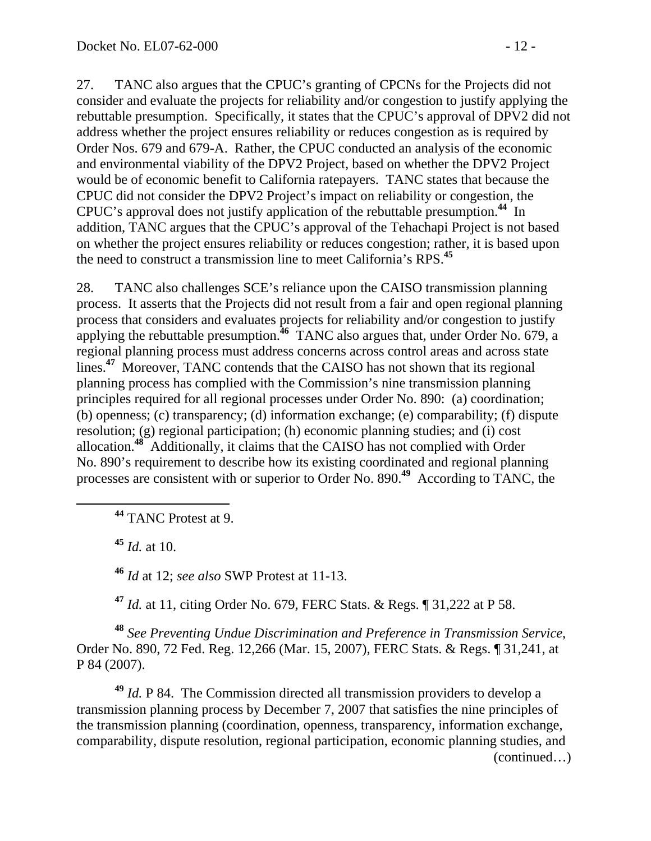27. TANC also argues that the CPUC's granting of CPCNs for the Projects did not consider and evaluate the projects for reliability and/or congestion to justify applying the rebuttable presumption. Specifically, it states that the CPUC's approval of DPV2 did not address whether the project ensures reliability or reduces congestion as is required by Order Nos. 679 and 679-A. Rather, the CPUC conducted an analysis of the economic and environmental viability of the DPV2 Project, based on whether the DPV2 Project would be of economic benefit to California ratepayers. TANC states that because the CPUC did not consider the DPV2 Project's impact on reliability or congestion, the CPUC's approval does not justify application of the rebuttable presumption.**<sup>44</sup>** In addition, TANC argues that the CPUC's approval of the Tehachapi Project is not based on whether the project ensures reliability or reduces congestion; rather, it is based upon the need to construct a transmission line to meet California's RPS.**<sup>45</sup>**

28. TANC also challenges SCE's reliance upon the CAISO transmission planning process. It asserts that the Projects did not result from a fair and open regional planning process that considers and evaluates projects for reliability and/or congestion to justify applying the rebuttable presumption.<sup>46</sup> TANC also argues that, under Order No. 679, a regional planning process must address concerns across control areas and across state lines.<sup>47</sup> Moreover, TANC contends that the CAISO has not shown that its regional planning process has complied with the Commission's nine transmission planning principles required for all regional processes under Order No. 890: (a) coordination; (b) openness; (c) transparency; (d) information exchange; (e) comparability; (f) dispute resolution; (g) regional participation; (h) economic planning studies; and (i) cost allocation.**<sup>48</sup>** Additionally, it claims that the CAISO has not complied with Order No. 890's requirement to describe how its existing coordinated and regional planning processes are consistent with or superior to Order No. 890.**<sup>49</sup>** According to TANC, the

**<sup>44</sup>** TANC Protest at 9.

**<sup>45</sup>** *Id.* at 10.

**<sup>46</sup>** *Id* at 12; *see also* SWP Protest at 11-13.

**<sup>47</sup>** *Id.* at 11, citing Order No. 679, FERC Stats. & Regs. ¶ 31,222 at P 58.

**<sup>48</sup>** *See Preventing Undue Discrimination and Preference in Transmission Service*, Order No. 890, 72 Fed. Reg. 12,266 (Mar. 15, 2007), FERC Stats. & Regs. ¶ 31,241, at P 84 (2007).

**<sup>49</sup>** *Id.* P 84. The Commission directed all transmission providers to develop a transmission planning process by December 7, 2007 that satisfies the nine principles of the transmission planning (coordination, openness, transparency, information exchange, comparability, dispute resolution, regional participation, economic planning studies, and (continued…)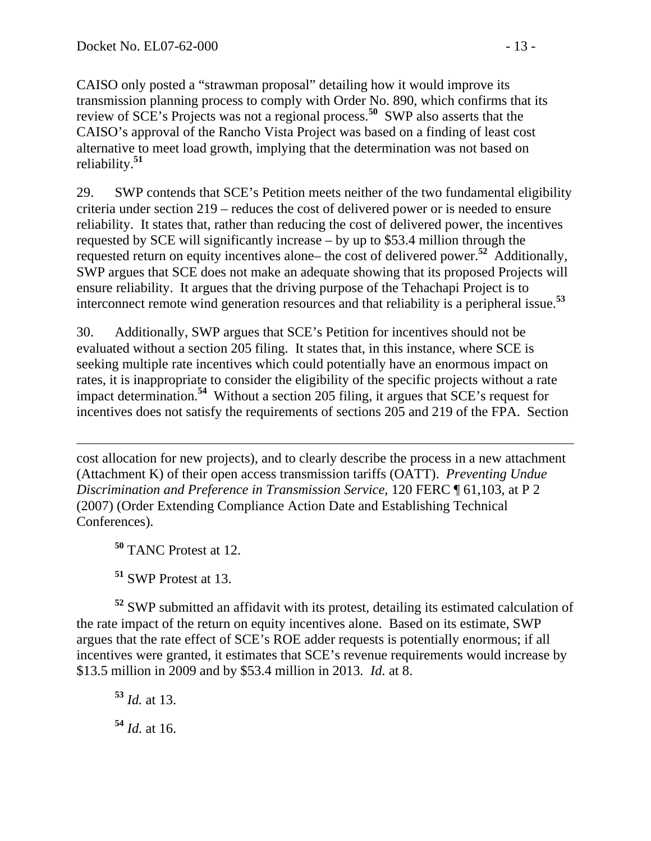CAISO only posted a "strawman proposal" detailing how it would improve its transmission planning process to comply with Order No. 890, which confirms that its review of SCE's Projects was not a regional process.**<sup>50</sup>** SWP also asserts that the CAISO's approval of the Rancho Vista Project was based on a finding of least cost alternative to meet load growth, implying that the determination was not based on reliability.**<sup>51</sup>**

29. SWP contends that SCE's Petition meets neither of the two fundamental eligibility criteria under section 219 – reduces the cost of delivered power or is needed to ensure reliability. It states that, rather than reducing the cost of delivered power, the incentives requested by SCE will significantly increase – by up to \$53.4 million through the requested return on equity incentives alone– the cost of delivered power.**<sup>52</sup>** Additionally, SWP argues that SCE does not make an adequate showing that its proposed Projects will ensure reliability. It argues that the driving purpose of the Tehachapi Project is to interconnect remote wind generation resources and that reliability is a peripheral issue.**<sup>53</sup>**

30. Additionally, SWP argues that SCE's Petition for incentives should not be evaluated without a section 205 filing. It states that, in this instance, where SCE is seeking multiple rate incentives which could potentially have an enormous impact on rates, it is inappropriate to consider the eligibility of the specific projects without a rate impact determination.**<sup>54</sup>** Without a section 205 filing, it argues that SCE's request for incentives does not satisfy the requirements of sections 205 and 219 of the FPA. Section

cost allocation for new projects), and to clearly describe the process in a new attachment (Attachment K) of their open access transmission tariffs (OATT). *Preventing Undue Discrimination and Preference in Transmission Service*, 120 FERC ¶ 61,103, at P 2 (2007) (Order Extending Compliance Action Date and Establishing Technical Conferences).

**<sup>50</sup>** TANC Protest at 12.

**<sup>51</sup>** SWP Protest at 13.

**<sup>52</sup>** SWP submitted an affidavit with its protest, detailing its estimated calculation of the rate impact of the return on equity incentives alone. Based on its estimate, SWP argues that the rate effect of SCE's ROE adder requests is potentially enormous; if all incentives were granted, it estimates that SCE's revenue requirements would increase by \$13.5 million in 2009 and by \$53.4 million in 2013*. Id.* at 8.

**<sup>53</sup>** *Id.* at 13. **<sup>54</sup>** *Id.* at 16.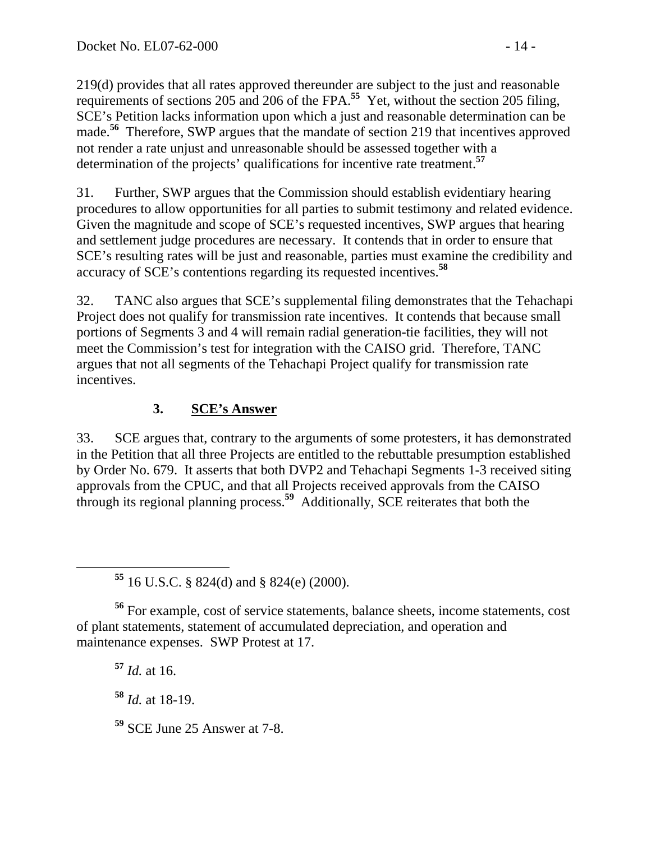219(d) provides that all rates approved thereunder are subject to the just and reasonable requirements of sections 205 and 206 of the FPA.**<sup>55</sup>** Yet, without the section 205 filing, SCE's Petition lacks information upon which a just and reasonable determination can be made.<sup>56</sup> Therefore, SWP argues that the mandate of section 219 that incentives approved not render a rate unjust and unreasonable should be assessed together with a determination of the projects' qualifications for incentive rate treatment.**<sup>57</sup>**

31. Further, SWP argues that the Commission should establish evidentiary hearing procedures to allow opportunities for all parties to submit testimony and related evidence. Given the magnitude and scope of SCE's requested incentives, SWP argues that hearing and settlement judge procedures are necessary. It contends that in order to ensure that SCE's resulting rates will be just and reasonable, parties must examine the credibility and accuracy of SCE's contentions regarding its requested incentives.**<sup>58</sup>**

32. TANC also argues that SCE's supplemental filing demonstrates that the Tehachapi Project does not qualify for transmission rate incentives. It contends that because small portions of Segments 3 and 4 will remain radial generation-tie facilities, they will not meet the Commission's test for integration with the CAISO grid. Therefore, TANC argues that not all segments of the Tehachapi Project qualify for transmission rate incentives.

## **3. SCE's Answer**

33. SCE argues that, contrary to the arguments of some protesters, it has demonstrated in the Petition that all three Projects are entitled to the rebuttable presumption established by Order No. 679. It asserts that both DVP2 and Tehachapi Segments 1-3 received siting approvals from the CPUC, and that all Projects received approvals from the CAISO through its regional planning process.**<sup>59</sup>** Additionally, SCE reiterates that both the

**<sup>56</sup>** For example, cost of service statements, balance sheets, income statements, cost of plant statements, statement of accumulated depreciation, and operation and maintenance expenses. SWP Protest at 17.

**<sup>57</sup>** *Id.* at 16.

**<sup>58</sup>** *Id.* at 18-19.

**<sup>59</sup>** SCE June 25 Answer at 7-8.

**<sup>55</sup>** 16 U.S.C. § 824(d) and § 824(e) (2000).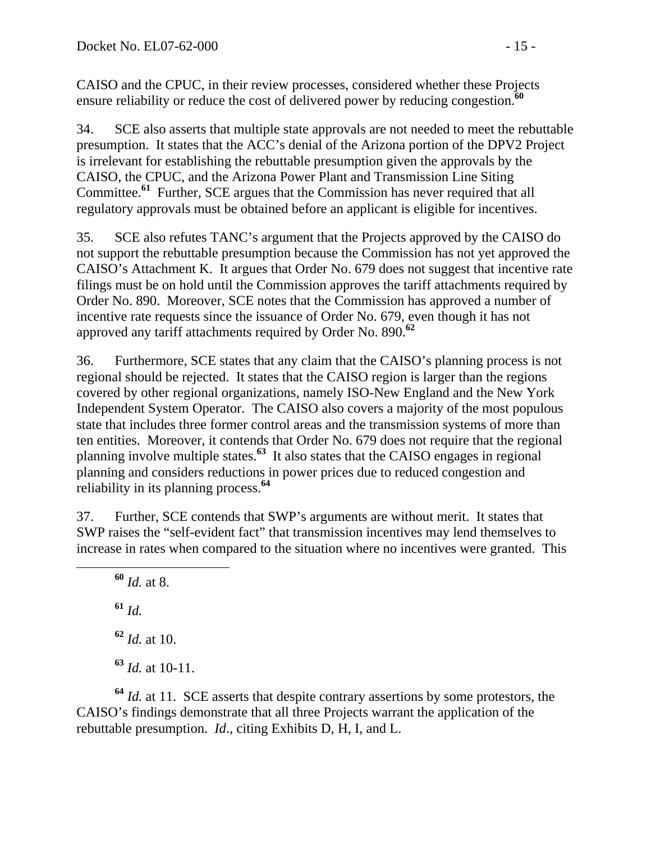CAISO and the CPUC, in their review processes, considered whether these Projects ensure reliability or reduce the cost of delivered power by reducing congestion.**<sup>60</sup>**

34. SCE also asserts that multiple state approvals are not needed to meet the rebuttable presumption. It states that the ACC's denial of the Arizona portion of the DPV2 Project is irrelevant for establishing the rebuttable presumption given the approvals by the CAISO, the CPUC, and the Arizona Power Plant and Transmission Line Siting Committee.**<sup>61</sup>** Further, SCE argues that the Commission has never required that all regulatory approvals must be obtained before an applicant is eligible for incentives.

35. SCE also refutes TANC's argument that the Projects approved by the CAISO do not support the rebuttable presumption because the Commission has not yet approved the CAISO's Attachment K. It argues that Order No. 679 does not suggest that incentive rate filings must be on hold until the Commission approves the tariff attachments required by Order No. 890. Moreover, SCE notes that the Commission has approved a number of incentive rate requests since the issuance of Order No. 679, even though it has not approved any tariff attachments required by Order No. 890.**<sup>62</sup>**

36. Furthermore, SCE states that any claim that the CAISO's planning process is not regional should be rejected. It states that the CAISO region is larger than the regions covered by other regional organizations, namely ISO-New England and the New York Independent System Operator. The CAISO also covers a majority of the most populous state that includes three former control areas and the transmission systems of more than ten entities. Moreover, it contends that Order No. 679 does not require that the regional planning involve multiple states.**<sup>63</sup>** It also states that the CAISO engages in regional planning and considers reductions in power prices due to reduced congestion and reliability in its planning process.**<sup>64</sup>**

37. Further, SCE contends that SWP's arguments are without merit. It states that SWP raises the "self-evident fact" that transmission incentives may lend themselves to increase in rates when compared to the situation where no incentives were granted. This

 **<sup>60</sup>** *Id.* at 8. **<sup>61</sup>** *Id.*

**<sup>62</sup>** *Id.* at 10.

**<sup>63</sup>** *Id.* at 10-11.

**<sup>64</sup>** *Id.* at 11. SCE asserts that despite contrary assertions by some protestors, the CAISO's findings demonstrate that all three Projects warrant the application of the rebuttable presumption. *Id*., citing Exhibits D, H, I, and L.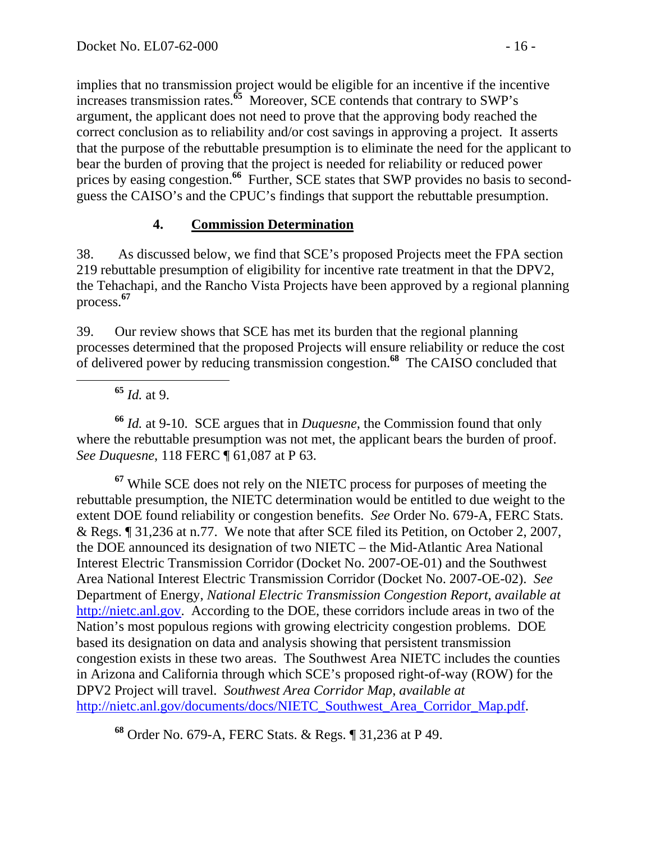implies that no transmission project would be eligible for an incentive if the incentive increases transmission rates.**<sup>65</sup>** Moreover, SCE contends that contrary to SWP's argument, the applicant does not need to prove that the approving body reached the correct conclusion as to reliability and/or cost savings in approving a project. It asserts that the purpose of the rebuttable presumption is to eliminate the need for the applicant to bear the burden of proving that the project is needed for reliability or reduced power prices by easing congestion.<sup>66</sup> Further, SCE states that SWP provides no basis to secondguess the CAISO's and the CPUC's findings that support the rebuttable presumption.

### **4. Commission Determination**

38. As discussed below, we find that SCE's proposed Projects meet the FPA section 219 rebuttable presumption of eligibility for incentive rate treatment in that the DPV2, the Tehachapi, and the Rancho Vista Projects have been approved by a regional planning process.**<sup>67</sup>**

39. Our review shows that SCE has met its burden that the regional planning processes determined that the proposed Projects will ensure reliability or reduce the cost of delivered power by reducing transmission congestion.**<sup>68</sup>** The CAISO concluded that

**<sup>65</sup>** *Id.* at 9.

**<sup>66</sup>** *Id.* at 9-10. SCE argues that in *Duquesne*, the Commission found that only where the rebuttable presumption was not met, the applicant bears the burden of proof. *See Duquesne*, 118 FERC ¶ 61,087 at P 63.

**<sup>67</sup>** While SCE does not rely on the NIETC process for purposes of meeting the rebuttable presumption, the NIETC determination would be entitled to due weight to the extent DOE found reliability or congestion benefits. *See* Order No. 679-A, FERC Stats. & Regs. ¶ 31,236 at n.77. We note that after SCE filed its Petition, on October 2, 2007, the DOE announced its designation of two NIETC – the Mid-Atlantic Area National Interest Electric Transmission Corridor (Docket No. 2007-OE-01) and the Southwest Area National Interest Electric Transmission Corridor (Docket No. 2007-OE-02). *See* Department of Energy, *National Electric Transmission Congestion Report*, *available at*  http://nietc.anl.gov. According to the DOE, these corridors include areas in two of the Nation's most populous regions with growing electricity congestion problems. DOE based its designation on data and analysis showing that persistent transmission congestion exists in these two areas. The Southwest Area NIETC includes the counties in Arizona and California through which SCE's proposed right-of-way (ROW) for the DPV2 Project will travel. *Southwest Area Corridor Map*, *available at*  http://nietc.anl.gov/documents/docs/NIETC\_Southwest\_Area\_Corridor\_Map.pdf.

**<sup>68</sup>** Order No. 679-A, FERC Stats. & Regs. ¶ 31,236 at P 49.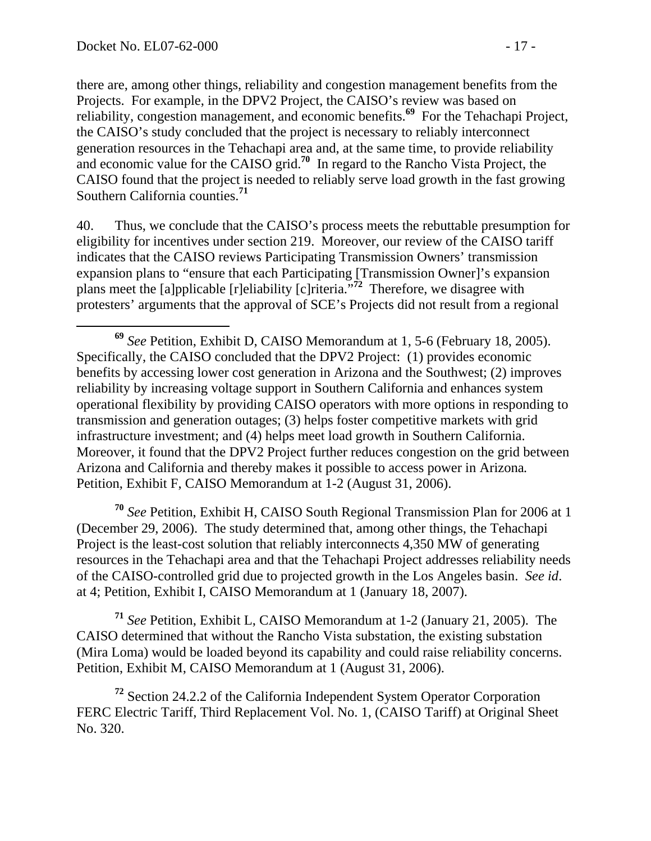there are, among other things, reliability and congestion management benefits from the Projects. For example, in the DPV2 Project, the CAISO's review was based on reliability, congestion management, and economic benefits.**<sup>69</sup>** For the Tehachapi Project, the CAISO's study concluded that the project is necessary to reliably interconnect generation resources in the Tehachapi area and, at the same time, to provide reliability and economic value for the CAISO grid.**<sup>70</sup>** In regard to the Rancho Vista Project, the CAISO found that the project is needed to reliably serve load growth in the fast growing Southern California counties.**<sup>71</sup>**

40. Thus, we conclude that the CAISO's process meets the rebuttable presumption for eligibility for incentives under section 219. Moreover, our review of the CAISO tariff indicates that the CAISO reviews Participating Transmission Owners' transmission expansion plans to "ensure that each Participating [Transmission Owner]'s expansion plans meet the [a]pplicable [r]eliability [c]riteria."**<sup>72</sup>** Therefore, we disagree with protesters' arguments that the approval of SCE's Projects did not result from a regional

**<sup>70</sup>** *See* Petition, Exhibit H, CAISO South Regional Transmission Plan for 2006 at 1 (December 29, 2006). The study determined that, among other things, the Tehachapi Project is the least-cost solution that reliably interconnects 4,350 MW of generating resources in the Tehachapi area and that the Tehachapi Project addresses reliability needs of the CAISO-controlled grid due to projected growth in the Los Angeles basin. *See id*. at 4; Petition, Exhibit I, CAISO Memorandum at 1 (January 18, 2007).

**<sup>71</sup>** *See* Petition, Exhibit L, CAISO Memorandum at 1-2 (January 21, 2005). The CAISO determined that without the Rancho Vista substation, the existing substation (Mira Loma) would be loaded beyond its capability and could raise reliability concerns. Petition, Exhibit M, CAISO Memorandum at 1 (August 31, 2006).

**<sup>72</sup>** Section 24.2.2 of the California Independent System Operator Corporation FERC Electric Tariff, Third Replacement Vol. No. 1, (CAISO Tariff) at Original Sheet No. 320.

**<sup>69</sup>** *See* Petition, Exhibit D, CAISO Memorandum at 1, 5-6 (February 18, 2005). Specifically, the CAISO concluded that the DPV2 Project: (1) provides economic benefits by accessing lower cost generation in Arizona and the Southwest; (2) improves reliability by increasing voltage support in Southern California and enhances system operational flexibility by providing CAISO operators with more options in responding to transmission and generation outages; (3) helps foster competitive markets with grid infrastructure investment; and (4) helps meet load growth in Southern California. Moreover, it found that the DPV2 Project further reduces congestion on the grid between Arizona and California and thereby makes it possible to access power in Arizona*.* Petition, Exhibit F, CAISO Memorandum at 1-2 (August 31, 2006).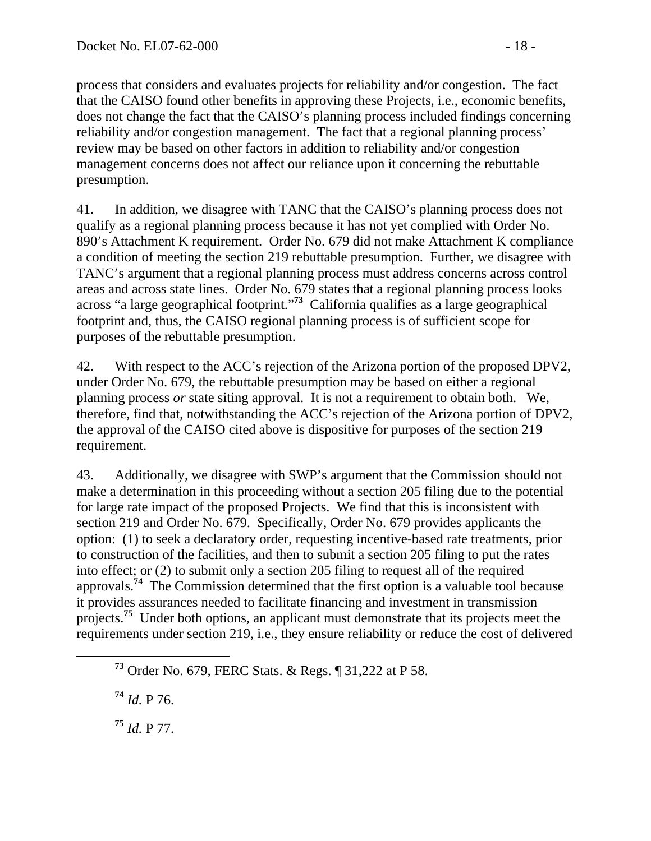process that considers and evaluates projects for reliability and/or congestion. The fact that the CAISO found other benefits in approving these Projects, i.e., economic benefits, does not change the fact that the CAISO's planning process included findings concerning reliability and/or congestion management. The fact that a regional planning process' review may be based on other factors in addition to reliability and/or congestion management concerns does not affect our reliance upon it concerning the rebuttable presumption.

41. In addition, we disagree with TANC that the CAISO's planning process does not qualify as a regional planning process because it has not yet complied with Order No. 890's Attachment K requirement. Order No. 679 did not make Attachment K compliance a condition of meeting the section 219 rebuttable presumption. Further, we disagree with TANC's argument that a regional planning process must address concerns across control areas and across state lines. Order No. 679 states that a regional planning process looks across "a large geographical footprint."**<sup>73</sup>** California qualifies as a large geographical footprint and, thus, the CAISO regional planning process is of sufficient scope for purposes of the rebuttable presumption.

42. With respect to the ACC's rejection of the Arizona portion of the proposed DPV2, under Order No. 679, the rebuttable presumption may be based on either a regional planning process *or* state siting approval. It is not a requirement to obtain both. We, therefore, find that, notwithstanding the ACC's rejection of the Arizona portion of DPV2, the approval of the CAISO cited above is dispositive for purposes of the section 219 requirement.

43. Additionally, we disagree with SWP's argument that the Commission should not make a determination in this proceeding without a section 205 filing due to the potential for large rate impact of the proposed Projects. We find that this is inconsistent with section 219 and Order No. 679. Specifically, Order No. 679 provides applicants the option: (1) to seek a declaratory order, requesting incentive-based rate treatments, prior to construction of the facilities, and then to submit a section 205 filing to put the rates into effect; or (2) to submit only a section 205 filing to request all of the required approvals.**<sup>74</sup>** The Commission determined that the first option is a valuable tool because it provides assurances needed to facilitate financing and investment in transmission projects.**<sup>75</sup>** Under both options, an applicant must demonstrate that its projects meet the requirements under section 219, i.e., they ensure reliability or reduce the cost of delivered

**<sup>74</sup>** *Id.* P 76.

**<sup>75</sup>** *Id.* P 77.

**<sup>73</sup>** Order No. 679, FERC Stats. & Regs. ¶ 31,222 at P 58.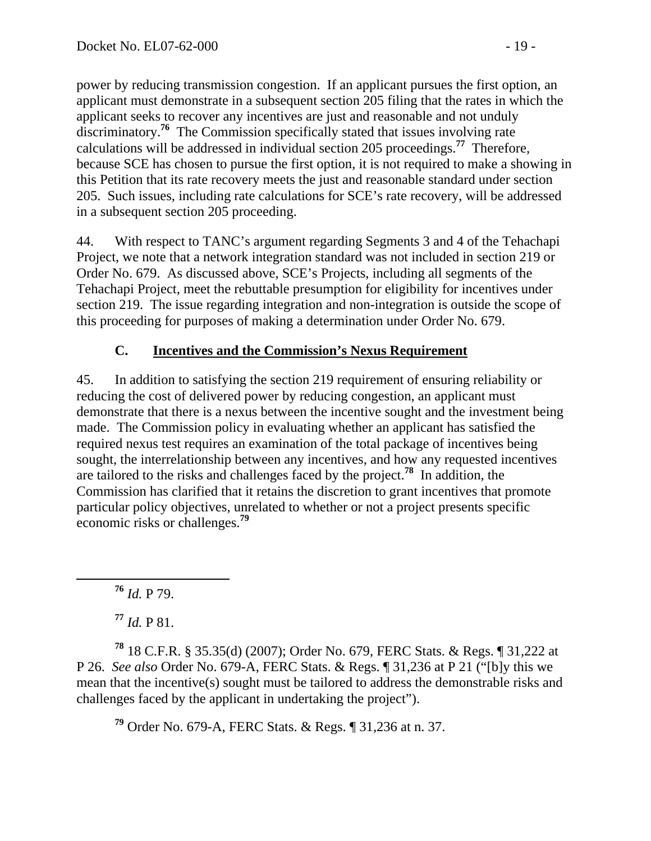power by reducing transmission congestion. If an applicant pursues the first option, an applicant must demonstrate in a subsequent section 205 filing that the rates in which the applicant seeks to recover any incentives are just and reasonable and not unduly discriminatory.<sup>76</sup> The Commission specifically stated that issues involving rate calculations will be addressed in individual section 205 proceedings.**<sup>77</sup>** Therefore, because SCE has chosen to pursue the first option, it is not required to make a showing in this Petition that its rate recovery meets the just and reasonable standard under section 205. Such issues, including rate calculations for SCE's rate recovery, will be addressed in a subsequent section 205 proceeding.

44. With respect to TANC's argument regarding Segments 3 and 4 of the Tehachapi Project, we note that a network integration standard was not included in section 219 or Order No. 679. As discussed above, SCE's Projects, including all segments of the Tehachapi Project, meet the rebuttable presumption for eligibility for incentives under section 219. The issue regarding integration and non-integration is outside the scope of this proceeding for purposes of making a determination under Order No. 679.

## **C. Incentives and the Commission's Nexus Requirement**

45. In addition to satisfying the section 219 requirement of ensuring reliability or reducing the cost of delivered power by reducing congestion, an applicant must demonstrate that there is a nexus between the incentive sought and the investment being made. The Commission policy in evaluating whether an applicant has satisfied the required nexus test requires an examination of the total package of incentives being sought, the interrelationship between any incentives, and how any requested incentives are tailored to the risks and challenges faced by the project.**<sup>78</sup>** In addition, the Commission has clarified that it retains the discretion to grant incentives that promote particular policy objectives, unrelated to whether or not a project presents specific economic risks or challenges.**<sup>79</sup>**

**<sup>76</sup>** *Id.* P 79.

**<sup>77</sup>** *Id.* P 81.

**<sup>78</sup>** 18 C.F.R. § 35.35(d) (2007); Order No. 679, FERC Stats. & Regs. ¶ 31,222 at P 26. *See also* Order No. 679-A, FERC Stats. & Regs. ¶ 31,236 at P 21 ("[b]y this we mean that the incentive(s) sought must be tailored to address the demonstrable risks and challenges faced by the applicant in undertaking the project").

**<sup>79</sup>** Order No. 679-A, FERC Stats. & Regs. ¶ 31,236 at n. 37.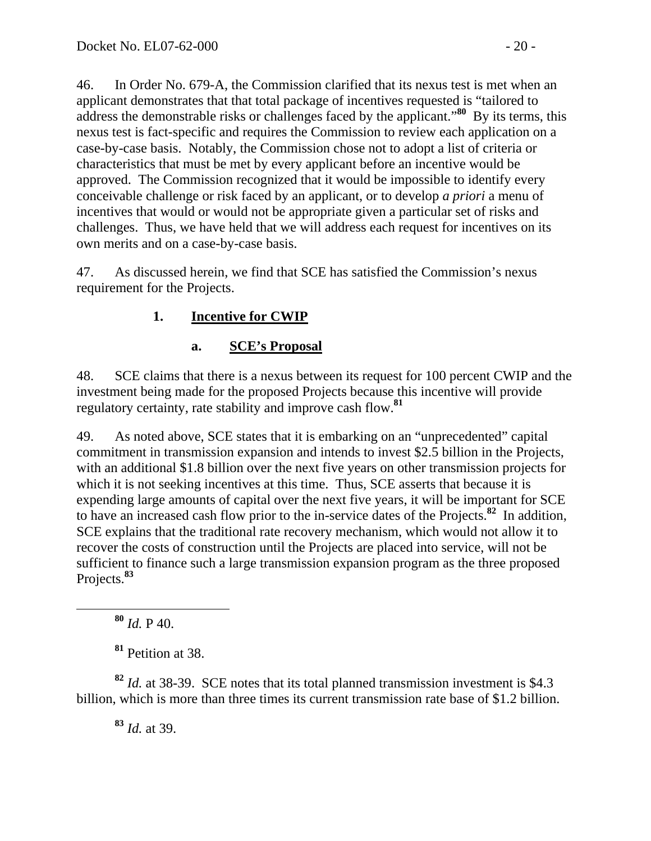46. In Order No. 679-A, the Commission clarified that its nexus test is met when an applicant demonstrates that that total package of incentives requested is "tailored to address the demonstrable risks or challenges faced by the applicant."**<sup>80</sup>** By its terms, this nexus test is fact-specific and requires the Commission to review each application on a case-by-case basis. Notably, the Commission chose not to adopt a list of criteria or characteristics that must be met by every applicant before an incentive would be approved. The Commission recognized that it would be impossible to identify every conceivable challenge or risk faced by an applicant, or to develop *a priori* a menu of incentives that would or would not be appropriate given a particular set of risks and challenges. Thus, we have held that we will address each request for incentives on its own merits and on a case-by-case basis.

47. As discussed herein, we find that SCE has satisfied the Commission's nexus requirement for the Projects.

## **1. Incentive for CWIP**

## **a. SCE's Proposal**

48. SCE claims that there is a nexus between its request for 100 percent CWIP and the investment being made for the proposed Projects because this incentive will provide regulatory certainty, rate stability and improve cash flow.**<sup>81</sup>**

49. As noted above, SCE states that it is embarking on an "unprecedented" capital commitment in transmission expansion and intends to invest \$2.5 billion in the Projects, with an additional \$1.8 billion over the next five years on other transmission projects for which it is not seeking incentives at this time. Thus, SCE asserts that because it is expending large amounts of capital over the next five years, it will be important for SCE to have an increased cash flow prior to the in-service dates of the Projects.**<sup>82</sup>** In addition, SCE explains that the traditional rate recovery mechanism, which would not allow it to recover the costs of construction until the Projects are placed into service, will not be sufficient to finance such a large transmission expansion program as the three proposed Projects.**<sup>83</sup>**

**<sup>80</sup>** *Id.* P 40.

**<sup>81</sup>** Petition at 38.

**<sup>82</sup>** *Id.* at 38-39. SCE notes that its total planned transmission investment is \$4.3 billion, which is more than three times its current transmission rate base of \$1.2 billion.

**<sup>83</sup>** *Id.* at 39.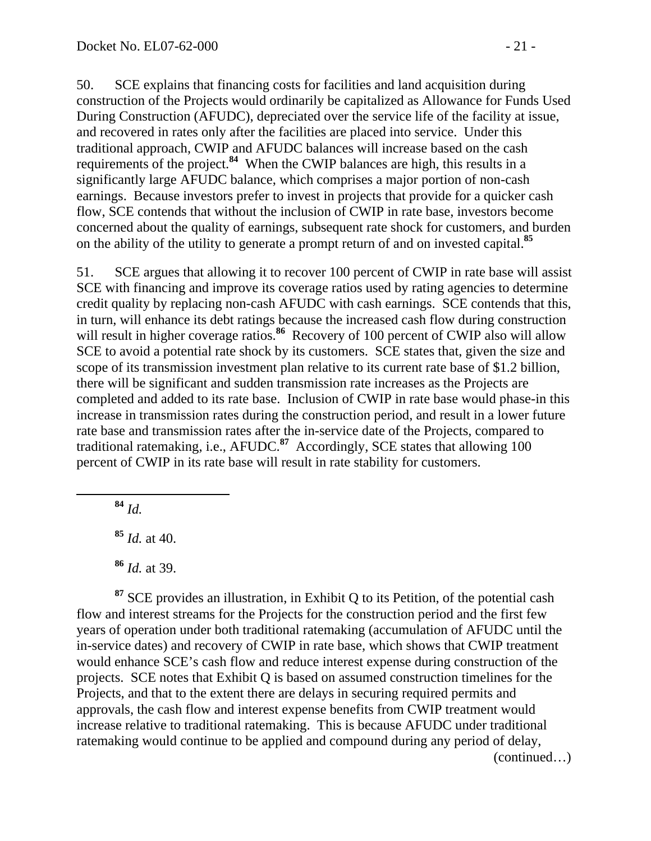50. SCE explains that financing costs for facilities and land acquisition during construction of the Projects would ordinarily be capitalized as Allowance for Funds Used During Construction (AFUDC), depreciated over the service life of the facility at issue, and recovered in rates only after the facilities are placed into service. Under this traditional approach, CWIP and AFUDC balances will increase based on the cash requirements of the project.**<sup>84</sup>** When the CWIP balances are high, this results in a significantly large AFUDC balance, which comprises a major portion of non-cash earnings. Because investors prefer to invest in projects that provide for a quicker cash flow, SCE contends that without the inclusion of CWIP in rate base, investors become concerned about the quality of earnings, subsequent rate shock for customers, and burden on the ability of the utility to generate a prompt return of and on invested capital.**<sup>85</sup>**

51. SCE argues that allowing it to recover 100 percent of CWIP in rate base will assist SCE with financing and improve its coverage ratios used by rating agencies to determine credit quality by replacing non-cash AFUDC with cash earnings. SCE contends that this, in turn, will enhance its debt ratings because the increased cash flow during construction will result in higher coverage ratios.<sup>86</sup> Recovery of 100 percent of CWIP also will allow SCE to avoid a potential rate shock by its customers. SCE states that, given the size and scope of its transmission investment plan relative to its current rate base of \$1.2 billion, there will be significant and sudden transmission rate increases as the Projects are completed and added to its rate base. Inclusion of CWIP in rate base would phase-in this increase in transmission rates during the construction period, and result in a lower future rate base and transmission rates after the in-service date of the Projects, compared to traditional ratemaking, i.e., AFUDC.**<sup>87</sup>** Accordingly, SCE states that allowing 100 percent of CWIP in its rate base will result in rate stability for customers.

**<sup>84</sup>** *Id.* 

**<sup>85</sup>** *Id.* at 40.

**<sup>86</sup>** *Id.* at 39.

**<sup>87</sup>** SCE provides an illustration, in Exhibit Q to its Petition, of the potential cash flow and interest streams for the Projects for the construction period and the first few years of operation under both traditional ratemaking (accumulation of AFUDC until the in-service dates) and recovery of CWIP in rate base, which shows that CWIP treatment would enhance SCE's cash flow and reduce interest expense during construction of the projects. SCE notes that Exhibit Q is based on assumed construction timelines for the Projects, and that to the extent there are delays in securing required permits and approvals, the cash flow and interest expense benefits from CWIP treatment would increase relative to traditional ratemaking. This is because AFUDC under traditional ratemaking would continue to be applied and compound during any period of delay,

(continued…)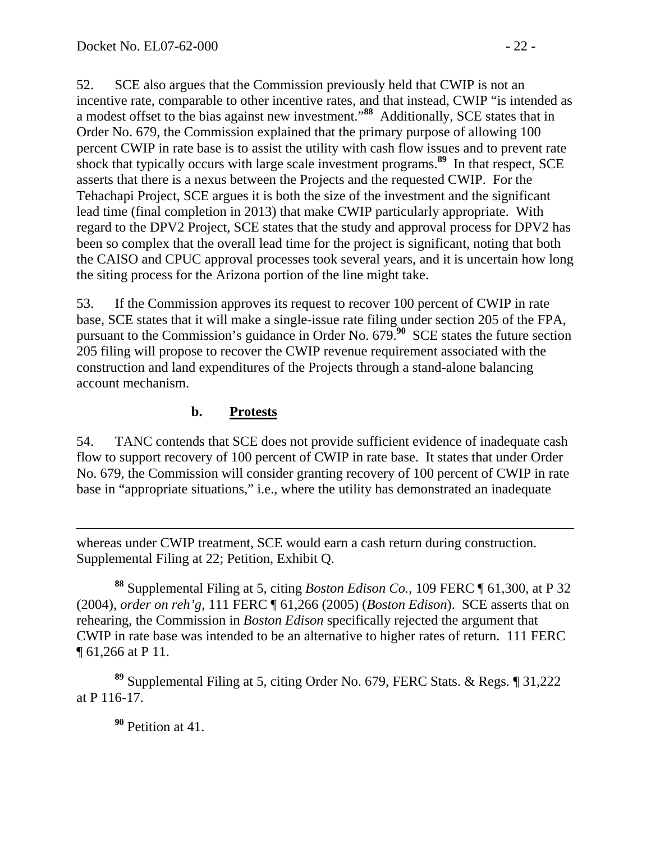52. SCE also argues that the Commission previously held that CWIP is not an incentive rate, comparable to other incentive rates, and that instead, CWIP "is intended as a modest offset to the bias against new investment."**<sup>88</sup>** Additionally, SCE states that in Order No. 679, the Commission explained that the primary purpose of allowing 100 percent CWIP in rate base is to assist the utility with cash flow issues and to prevent rate shock that typically occurs with large scale investment programs.**<sup>89</sup>** In that respect, SCE asserts that there is a nexus between the Projects and the requested CWIP. For the Tehachapi Project, SCE argues it is both the size of the investment and the significant lead time (final completion in 2013) that make CWIP particularly appropriate. With regard to the DPV2 Project, SCE states that the study and approval process for DPV2 has been so complex that the overall lead time for the project is significant, noting that both the CAISO and CPUC approval processes took several years, and it is uncertain how long the siting process for the Arizona portion of the line might take.

53. If the Commission approves its request to recover 100 percent of CWIP in rate base, SCE states that it will make a single-issue rate filing under section 205 of the FPA, pursuant to the Commission's guidance in Order No. 679.<sup>90</sup> SCE states the future section 205 filing will propose to recover the CWIP revenue requirement associated with the construction and land expenditures of the Projects through a stand-alone balancing account mechanism.

#### **b. Protests**

54. TANC contends that SCE does not provide sufficient evidence of inadequate cash flow to support recovery of 100 percent of CWIP in rate base. It states that under Order No. 679, the Commission will consider granting recovery of 100 percent of CWIP in rate base in "appropriate situations," i.e., where the utility has demonstrated an inadequate

whereas under CWIP treatment, SCE would earn a cash return during construction. Supplemental Filing at 22; Petition, Exhibit Q.

**<sup>88</sup>** Supplemental Filing at 5, citing *Boston Edison Co.*, 109 FERC ¶ 61,300, at P 32 (2004), *order on reh'g,* 111 FERC ¶ 61,266 (2005) (*Boston Edison*). SCE asserts that on rehearing, the Commission in *Boston Edison* specifically rejected the argument that CWIP in rate base was intended to be an alternative to higher rates of return. 111 FERC ¶ 61,266 at P 11.

**<sup>89</sup>** Supplemental Filing at 5, citing Order No. 679, FERC Stats. & Regs. ¶ 31,222 at P 116-17.

**<sup>90</sup>** Petition at 41.

 $\overline{a}$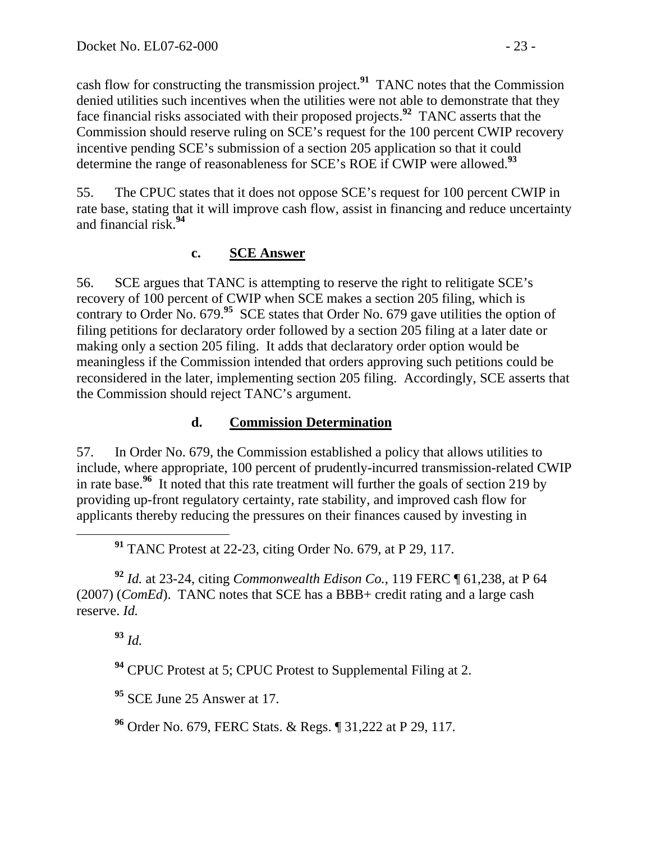cash flow for constructing the transmission project.**<sup>91</sup>** TANC notes that the Commission denied utilities such incentives when the utilities were not able to demonstrate that they face financial risks associated with their proposed projects.**<sup>92</sup>** TANC asserts that the Commission should reserve ruling on SCE's request for the 100 percent CWIP recovery incentive pending SCE's submission of a section 205 application so that it could determine the range of reasonableness for SCE's ROE if CWIP were allowed.**<sup>93</sup>**

55. The CPUC states that it does not oppose SCE's request for 100 percent CWIP in rate base, stating that it will improve cash flow, assist in financing and reduce uncertainty and financial risk.**<sup>94</sup>**

#### **c. SCE Answer**

56. SCE argues that TANC is attempting to reserve the right to relitigate SCE's recovery of 100 percent of CWIP when SCE makes a section 205 filing, which is contrary to Order No. 679.<sup>95</sup> SCE states that Order No. 679 gave utilities the option of filing petitions for declaratory order followed by a section 205 filing at a later date or making only a section 205 filing. It adds that declaratory order option would be meaningless if the Commission intended that orders approving such petitions could be reconsidered in the later, implementing section 205 filing. Accordingly, SCE asserts that the Commission should reject TANC's argument.

#### **d. Commission Determination**

57. In Order No. 679, the Commission established a policy that allows utilities to include, where appropriate, 100 percent of prudently-incurred transmission-related CWIP in rate base.**<sup>96</sup>** It noted that this rate treatment will further the goals of section 219 by providing up-front regulatory certainty, rate stability, and improved cash flow for applicants thereby reducing the pressures on their finances caused by investing in

**<sup>91</sup>** TANC Protest at 22-23, citing Order No. 679, at P 29, 117.

**<sup>92</sup>** *Id.* at 23-24, citing *Commonwealth Edison Co.*, 119 FERC ¶ 61,238, at P 64 (2007) (*ComEd*). TANC notes that SCE has a BBB+ credit rating and a large cash reserve. *Id.* 

**<sup>93</sup>** *Id.* 

**<sup>94</sup>** CPUC Protest at 5; CPUC Protest to Supplemental Filing at 2.

**<sup>95</sup>** SCE June 25 Answer at 17.

**<sup>96</sup>** Order No. 679, FERC Stats. & Regs. ¶ 31,222 at P 29, 117.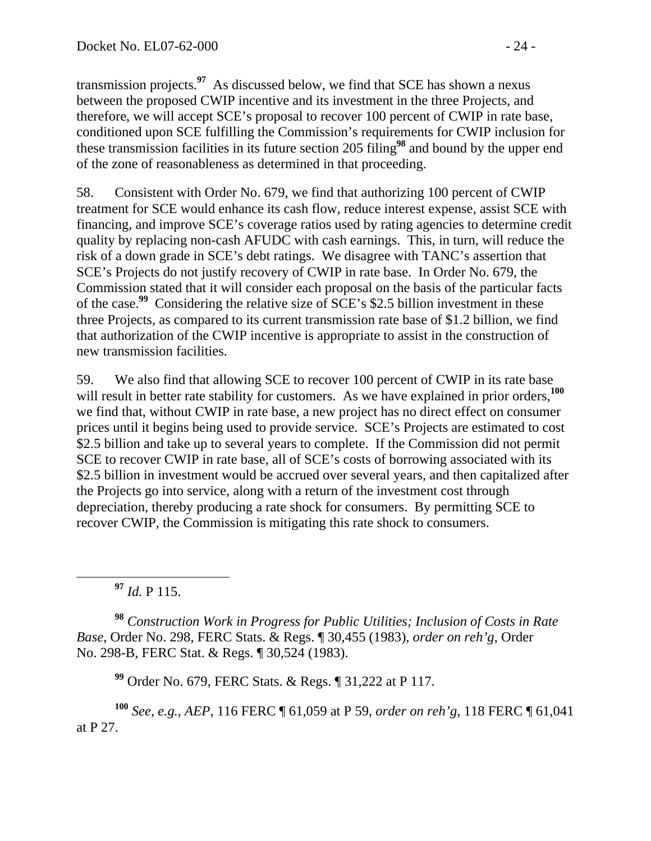transmission projects.**<sup>97</sup>** As discussed below, we find that SCE has shown a nexus between the proposed CWIP incentive and its investment in the three Projects, and therefore, we will accept SCE's proposal to recover 100 percent of CWIP in rate base, conditioned upon SCE fulfilling the Commission's requirements for CWIP inclusion for these transmission facilities in its future section 205 filing**<sup>98</sup>** and bound by the upper end of the zone of reasonableness as determined in that proceeding.

58. Consistent with Order No. 679, we find that authorizing 100 percent of CWIP treatment for SCE would enhance its cash flow, reduce interest expense, assist SCE with financing, and improve SCE's coverage ratios used by rating agencies to determine credit quality by replacing non-cash AFUDC with cash earnings. This, in turn, will reduce the risk of a down grade in SCE's debt ratings. We disagree with TANC's assertion that SCE's Projects do not justify recovery of CWIP in rate base. In Order No. 679, the Commission stated that it will consider each proposal on the basis of the particular facts of the case.**<sup>99</sup>** Considering the relative size of SCE's \$2.5 billion investment in these three Projects, as compared to its current transmission rate base of \$1.2 billion, we find that authorization of the CWIP incentive is appropriate to assist in the construction of new transmission facilities.

59. We also find that allowing SCE to recover 100 percent of CWIP in its rate base will result in better rate stability for customers. As we have explained in prior orders,<sup>100</sup> we find that, without CWIP in rate base, a new project has no direct effect on consumer prices until it begins being used to provide service. SCE's Projects are estimated to cost \$2.5 billion and take up to several years to complete. If the Commission did not permit SCE to recover CWIP in rate base, all of SCE's costs of borrowing associated with its \$2.5 billion in investment would be accrued over several years, and then capitalized after the Projects go into service, along with a return of the investment cost through depreciation, thereby producing a rate shock for consumers. By permitting SCE to recover CWIP, the Commission is mitigating this rate shock to consumers.

**<sup>97</sup>** *Id.* P 115.

**<sup>98</sup>** *Construction Work in Progress for Public Utilities; Inclusion of Costs in Rate Base*, Order No. 298, FERC Stats. & Regs. ¶ 30,455 (1983), *order on reh'g*, Order No. 298-B, FERC Stat. & Regs. ¶ 30,524 (1983).

**<sup>99</sup>** Order No. 679, FERC Stats. & Regs. ¶ 31,222 at P 117.

**<sup>100</sup>** *See, e.g.*, *AEP*, 116 FERC ¶ 61,059 at P 59, *order on reh'g*, 118 FERC ¶ 61,041 at P 27.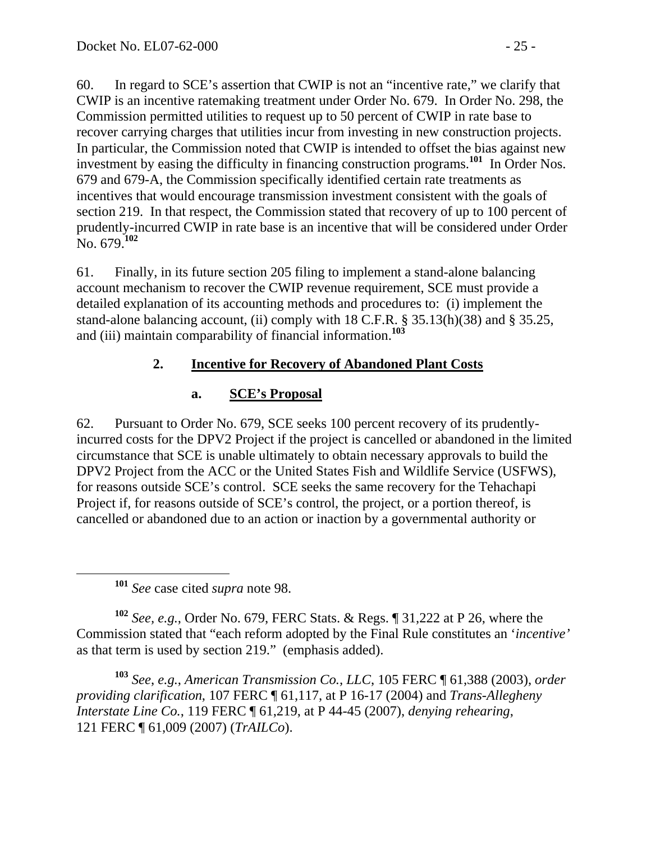60. In regard to SCE's assertion that CWIP is not an "incentive rate," we clarify that CWIP is an incentive ratemaking treatment under Order No. 679. In Order No. 298, the Commission permitted utilities to request up to 50 percent of CWIP in rate base to recover carrying charges that utilities incur from investing in new construction projects. In particular, the Commission noted that CWIP is intended to offset the bias against new investment by easing the difficulty in financing construction programs.<sup>101</sup> In Order Nos. 679 and 679-A, the Commission specifically identified certain rate treatments as incentives that would encourage transmission investment consistent with the goals of section 219. In that respect, the Commission stated that recovery of up to 100 percent of prudently-incurred CWIP in rate base is an incentive that will be considered under Order No. 679.**<sup>102</sup>**

61. Finally, in its future section 205 filing to implement a stand-alone balancing account mechanism to recover the CWIP revenue requirement, SCE must provide a detailed explanation of its accounting methods and procedures to: (i) implement the stand-alone balancing account, (ii) comply with 18 C.F.R. § 35.13(h)(38) and § 35.25, and (iii) maintain comparability of financial information.**<sup>103</sup>**

### **2. Incentive for Recovery of Abandoned Plant Costs**

### **a. SCE's Proposal**

62. Pursuant to Order No. 679, SCE seeks 100 percent recovery of its prudentlyincurred costs for the DPV2 Project if the project is cancelled or abandoned in the limited circumstance that SCE is unable ultimately to obtain necessary approvals to build the DPV2 Project from the ACC or the United States Fish and Wildlife Service (USFWS), for reasons outside SCE's control. SCE seeks the same recovery for the Tehachapi Project if, for reasons outside of SCE's control, the project, or a portion thereof, is cancelled or abandoned due to an action or inaction by a governmental authority or

**<sup>101</sup>** *See* case cited *supra* note 98.

**<sup>102</sup>** *See, e.g.*, Order No. 679, FERC Stats. & Regs. ¶ 31,222 at P 26, where the Commission stated that "each reform adopted by the Final Rule constitutes an '*incentive'* as that term is used by section 219." (emphasis added).

**<sup>103</sup>** *See*, *e.g.*, *American Transmission Co., LLC*, 105 FERC ¶ 61,388 (2003), *order providing clarification*, 107 FERC ¶ 61,117, at P 16-17 (2004) and *Trans-Allegheny Interstate Line Co.*, 119 FERC ¶ 61,219, at P 44-45 (2007), *denying rehearing*, 121 FERC ¶ 61,009 (2007) (*TrAILCo*).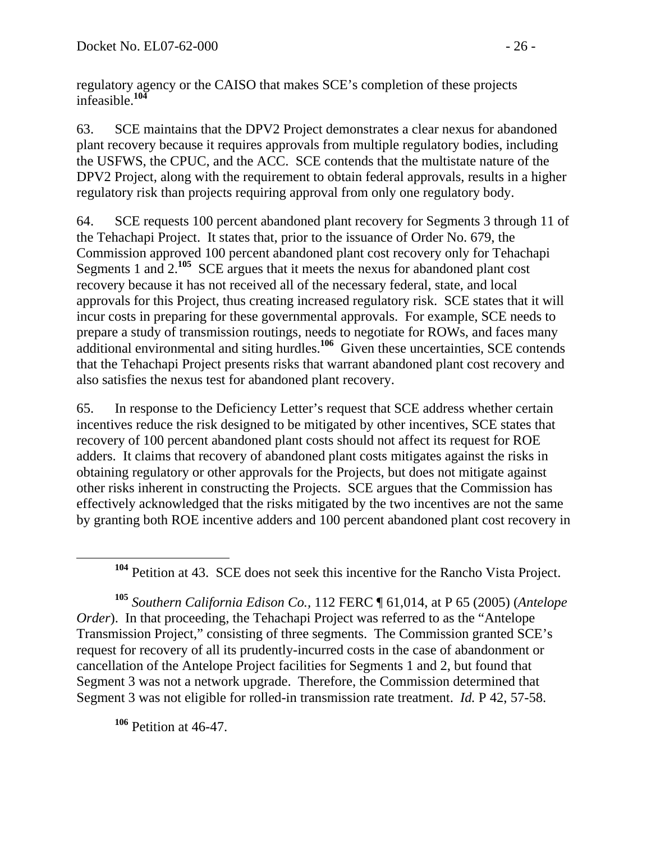regulatory agency or the CAISO that makes SCE's completion of these projects infeasible.**<sup>104</sup>**

63. SCE maintains that the DPV2 Project demonstrates a clear nexus for abandoned plant recovery because it requires approvals from multiple regulatory bodies, including the USFWS, the CPUC, and the ACC. SCE contends that the multistate nature of the DPV2 Project, along with the requirement to obtain federal approvals, results in a higher regulatory risk than projects requiring approval from only one regulatory body.

64. SCE requests 100 percent abandoned plant recovery for Segments 3 through 11 of the Tehachapi Project. It states that, prior to the issuance of Order No. 679, the Commission approved 100 percent abandoned plant cost recovery only for Tehachapi Segments 1 and 2.<sup>105</sup> SCE argues that it meets the nexus for abandoned plant cost recovery because it has not received all of the necessary federal, state, and local approvals for this Project, thus creating increased regulatory risk. SCE states that it will incur costs in preparing for these governmental approvals. For example, SCE needs to prepare a study of transmission routings, needs to negotiate for ROWs, and faces many additional environmental and siting hurdles.**<sup>106</sup>** Given these uncertainties, SCE contends that the Tehachapi Project presents risks that warrant abandoned plant cost recovery and also satisfies the nexus test for abandoned plant recovery.

65. In response to the Deficiency Letter's request that SCE address whether certain incentives reduce the risk designed to be mitigated by other incentives, SCE states that recovery of 100 percent abandoned plant costs should not affect its request for ROE adders. It claims that recovery of abandoned plant costs mitigates against the risks in obtaining regulatory or other approvals for the Projects, but does not mitigate against other risks inherent in constructing the Projects. SCE argues that the Commission has effectively acknowledged that the risks mitigated by the two incentives are not the same by granting both ROE incentive adders and 100 percent abandoned plant cost recovery in

**<sup>105</sup>** *Southern California Edison Co.,* 112 FERC ¶ 61,014, at P 65 (2005) (*Antelope Order*). In that proceeding, the Tehachapi Project was referred to as the "Antelope" Transmission Project," consisting of three segments. The Commission granted SCE's request for recovery of all its prudently-incurred costs in the case of abandonment or cancellation of the Antelope Project facilities for Segments 1 and 2, but found that Segment 3 was not a network upgrade. Therefore, the Commission determined that Segment 3 was not eligible for rolled-in transmission rate treatment. *Id.* P 42, 57-58.

**<sup>106</sup>** Petition at 46-47.

**<sup>104</sup>** Petition at 43. SCE does not seek this incentive for the Rancho Vista Project.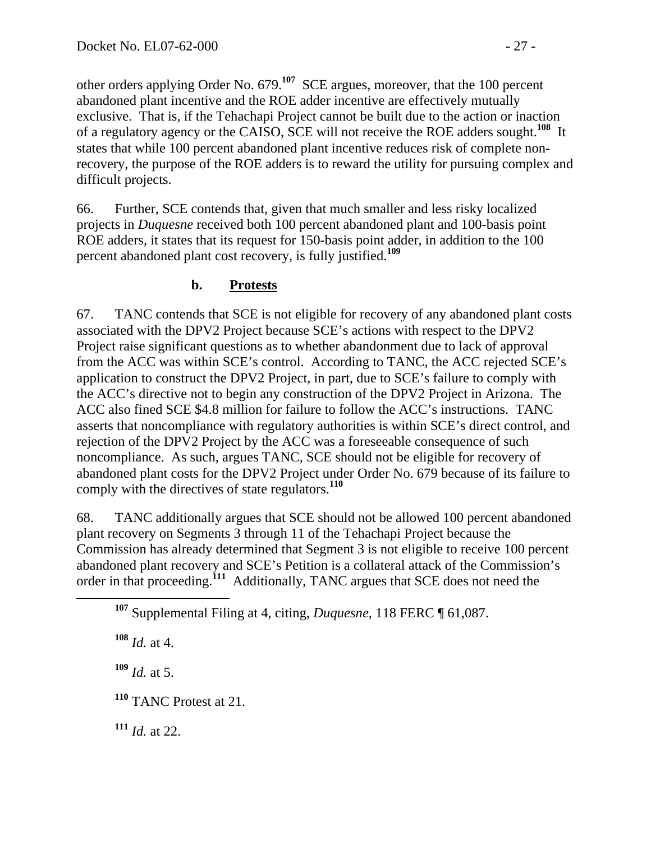other orders applying Order No. 679.**<sup>107</sup>** SCE argues, moreover, that the 100 percent abandoned plant incentive and the ROE adder incentive are effectively mutually exclusive. That is, if the Tehachapi Project cannot be built due to the action or inaction of a regulatory agency or the CAISO, SCE will not receive the ROE adders sought.**<sup>108</sup>** It states that while 100 percent abandoned plant incentive reduces risk of complete nonrecovery, the purpose of the ROE adders is to reward the utility for pursuing complex and difficult projects.

66. Further, SCE contends that, given that much smaller and less risky localized projects in *Duquesne* received both 100 percent abandoned plant and 100-basis point ROE adders, it states that its request for 150-basis point adder, in addition to the 100 percent abandoned plant cost recovery, is fully justified.**<sup>109</sup>**

## **b. Protests**

67. TANC contends that SCE is not eligible for recovery of any abandoned plant costs associated with the DPV2 Project because SCE's actions with respect to the DPV2 Project raise significant questions as to whether abandonment due to lack of approval from the ACC was within SCE's control. According to TANC, the ACC rejected SCE's application to construct the DPV2 Project, in part, due to SCE's failure to comply with the ACC's directive not to begin any construction of the DPV2 Project in Arizona. The ACC also fined SCE \$4.8 million for failure to follow the ACC's instructions. TANC asserts that noncompliance with regulatory authorities is within SCE's direct control, and rejection of the DPV2 Project by the ACC was a foreseeable consequence of such noncompliance. As such, argues TANC, SCE should not be eligible for recovery of abandoned plant costs for the DPV2 Project under Order No. 679 because of its failure to comply with the directives of state regulators.**<sup>110</sup>**

68. TANC additionally argues that SCE should not be allowed 100 percent abandoned plant recovery on Segments 3 through 11 of the Tehachapi Project because the Commission has already determined that Segment 3 is not eligible to receive 100 percent abandoned plant recovery and SCE's Petition is a collateral attack of the Commission's order in that proceeding.**<sup>111</sup>** Additionally, TANC argues that SCE does not need the

**<sup>108</sup>** *Id.* at 4.

 $109$  *Id.* at 5.

**<sup>110</sup>** TANC Protest at 21.

**<sup>111</sup>** *Id.* at 22.

**<sup>107</sup>** Supplemental Filing at 4, citing, *Duquesne*, 118 FERC ¶ 61,087.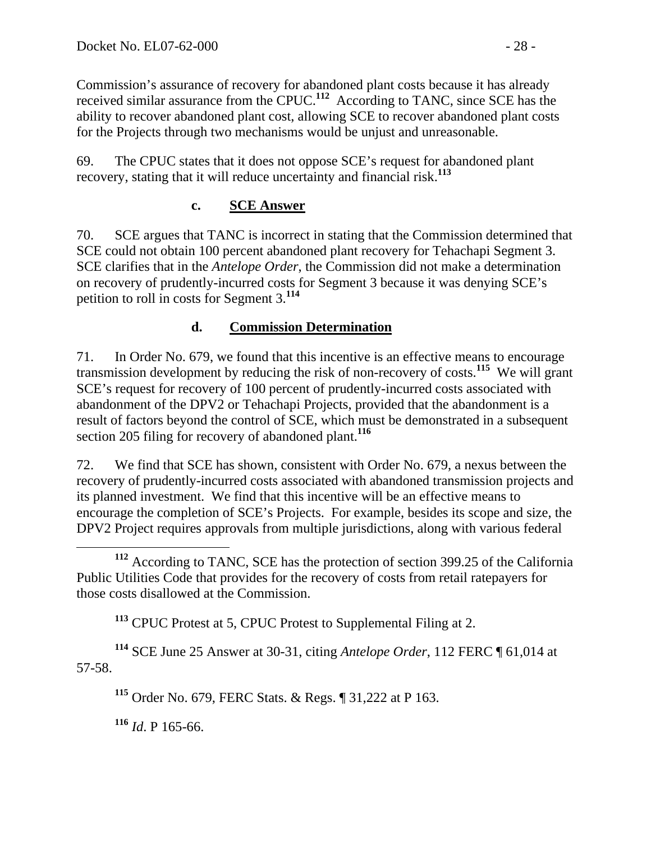Commission's assurance of recovery for abandoned plant costs because it has already received similar assurance from the CPUC.**<sup>112</sup>** According to TANC, since SCE has the ability to recover abandoned plant cost, allowing SCE to recover abandoned plant costs for the Projects through two mechanisms would be unjust and unreasonable.

69. The CPUC states that it does not oppose SCE's request for abandoned plant recovery, stating that it will reduce uncertainty and financial risk.**<sup>113</sup>**

#### **c. SCE Answer**

70. SCE argues that TANC is incorrect in stating that the Commission determined that SCE could not obtain 100 percent abandoned plant recovery for Tehachapi Segment 3. SCE clarifies that in the *Antelope Order*, the Commission did not make a determination on recovery of prudently-incurred costs for Segment 3 because it was denying SCE's petition to roll in costs for Segment 3.**<sup>114</sup>**

#### **d. Commission Determination**

71. In Order No. 679, we found that this incentive is an effective means to encourage transmission development by reducing the risk of non-recovery of costs.**<sup>115</sup>** We will grant SCE's request for recovery of 100 percent of prudently-incurred costs associated with abandonment of the DPV2 or Tehachapi Projects, provided that the abandonment is a result of factors beyond the control of SCE, which must be demonstrated in a subsequent section 205 filing for recovery of abandoned plant.**<sup>116</sup>**

72. We find that SCE has shown, consistent with Order No. 679, a nexus between the recovery of prudently-incurred costs associated with abandoned transmission projects and its planned investment. We find that this incentive will be an effective means to encourage the completion of SCE's Projects. For example, besides its scope and size, the DPV2 Project requires approvals from multiple jurisdictions, along with various federal

**<sup>113</sup>** CPUC Protest at 5, CPUC Protest to Supplemental Filing at 2.

**<sup>114</sup>** SCE June 25 Answer at 30-31, citing *Antelope Order*, 112 FERC ¶ 61,014 at 57-58.

**<sup>115</sup>** Order No. 679, FERC Stats. & Regs. ¶ 31,222 at P 163.

**<sup>116</sup>** *Id*. P 165-66.

**<sup>112</sup>** According to TANC, SCE has the protection of section 399.25 of the California Public Utilities Code that provides for the recovery of costs from retail ratepayers for those costs disallowed at the Commission.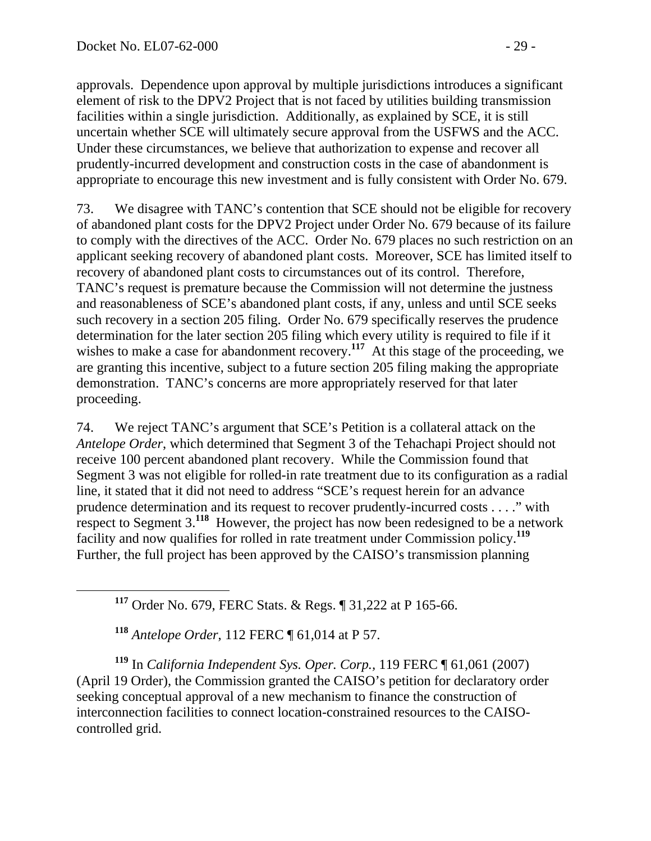approvals. Dependence upon approval by multiple jurisdictions introduces a significant element of risk to the DPV2 Project that is not faced by utilities building transmission facilities within a single jurisdiction. Additionally, as explained by SCE, it is still uncertain whether SCE will ultimately secure approval from the USFWS and the ACC. Under these circumstances, we believe that authorization to expense and recover all prudently-incurred development and construction costs in the case of abandonment is appropriate to encourage this new investment and is fully consistent with Order No. 679.

73. We disagree with TANC's contention that SCE should not be eligible for recovery of abandoned plant costs for the DPV2 Project under Order No. 679 because of its failure to comply with the directives of the ACC. Order No. 679 places no such restriction on an applicant seeking recovery of abandoned plant costs. Moreover, SCE has limited itself to recovery of abandoned plant costs to circumstances out of its control. Therefore, TANC's request is premature because the Commission will not determine the justness and reasonableness of SCE's abandoned plant costs, if any, unless and until SCE seeks such recovery in a section 205 filing. Order No. 679 specifically reserves the prudence determination for the later section 205 filing which every utility is required to file if it wishes to make a case for abandonment recovery.<sup>117</sup> At this stage of the proceeding, we are granting this incentive, subject to a future section 205 filing making the appropriate demonstration. TANC's concerns are more appropriately reserved for that later proceeding.

74. We reject TANC's argument that SCE's Petition is a collateral attack on the *Antelope Order*, which determined that Segment 3 of the Tehachapi Project should not receive 100 percent abandoned plant recovery. While the Commission found that Segment 3 was not eligible for rolled-in rate treatment due to its configuration as a radial line, it stated that it did not need to address "SCE's request herein for an advance prudence determination and its request to recover prudently-incurred costs . . . ." with respect to Segment 3.**<sup>118</sup>** However, the project has now been redesigned to be a network facility and now qualifies for rolled in rate treatment under Commission policy.**<sup>119</sup>** Further, the full project has been approved by the CAISO's transmission planning

**<sup>117</sup>** Order No. 679, FERC Stats. & Regs. ¶ 31,222 at P 165-66.

**<sup>118</sup>** *Antelope Order*, 112 FERC ¶ 61,014 at P 57.

**<sup>119</sup>** In *California Independent Sys. Oper. Corp.,* 119 FERC ¶ 61,061 (2007) (April 19 Order), the Commission granted the CAISO's petition for declaratory order seeking conceptual approval of a new mechanism to finance the construction of interconnection facilities to connect location-constrained resources to the CAISOcontrolled grid.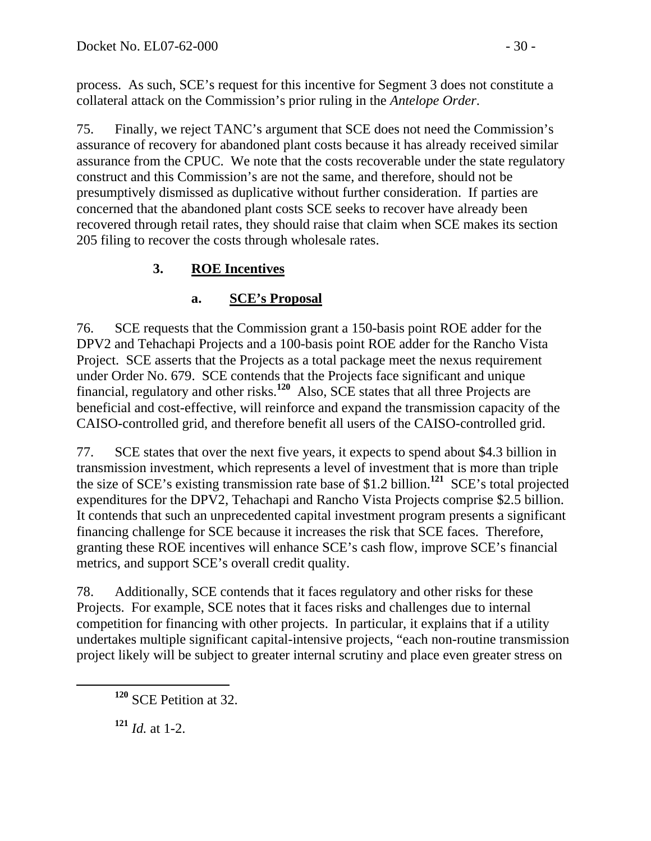process. As such, SCE's request for this incentive for Segment 3 does not constitute a collateral attack on the Commission's prior ruling in the *Antelope Order*.

75. Finally, we reject TANC's argument that SCE does not need the Commission's assurance of recovery for abandoned plant costs because it has already received similar assurance from the CPUC. We note that the costs recoverable under the state regulatory construct and this Commission's are not the same, and therefore, should not be presumptively dismissed as duplicative without further consideration. If parties are concerned that the abandoned plant costs SCE seeks to recover have already been recovered through retail rates, they should raise that claim when SCE makes its section 205 filing to recover the costs through wholesale rates.

## **3. ROE Incentives**

## **a. SCE's Proposal**

76. SCE requests that the Commission grant a 150-basis point ROE adder for the DPV2 and Tehachapi Projects and a 100-basis point ROE adder for the Rancho Vista Project. SCE asserts that the Projects as a total package meet the nexus requirement under Order No. 679. SCE contends that the Projects face significant and unique financial, regulatory and other risks.**<sup>120</sup>** Also, SCE states that all three Projects are beneficial and cost-effective, will reinforce and expand the transmission capacity of the CAISO-controlled grid, and therefore benefit all users of the CAISO-controlled grid.

77. SCE states that over the next five years, it expects to spend about \$4.3 billion in transmission investment, which represents a level of investment that is more than triple the size of SCE's existing transmission rate base of \$1.2 billion.**<sup>121</sup>** SCE's total projected expenditures for the DPV2, Tehachapi and Rancho Vista Projects comprise \$2.5 billion. It contends that such an unprecedented capital investment program presents a significant financing challenge for SCE because it increases the risk that SCE faces. Therefore, granting these ROE incentives will enhance SCE's cash flow, improve SCE's financial metrics, and support SCE's overall credit quality.

78. Additionally, SCE contends that it faces regulatory and other risks for these Projects. For example, SCE notes that it faces risks and challenges due to internal competition for financing with other projects. In particular, it explains that if a utility undertakes multiple significant capital-intensive projects, "each non-routine transmission project likely will be subject to greater internal scrutiny and place even greater stress on

**<sup>121</sup>** *Id.* at 1-2.

**<sup>120</sup>** SCE Petition at 32.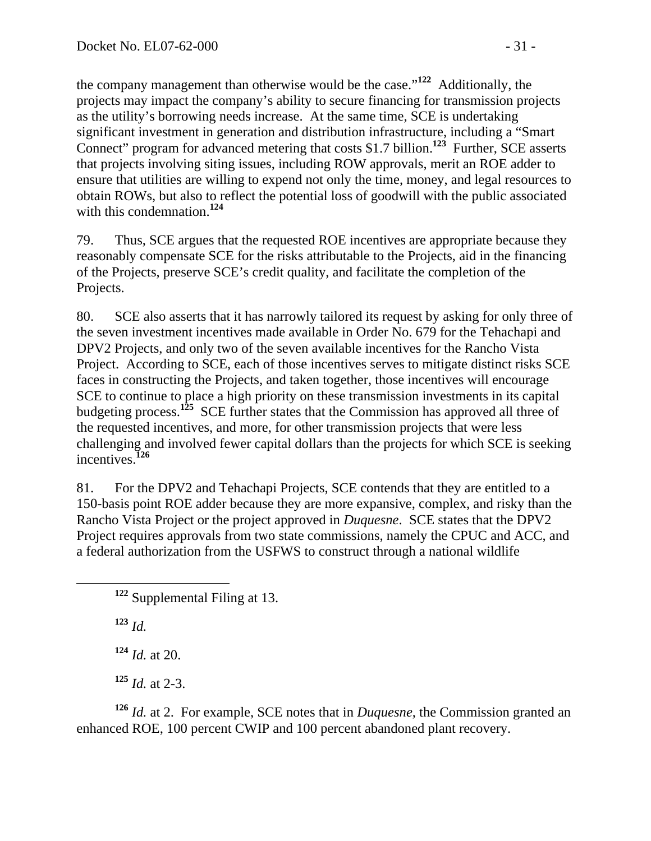the company management than otherwise would be the case."**<sup>122</sup>** Additionally, the projects may impact the company's ability to secure financing for transmission projects as the utility's borrowing needs increase. At the same time, SCE is undertaking significant investment in generation and distribution infrastructure, including a "Smart Connect" program for advanced metering that costs \$1.7 billion.**<sup>123</sup>** Further, SCE asserts that projects involving siting issues, including ROW approvals, merit an ROE adder to ensure that utilities are willing to expend not only the time, money, and legal resources to obtain ROWs, but also to reflect the potential loss of goodwill with the public associated with this condemnation.**<sup>124</sup>**

79. Thus, SCE argues that the requested ROE incentives are appropriate because they reasonably compensate SCE for the risks attributable to the Projects, aid in the financing of the Projects, preserve SCE's credit quality, and facilitate the completion of the Projects.

80. SCE also asserts that it has narrowly tailored its request by asking for only three of the seven investment incentives made available in Order No. 679 for the Tehachapi and DPV2 Projects, and only two of the seven available incentives for the Rancho Vista Project. According to SCE, each of those incentives serves to mitigate distinct risks SCE faces in constructing the Projects, and taken together, those incentives will encourage SCE to continue to place a high priority on these transmission investments in its capital budgeting process.<sup>125</sup> SCE further states that the Commission has approved all three of the requested incentives, and more, for other transmission projects that were less challenging and involved fewer capital dollars than the projects for which SCE is seeking incentives.**<sup>126</sup>**

81. For the DPV2 and Tehachapi Projects, SCE contends that they are entitled to a 150-basis point ROE adder because they are more expansive, complex, and risky than the Rancho Vista Project or the project approved in *Duquesne*. SCE states that the DPV2 Project requires approvals from two state commissions, namely the CPUC and ACC, and a federal authorization from the USFWS to construct through a national wildlife

**<sup>123</sup>** *Id.*

**<sup>124</sup>** *Id.* at 20.

**<sup>125</sup>** *Id.* at 2-3.

**<sup>126</sup>** *Id.* at 2. For example, SCE notes that in *Duquesne*, the Commission granted an enhanced ROE, 100 percent CWIP and 100 percent abandoned plant recovery.

**<sup>122</sup>** Supplemental Filing at 13.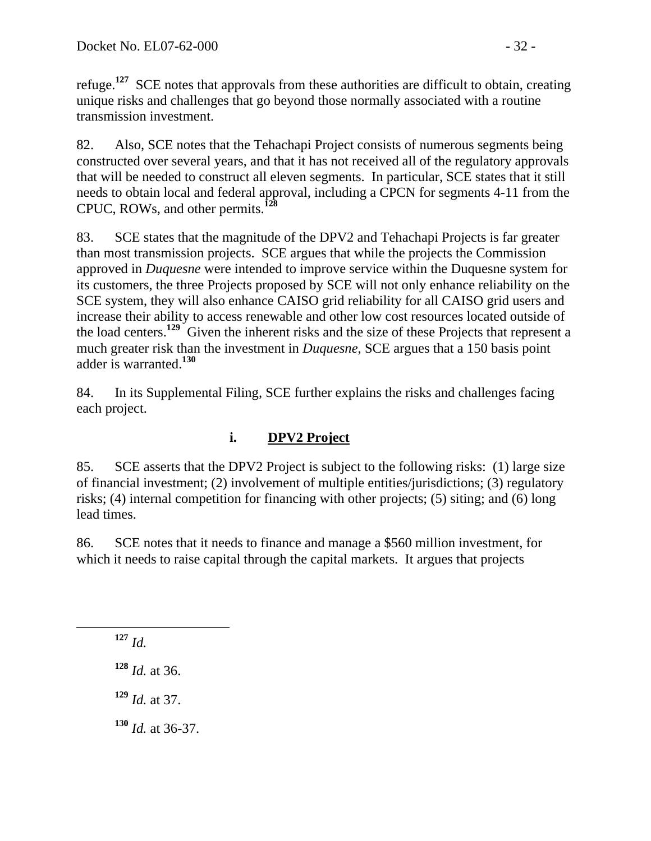refuge.**<sup>127</sup>** SCE notes that approvals from these authorities are difficult to obtain, creating unique risks and challenges that go beyond those normally associated with a routine transmission investment.

82. Also, SCE notes that the Tehachapi Project consists of numerous segments being constructed over several years, and that it has not received all of the regulatory approvals that will be needed to construct all eleven segments. In particular, SCE states that it still needs to obtain local and federal approval, including a CPCN for segments 4-11 from the CPUC, ROWs, and other permits.**<sup>128</sup>**

83. SCE states that the magnitude of the DPV2 and Tehachapi Projects is far greater than most transmission projects. SCE argues that while the projects the Commission approved in *Duquesne* were intended to improve service within the Duquesne system for its customers, the three Projects proposed by SCE will not only enhance reliability on the SCE system, they will also enhance CAISO grid reliability for all CAISO grid users and increase their ability to access renewable and other low cost resources located outside of the load centers.**<sup>129</sup>** Given the inherent risks and the size of these Projects that represent a much greater risk than the investment in *Duquesne*, SCE argues that a 150 basis point adder is warranted.**<sup>130</sup>**

84. In its Supplemental Filing, SCE further explains the risks and challenges facing each project.

# **i. DPV2 Project**

85. SCE asserts that the DPV2 Project is subject to the following risks: (1) large size of financial investment; (2) involvement of multiple entities/jurisdictions; (3) regulatory risks; (4) internal competition for financing with other projects; (5) siting; and (6) long lead times.

86. SCE notes that it needs to finance and manage a \$560 million investment, for which it needs to raise capital through the capital markets. It argues that projects

**<sup>127</sup>** *Id.*

**<sup>128</sup>** *Id.* at 36.

**<sup>129</sup>** *Id.* at 37.

**<sup>130</sup>** *Id.* at 36-37.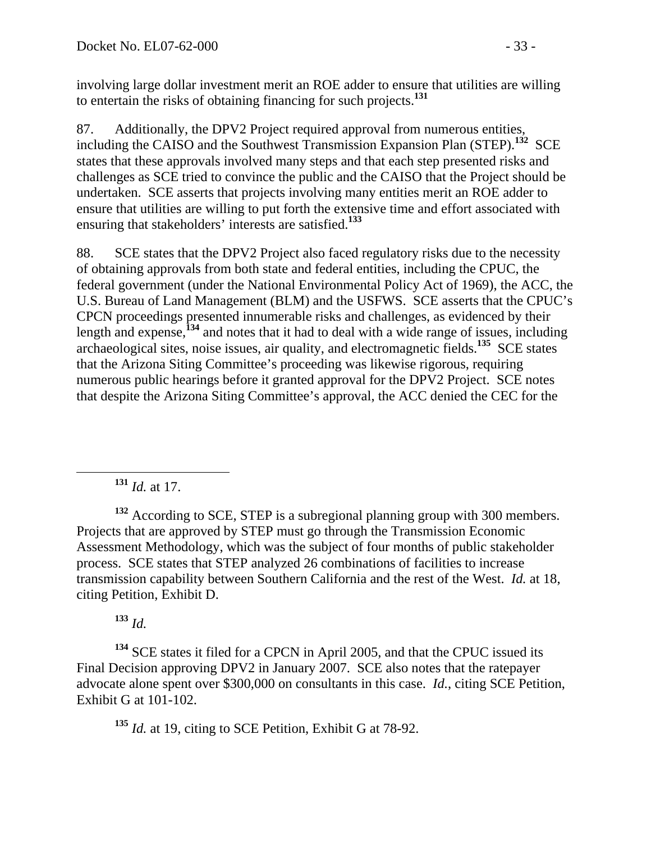involving large dollar investment merit an ROE adder to ensure that utilities are willing to entertain the risks of obtaining financing for such projects.**<sup>131</sup>**

87. Additionally, the DPV2 Project required approval from numerous entities, including the CAISO and the Southwest Transmission Expansion Plan (STEP).**<sup>132</sup>** SCE states that these approvals involved many steps and that each step presented risks and challenges as SCE tried to convince the public and the CAISO that the Project should be undertaken. SCE asserts that projects involving many entities merit an ROE adder to ensure that utilities are willing to put forth the extensive time and effort associated with ensuring that stakeholders' interests are satisfied.**<sup>133</sup>**

88. SCE states that the DPV2 Project also faced regulatory risks due to the necessity of obtaining approvals from both state and federal entities, including the CPUC, the federal government (under the National Environmental Policy Act of 1969), the ACC, the U.S. Bureau of Land Management (BLM) and the USFWS. SCE asserts that the CPUC's CPCN proceedings presented innumerable risks and challenges, as evidenced by their length and expense,**<sup>134</sup>** and notes that it had to deal with a wide range of issues, including archaeological sites, noise issues, air quality, and electromagnetic fields.**<sup>135</sup>** SCE states that the Arizona Siting Committee's proceeding was likewise rigorous, requiring numerous public hearings before it granted approval for the DPV2 Project. SCE notes that despite the Arizona Siting Committee's approval, the ACC denied the CEC for the

**<sup>131</sup>** *Id.* at 17.

**<sup>132</sup>** According to SCE, STEP is a subregional planning group with 300 members. Projects that are approved by STEP must go through the Transmission Economic Assessment Methodology, which was the subject of four months of public stakeholder process. SCE states that STEP analyzed 26 combinations of facilities to increase transmission capability between Southern California and the rest of the West. *Id.* at 18, citing Petition, Exhibit D.

**<sup>133</sup>** *Id.* 

**<sup>134</sup>** SCE states it filed for a CPCN in April 2005, and that the CPUC issued its Final Decision approving DPV2 in January 2007. SCE also notes that the ratepayer advocate alone spent over \$300,000 on consultants in this case. *Id.*, citing SCE Petition, Exhibit G at 101-102.

**<sup>135</sup>** *Id.* at 19, citing to SCE Petition, Exhibit G at 78-92.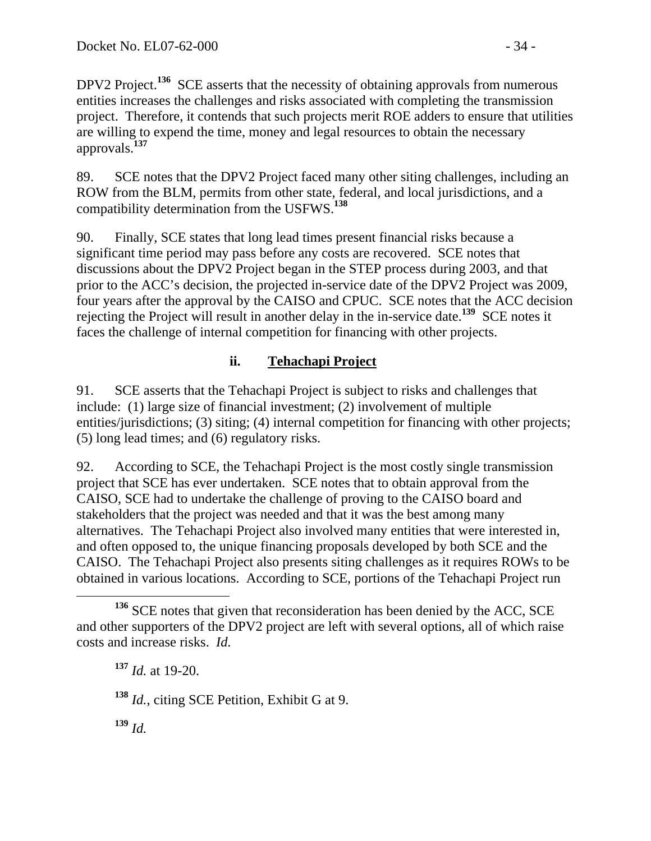DPV2 Project.<sup>136</sup> SCE asserts that the necessity of obtaining approvals from numerous entities increases the challenges and risks associated with completing the transmission project. Therefore, it contends that such projects merit ROE adders to ensure that utilities are willing to expend the time, money and legal resources to obtain the necessary approvals.**<sup>137</sup>**

89. SCE notes that the DPV2 Project faced many other siting challenges, including an ROW from the BLM, permits from other state, federal, and local jurisdictions, and a compatibility determination from the USFWS.**<sup>138</sup>**

90. Finally, SCE states that long lead times present financial risks because a significant time period may pass before any costs are recovered. SCE notes that discussions about the DPV2 Project began in the STEP process during 2003, and that prior to the ACC's decision, the projected in-service date of the DPV2 Project was 2009, four years after the approval by the CAISO and CPUC. SCE notes that the ACC decision rejecting the Project will result in another delay in the in-service date.**<sup>139</sup>** SCE notes it faces the challenge of internal competition for financing with other projects.

### **ii. Tehachapi Project**

91. SCE asserts that the Tehachapi Project is subject to risks and challenges that include: (1) large size of financial investment; (2) involvement of multiple entities/jurisdictions; (3) siting; (4) internal competition for financing with other projects; (5) long lead times; and (6) regulatory risks.

92. According to SCE, the Tehachapi Project is the most costly single transmission project that SCE has ever undertaken. SCE notes that to obtain approval from the CAISO, SCE had to undertake the challenge of proving to the CAISO board and stakeholders that the project was needed and that it was the best among many alternatives. The Tehachapi Project also involved many entities that were interested in, and often opposed to, the unique financing proposals developed by both SCE and the CAISO. The Tehachapi Project also presents siting challenges as it requires ROWs to be obtained in various locations. According to SCE, portions of the Tehachapi Project run

**<sup>138</sup>** *Id.*, citing SCE Petition, Exhibit G at 9.

**<sup>139</sup>** *Id.*

<sup>&</sup>lt;sup>136</sup> SCE notes that given that reconsideration has been denied by the ACC, SCE and other supporters of the DPV2 project are left with several options, all of which raise costs and increase risks. *Id.*

**<sup>137</sup>** *Id.* at 19-20.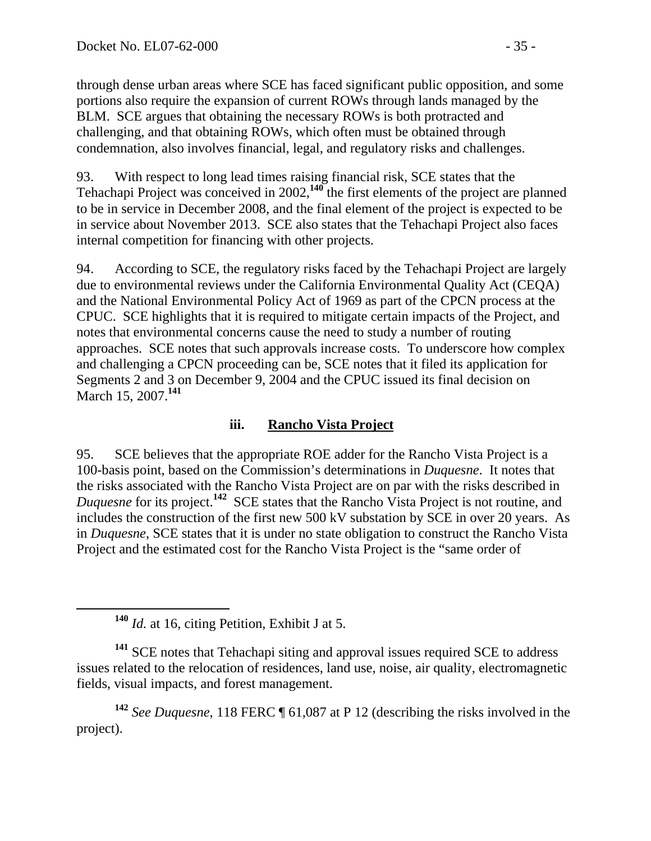through dense urban areas where SCE has faced significant public opposition, and some portions also require the expansion of current ROWs through lands managed by the BLM. SCE argues that obtaining the necessary ROWs is both protracted and challenging, and that obtaining ROWs, which often must be obtained through condemnation, also involves financial, legal, and regulatory risks and challenges.

93. With respect to long lead times raising financial risk, SCE states that the Tehachapi Project was conceived in 2002,**<sup>140</sup>** the first elements of the project are planned to be in service in December 2008, and the final element of the project is expected to be in service about November 2013. SCE also states that the Tehachapi Project also faces internal competition for financing with other projects.

94. According to SCE, the regulatory risks faced by the Tehachapi Project are largely due to environmental reviews under the California Environmental Quality Act (CEQA) and the National Environmental Policy Act of 1969 as part of the CPCN process at the CPUC. SCE highlights that it is required to mitigate certain impacts of the Project, and notes that environmental concerns cause the need to study a number of routing approaches. SCE notes that such approvals increase costs. To underscore how complex and challenging a CPCN proceeding can be, SCE notes that it filed its application for Segments 2 and 3 on December 9, 2004 and the CPUC issued its final decision on March 15, 2007.**<sup>141</sup>**

### **iii. Rancho Vista Project**

95. SCE believes that the appropriate ROE adder for the Rancho Vista Project is a 100-basis point, based on the Commission's determinations in *Duquesne*. It notes that the risks associated with the Rancho Vista Project are on par with the risks described in *Duquesne* for its project.**<sup>142</sup>** SCE states that the Rancho Vista Project is not routine, and includes the construction of the first new 500 kV substation by SCE in over 20 years. As in *Duquesne*, SCE states that it is under no state obligation to construct the Rancho Vista Project and the estimated cost for the Rancho Vista Project is the "same order of

**<sup>142</sup>** *See Duquesne*, 118 FERC ¶ 61,087 at P 12 (describing the risks involved in the project).

**<sup>140</sup>** *Id.* at 16, citing Petition, Exhibit J at 5.

**<sup>141</sup>** SCE notes that Tehachapi siting and approval issues required SCE to address issues related to the relocation of residences, land use, noise, air quality, electromagnetic fields, visual impacts, and forest management.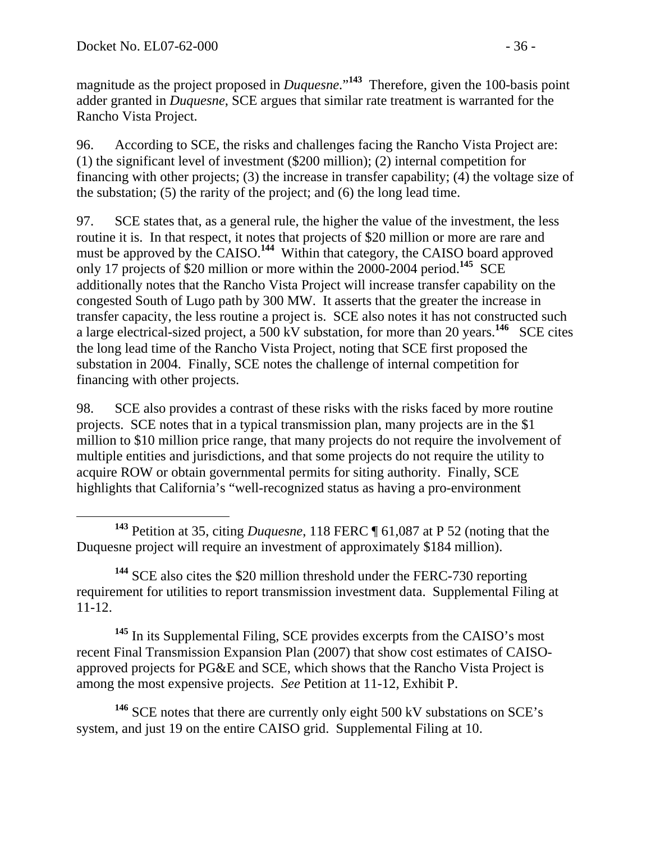magnitude as the project proposed in *Duquesne*."<sup>143</sup> Therefore, given the 100-basis point adder granted in *Duquesne*, SCE argues that similar rate treatment is warranted for the Rancho Vista Project.

96. According to SCE, the risks and challenges facing the Rancho Vista Project are: (1) the significant level of investment (\$200 million); (2) internal competition for financing with other projects; (3) the increase in transfer capability; (4) the voltage size of the substation; (5) the rarity of the project; and (6) the long lead time.

97. SCE states that, as a general rule, the higher the value of the investment, the less routine it is. In that respect, it notes that projects of \$20 million or more are rare and must be approved by the CAISO.<sup>144</sup> Within that category, the CAISO board approved only 17 projects of \$20 million or more within the 2000-2004 period.**<sup>145</sup>** SCE additionally notes that the Rancho Vista Project will increase transfer capability on the congested South of Lugo path by 300 MW. It asserts that the greater the increase in transfer capacity, the less routine a project is. SCE also notes it has not constructed such a large electrical-sized project, a 500 kV substation, for more than 20 years.**<sup>146</sup>** SCE cites the long lead time of the Rancho Vista Project, noting that SCE first proposed the substation in 2004. Finally, SCE notes the challenge of internal competition for financing with other projects.

98. SCE also provides a contrast of these risks with the risks faced by more routine projects. SCE notes that in a typical transmission plan, many projects are in the \$1 million to \$10 million price range, that many projects do not require the involvement of multiple entities and jurisdictions, and that some projects do not require the utility to acquire ROW or obtain governmental permits for siting authority. Finally, SCE highlights that California's "well-recognized status as having a pro-environment

**<sup>144</sup>** SCE also cites the \$20 million threshold under the FERC-730 reporting requirement for utilities to report transmission investment data. Supplemental Filing at 11-12.

**<sup>145</sup>** In its Supplemental Filing, SCE provides excerpts from the CAISO's most recent Final Transmission Expansion Plan (2007) that show cost estimates of CAISOapproved projects for PG&E and SCE, which shows that the Rancho Vista Project is among the most expensive projects. *See* Petition at 11-12, Exhibit P.

**<sup>146</sup>** SCE notes that there are currently only eight 500 kV substations on SCE's system, and just 19 on the entire CAISO grid. Supplemental Filing at 10.

**<sup>143</sup>** Petition at 35, citing *Duquesne*, 118 FERC ¶ 61,087 at P 52 (noting that the Duquesne project will require an investment of approximately \$184 million).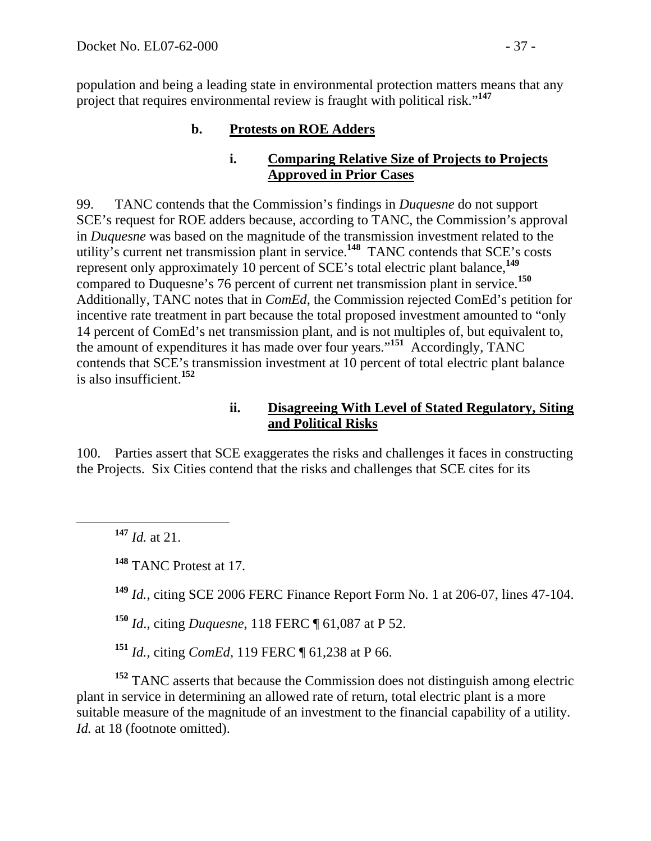population and being a leading state in environmental protection matters means that any project that requires environmental review is fraught with political risk."**<sup>147</sup>**

## **b. Protests on ROE Adders**

#### **i. Comparing Relative Size of Projects to Projects Approved in Prior Cases**

99. TANC contends that the Commission's findings in *Duquesne* do not support SCE's request for ROE adders because, according to TANC, the Commission's approval in *Duquesne* was based on the magnitude of the transmission investment related to the utility's current net transmission plant in service.**<sup>148</sup>** TANC contends that SCE's costs represent only approximately 10 percent of SCE's total electric plant balance,**<sup>149</sup>** compared to Duquesne's 76 percent of current net transmission plant in service.**<sup>150</sup>** Additionally, TANC notes that in *ComEd*, the Commission rejected ComEd's petition for incentive rate treatment in part because the total proposed investment amounted to "only 14 percent of ComEd's net transmission plant, and is not multiples of, but equivalent to, the amount of expenditures it has made over four years."**<sup>151</sup>** Accordingly, TANC contends that SCE's transmission investment at 10 percent of total electric plant balance is also insufficient.**<sup>152</sup>**

## **ii. Disagreeing With Level of Stated Regulatory, Siting and Political Risks**

100. Parties assert that SCE exaggerates the risks and challenges it faces in constructing the Projects. Six Cities contend that the risks and challenges that SCE cites for its

**<sup>147</sup>** *Id.* at 21.

**<sup>148</sup>** TANC Protest at 17.

**<sup>149</sup>** *Id.*, citing SCE 2006 FERC Finance Report Form No. 1 at 206-07, lines 47-104.

**<sup>150</sup>** *Id*., citing *Duquesne*, 118 FERC ¶ 61,087 at P 52.

**<sup>151</sup>** *Id.*, citing *ComEd*, 119 FERC ¶ 61,238 at P 66.

**<sup>152</sup>** TANC asserts that because the Commission does not distinguish among electric plant in service in determining an allowed rate of return, total electric plant is a more suitable measure of the magnitude of an investment to the financial capability of a utility. *Id.* at 18 (footnote omitted).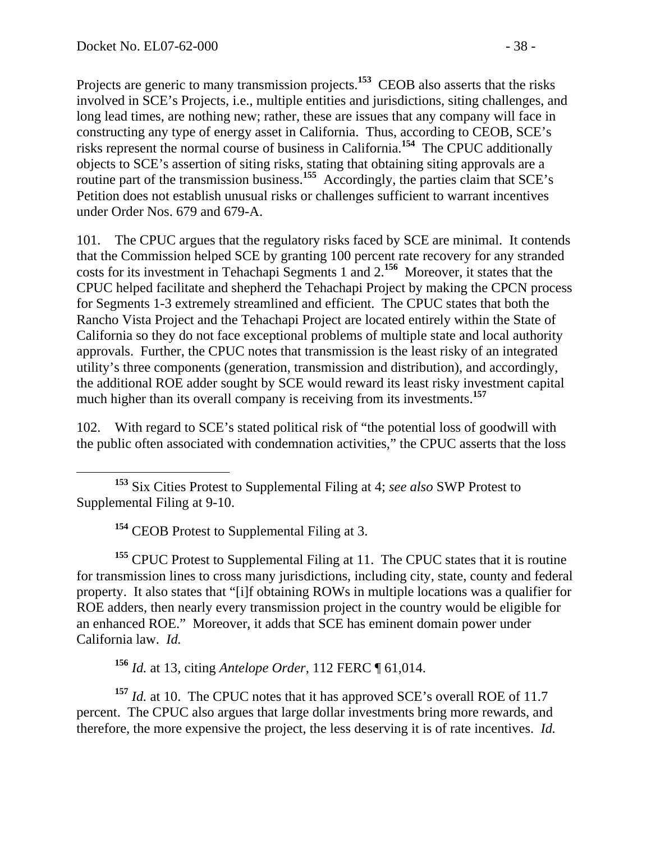Projects are generic to many transmission projects.<sup>153</sup> CEOB also asserts that the risks involved in SCE's Projects, i.e., multiple entities and jurisdictions, siting challenges, and long lead times, are nothing new; rather, these are issues that any company will face in constructing any type of energy asset in California. Thus, according to CEOB, SCE's risks represent the normal course of business in California.**<sup>154</sup>** The CPUC additionally objects to SCE's assertion of siting risks, stating that obtaining siting approvals are a routine part of the transmission business.<sup>155</sup> Accordingly, the parties claim that SCE's Petition does not establish unusual risks or challenges sufficient to warrant incentives under Order Nos. 679 and 679-A.

101. The CPUC argues that the regulatory risks faced by SCE are minimal. It contends that the Commission helped SCE by granting 100 percent rate recovery for any stranded costs for its investment in Tehachapi Segments 1 and 2.**<sup>156</sup>** Moreover, it states that the CPUC helped facilitate and shepherd the Tehachapi Project by making the CPCN process for Segments 1-3 extremely streamlined and efficient. The CPUC states that both the Rancho Vista Project and the Tehachapi Project are located entirely within the State of California so they do not face exceptional problems of multiple state and local authority approvals. Further, the CPUC notes that transmission is the least risky of an integrated utility's three components (generation, transmission and distribution), and accordingly, the additional ROE adder sought by SCE would reward its least risky investment capital much higher than its overall company is receiving from its investments.**<sup>157</sup>**

102. With regard to SCE's stated political risk of "the potential loss of goodwill with the public often associated with condemnation activities," the CPUC asserts that the loss

**<sup>154</sup>** CEOB Protest to Supplemental Filing at 3.

**<sup>155</sup>** CPUC Protest to Supplemental Filing at 11. The CPUC states that it is routine for transmission lines to cross many jurisdictions, including city, state, county and federal property. It also states that "[i]f obtaining ROWs in multiple locations was a qualifier for ROE adders, then nearly every transmission project in the country would be eligible for an enhanced ROE." Moreover, it adds that SCE has eminent domain power under California law. *Id.* 

**<sup>156</sup>** *Id.* at 13, citing *Antelope Order*, 112 FERC ¶ 61,014.

**<sup>157</sup>** *Id.* at 10. The CPUC notes that it has approved SCE's overall ROE of 11.7 percent. The CPUC also argues that large dollar investments bring more rewards, and therefore, the more expensive the project, the less deserving it is of rate incentives. *Id.* 

**<sup>153</sup>** Six Cities Protest to Supplemental Filing at 4; *see also* SWP Protest to Supplemental Filing at 9-10.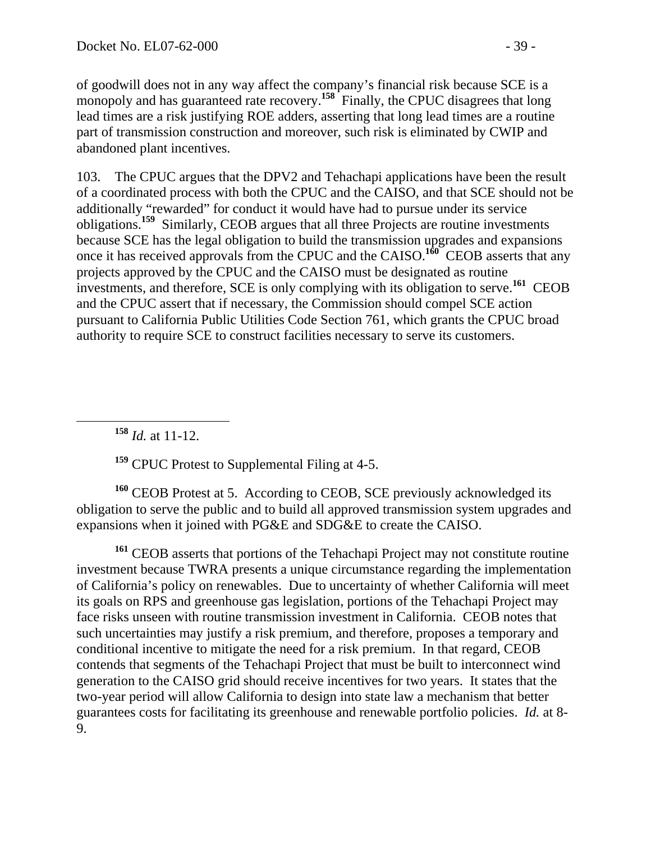of goodwill does not in any way affect the company's financial risk because SCE is a monopoly and has guaranteed rate recovery.<sup>158</sup> Finally, the CPUC disagrees that long lead times are a risk justifying ROE adders, asserting that long lead times are a routine part of transmission construction and moreover, such risk is eliminated by CWIP and abandoned plant incentives.

103. The CPUC argues that the DPV2 and Tehachapi applications have been the result of a coordinated process with both the CPUC and the CAISO, and that SCE should not be additionally "rewarded" for conduct it would have had to pursue under its service obligations.**<sup>159</sup>** Similarly, CEOB argues that all three Projects are routine investments because SCE has the legal obligation to build the transmission upgrades and expansions once it has received approvals from the CPUC and the CAISO.**<sup>160</sup>** CEOB asserts that any projects approved by the CPUC and the CAISO must be designated as routine investments, and therefore, SCE is only complying with its obligation to serve.**<sup>161</sup>** CEOB and the CPUC assert that if necessary, the Commission should compel SCE action pursuant to California Public Utilities Code Section 761, which grants the CPUC broad authority to require SCE to construct facilities necessary to serve its customers.

**<sup>158</sup>** *Id.* at 11-12.

**<sup>159</sup>** CPUC Protest to Supplemental Filing at 4-5.

**<sup>160</sup>** CEOB Protest at 5. According to CEOB, SCE previously acknowledged its obligation to serve the public and to build all approved transmission system upgrades and expansions when it joined with PG&E and SDG&E to create the CAISO.

**<sup>161</sup>** CEOB asserts that portions of the Tehachapi Project may not constitute routine investment because TWRA presents a unique circumstance regarding the implementation of California's policy on renewables. Due to uncertainty of whether California will meet its goals on RPS and greenhouse gas legislation, portions of the Tehachapi Project may face risks unseen with routine transmission investment in California. CEOB notes that such uncertainties may justify a risk premium, and therefore, proposes a temporary and conditional incentive to mitigate the need for a risk premium. In that regard, CEOB contends that segments of the Tehachapi Project that must be built to interconnect wind generation to the CAISO grid should receive incentives for two years. It states that the two-year period will allow California to design into state law a mechanism that better guarantees costs for facilitating its greenhouse and renewable portfolio policies. *Id.* at 8- 9.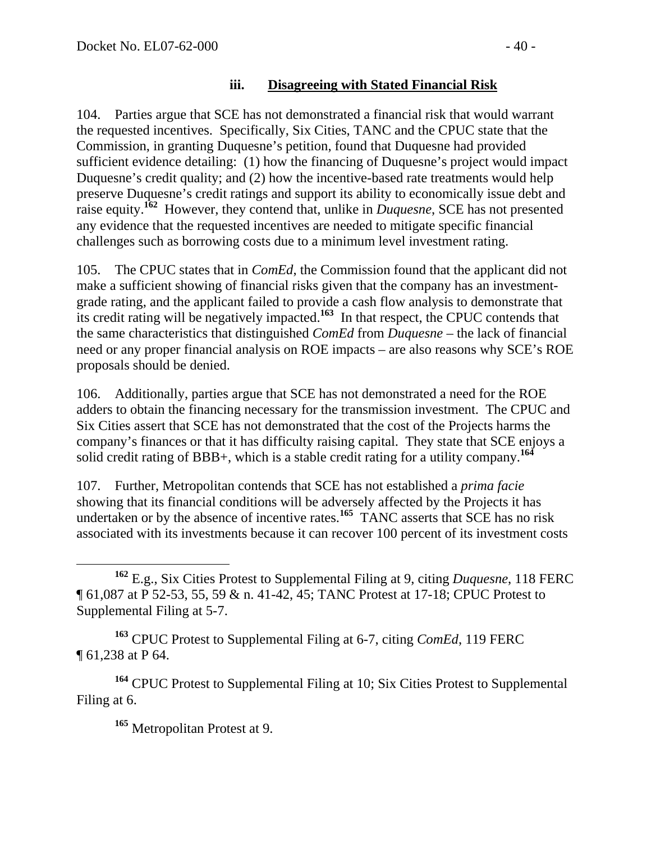104. Parties argue that SCE has not demonstrated a financial risk that would warrant the requested incentives. Specifically, Six Cities, TANC and the CPUC state that the Commission, in granting Duquesne's petition, found that Duquesne had provided sufficient evidence detailing: (1) how the financing of Duquesne's project would impact Duquesne's credit quality; and (2) how the incentive-based rate treatments would help preserve Duquesne's credit ratings and support its ability to economically issue debt and raise equity.**<sup>162</sup>** However, they contend that, unlike in *Duquesne*, SCE has not presented any evidence that the requested incentives are needed to mitigate specific financial challenges such as borrowing costs due to a minimum level investment rating.

105. The CPUC states that in *ComEd*, the Commission found that the applicant did not make a sufficient showing of financial risks given that the company has an investmentgrade rating, and the applicant failed to provide a cash flow analysis to demonstrate that its credit rating will be negatively impacted.**<sup>163</sup>** In that respect, the CPUC contends that the same characteristics that distinguished *ComEd* from *Duquesne* – the lack of financial need or any proper financial analysis on ROE impacts – are also reasons why SCE's ROE proposals should be denied.

106. Additionally, parties argue that SCE has not demonstrated a need for the ROE adders to obtain the financing necessary for the transmission investment. The CPUC and Six Cities assert that SCE has not demonstrated that the cost of the Projects harms the company's finances or that it has difficulty raising capital. They state that SCE enjoys a solid credit rating of BBB+, which is a stable credit rating for a utility company.**<sup>164</sup>**

107. Further, Metropolitan contends that SCE has not established a *prima facie*  showing that its financial conditions will be adversely affected by the Projects it has undertaken or by the absence of incentive rates.<sup>165</sup> TANC asserts that SCE has no risk associated with its investments because it can recover 100 percent of its investment costs

**<sup>163</sup>** CPUC Protest to Supplemental Filing at 6-7, citing *ComEd*, 119 FERC ¶ 61,238 at P 64.

**<sup>164</sup>** CPUC Protest to Supplemental Filing at 10; Six Cities Protest to Supplemental Filing at 6.

**<sup>165</sup>** Metropolitan Protest at 9.

**<sup>162</sup>** E.g., Six Cities Protest to Supplemental Filing at 9, citing *Duquesne*, 118 FERC ¶ 61,087 at P 52-53, 55, 59 & n. 41-42, 45; TANC Protest at 17-18; CPUC Protest to Supplemental Filing at 5-7.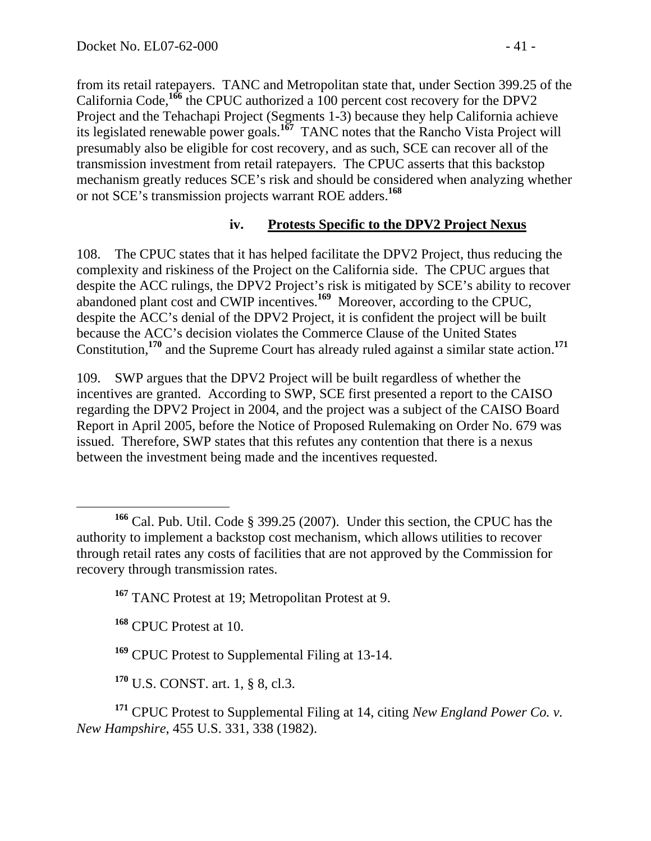from its retail ratepayers. TANC and Metropolitan state that, under Section 399.25 of the California Code,**<sup>166</sup>** the CPUC authorized a 100 percent cost recovery for the DPV2 Project and the Tehachapi Project (Segments 1-3) because they help California achieve its legislated renewable power goals.**<sup>167</sup>** TANC notes that the Rancho Vista Project will presumably also be eligible for cost recovery, and as such, SCE can recover all of the transmission investment from retail ratepayers. The CPUC asserts that this backstop mechanism greatly reduces SCE's risk and should be considered when analyzing whether or not SCE's transmission projects warrant ROE adders.**<sup>168</sup>**

#### **iv. Protests Specific to the DPV2 Project Nexus**

108. The CPUC states that it has helped facilitate the DPV2 Project, thus reducing the complexity and riskiness of the Project on the California side. The CPUC argues that despite the ACC rulings, the DPV2 Project's risk is mitigated by SCE's ability to recover abandoned plant cost and CWIP incentives.**<sup>169</sup>** Moreover, according to the CPUC, despite the ACC's denial of the DPV2 Project, it is confident the project will be built because the ACC's decision violates the Commerce Clause of the United States Constitution,**<sup>170</sup>** and the Supreme Court has already ruled against a similar state action.**<sup>171</sup>**

109. SWP argues that the DPV2 Project will be built regardless of whether the incentives are granted. According to SWP, SCE first presented a report to the CAISO regarding the DPV2 Project in 2004, and the project was a subject of the CAISO Board Report in April 2005, before the Notice of Proposed Rulemaking on Order No. 679 was issued. Therefore, SWP states that this refutes any contention that there is a nexus between the investment being made and the incentives requested.

**<sup>168</sup>** CPUC Protest at 10.

**<sup>170</sup>** U.S. CONST. art. 1, § 8, cl.3.

**<sup>171</sup>** CPUC Protest to Supplemental Filing at 14, citing *New England Power Co. v. New Hampshire*, 455 U.S. 331, 338 (1982).

**<sup>166</sup>** Cal. Pub. Util. Code § 399.25 (2007). Under this section, the CPUC has the authority to implement a backstop cost mechanism, which allows utilities to recover through retail rates any costs of facilities that are not approved by the Commission for recovery through transmission rates.

**<sup>167</sup>** TANC Protest at 19; Metropolitan Protest at 9.

**<sup>169</sup>** CPUC Protest to Supplemental Filing at 13-14.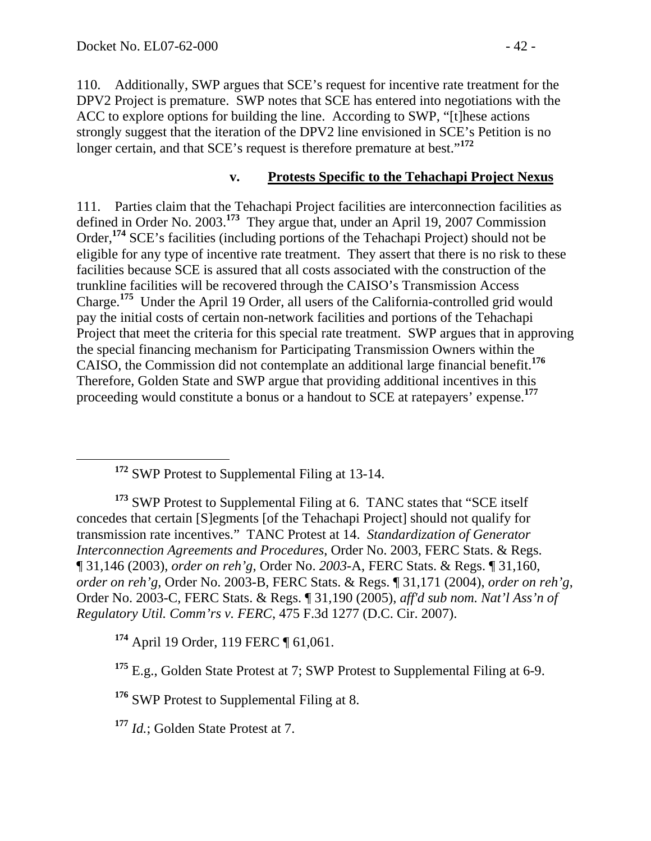110. Additionally, SWP argues that SCE's request for incentive rate treatment for the DPV2 Project is premature. SWP notes that SCE has entered into negotiations with the ACC to explore options for building the line. According to SWP, "[t]hese actions strongly suggest that the iteration of the DPV2 line envisioned in SCE's Petition is no longer certain, and that SCE's request is therefore premature at best."<sup>172</sup>

## **v. Protests Specific to the Tehachapi Project Nexus**

111. Parties claim that the Tehachapi Project facilities are interconnection facilities as defined in Order No. 2003.**<sup>173</sup>** They argue that, under an April 19, 2007 Commission Order,**<sup>174</sup>** SCE's facilities (including portions of the Tehachapi Project) should not be eligible for any type of incentive rate treatment. They assert that there is no risk to these facilities because SCE is assured that all costs associated with the construction of the trunkline facilities will be recovered through the CAISO's Transmission Access Charge.**<sup>175</sup>** Under the April 19 Order, all users of the California-controlled grid would pay the initial costs of certain non-network facilities and portions of the Tehachapi Project that meet the criteria for this special rate treatment. SWP argues that in approving the special financing mechanism for Participating Transmission Owners within the CAISO, the Commission did not contemplate an additional large financial benefit.**<sup>176</sup>** Therefore, Golden State and SWP argue that providing additional incentives in this proceeding would constitute a bonus or a handout to SCE at ratepayers' expense.**<sup>177</sup>**

**<sup>174</sup>** April 19 Order, 119 FERC ¶ 61,061.

**<sup>176</sup>** SWP Protest to Supplemental Filing at 8.

**<sup>177</sup>** *Id.*; Golden State Protest at 7.

**<sup>172</sup>** SWP Protest to Supplemental Filing at 13-14.

**<sup>173</sup>** SWP Protest to Supplemental Filing at 6. TANC states that "SCE itself concedes that certain [S]egments [of the Tehachapi Project] should not qualify for transmission rate incentives." TANC Protest at 14. *Standardization of Generator Interconnection Agreements and Procedures*, Order No. 2003, FERC Stats. & Regs. ¶ 31,146 (2003), *order on reh'g*, Order No. *2003*-A, FERC Stats. & Regs. ¶ 31,160, *order on reh'g*, Order No. 2003-B, FERC Stats. & Regs. ¶ 31,171 (2004), *order on reh'g*, Order No. 2003-C, FERC Stats. & Regs. ¶ 31,190 (2005), *aff'd sub nom. Nat'l Ass'n of Regulatory Util. Comm'rs v. FERC*, 475 F.3d 1277 (D.C. Cir. 2007).

<sup>&</sup>lt;sup>175</sup> E.g., Golden State Protest at 7; SWP Protest to Supplemental Filing at 6-9.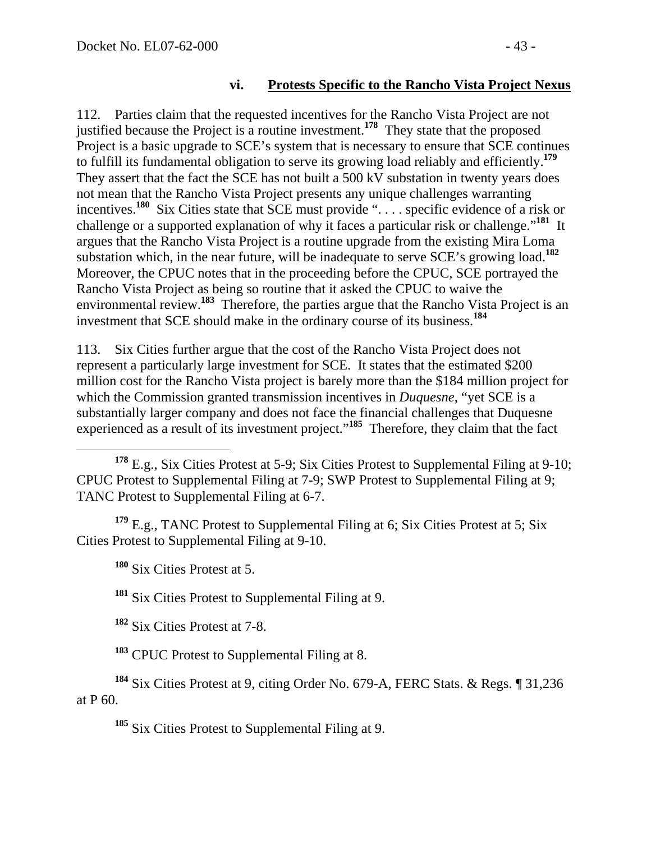#### **vi. Protests Specific to the Rancho Vista Project Nexus**

112. Parties claim that the requested incentives for the Rancho Vista Project are not justified because the Project is a routine investment.**<sup>178</sup>** They state that the proposed Project is a basic upgrade to SCE's system that is necessary to ensure that SCE continues to fulfill its fundamental obligation to serve its growing load reliably and efficiently.**<sup>179</sup>** They assert that the fact the SCE has not built a 500 kV substation in twenty years does not mean that the Rancho Vista Project presents any unique challenges warranting incentives.**<sup>180</sup>** Six Cities state that SCE must provide ". . . . specific evidence of a risk or challenge or a supported explanation of why it faces a particular risk or challenge."**<sup>181</sup>** It argues that the Rancho Vista Project is a routine upgrade from the existing Mira Loma substation which, in the near future, will be inadequate to serve SCE's growing load.**<sup>182</sup>** Moreover, the CPUC notes that in the proceeding before the CPUC, SCE portrayed the Rancho Vista Project as being so routine that it asked the CPUC to waive the environmental review.<sup>183</sup> Therefore, the parties argue that the Rancho Vista Project is an investment that SCE should make in the ordinary course of its business.**<sup>184</sup>**

113. Six Cities further argue that the cost of the Rancho Vista Project does not represent a particularly large investment for SCE. It states that the estimated \$200 million cost for the Rancho Vista project is barely more than the \$184 million project for which the Commission granted transmission incentives in *Duquesne*, "yet SCE is a substantially larger company and does not face the financial challenges that Duquesne experienced as a result of its investment project."**<sup>185</sup>** Therefore, they claim that the fact

 **<sup>178</sup>** E.g., Six Cities Protest at 5-9; Six Cities Protest to Supplemental Filing at 9-10; CPUC Protest to Supplemental Filing at 7-9; SWP Protest to Supplemental Filing at 9; TANC Protest to Supplemental Filing at 6-7.

**<sup>179</sup>** E.g., TANC Protest to Supplemental Filing at 6; Six Cities Protest at 5; Six Cities Protest to Supplemental Filing at 9-10.

**<sup>180</sup>** Six Cities Protest at 5.

**<sup>181</sup>** Six Cities Protest to Supplemental Filing at 9.

**<sup>182</sup>** Six Cities Protest at 7-8.

**<sup>183</sup>** CPUC Protest to Supplemental Filing at 8.

**<sup>184</sup>** Six Cities Protest at 9, citing Order No. 679-A, FERC Stats. & Regs. ¶ 31,236 at P 60.

**<sup>185</sup>** Six Cities Protest to Supplemental Filing at 9.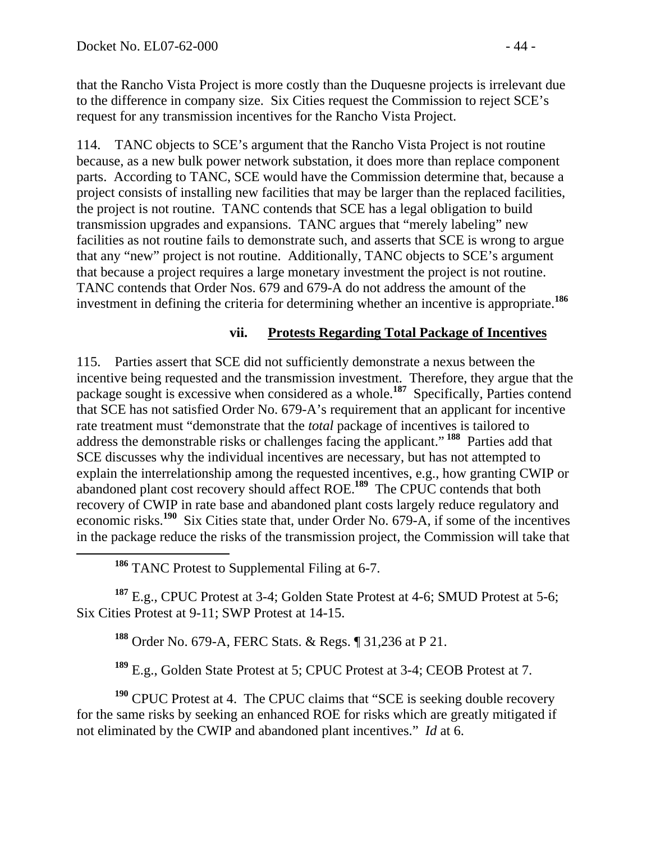that the Rancho Vista Project is more costly than the Duquesne projects is irrelevant due to the difference in company size. Six Cities request the Commission to reject SCE's request for any transmission incentives for the Rancho Vista Project.

114. TANC objects to SCE's argument that the Rancho Vista Project is not routine because, as a new bulk power network substation, it does more than replace component parts. According to TANC, SCE would have the Commission determine that, because a project consists of installing new facilities that may be larger than the replaced facilities, the project is not routine. TANC contends that SCE has a legal obligation to build transmission upgrades and expansions. TANC argues that "merely labeling" new facilities as not routine fails to demonstrate such, and asserts that SCE is wrong to argue that any "new" project is not routine. Additionally, TANC objects to SCE's argument that because a project requires a large monetary investment the project is not routine. TANC contends that Order Nos. 679 and 679-A do not address the amount of the investment in defining the criteria for determining whether an incentive is appropriate.**<sup>186</sup>**

#### **vii. Protests Regarding Total Package of Incentives**

115. Parties assert that SCE did not sufficiently demonstrate a nexus between the incentive being requested and the transmission investment. Therefore, they argue that the package sought is excessive when considered as a whole.**<sup>187</sup>** Specifically, Parties contend that SCE has not satisfied Order No. 679-A's requirement that an applicant for incentive rate treatment must "demonstrate that the *total* package of incentives is tailored to address the demonstrable risks or challenges facing the applicant."**<sup>188</sup>** Parties add that SCE discusses why the individual incentives are necessary, but has not attempted to explain the interrelationship among the requested incentives, e.g., how granting CWIP or abandoned plant cost recovery should affect ROE.**<sup>189</sup>** The CPUC contends that both recovery of CWIP in rate base and abandoned plant costs largely reduce regulatory and economic risks.**<sup>190</sup>** Six Cities state that, under Order No. 679-A, if some of the incentives in the package reduce the risks of the transmission project, the Commission will take that

**<sup>186</sup>** TANC Protest to Supplemental Filing at 6-7.

**<sup>187</sup>** E.g., CPUC Protest at 3-4; Golden State Protest at 4-6; SMUD Protest at 5-6; Six Cities Protest at 9-11; SWP Protest at 14-15.

**<sup>188</sup>** Order No. 679-A, FERC Stats. & Regs. ¶ 31,236 at P 21.

**<sup>189</sup>** E.g., Golden State Protest at 5; CPUC Protest at 3-4; CEOB Protest at 7.

<sup>190</sup> CPUC Protest at 4. The CPUC claims that "SCE is seeking double recovery for the same risks by seeking an enhanced ROE for risks which are greatly mitigated if not eliminated by the CWIP and abandoned plant incentives." *Id* at 6.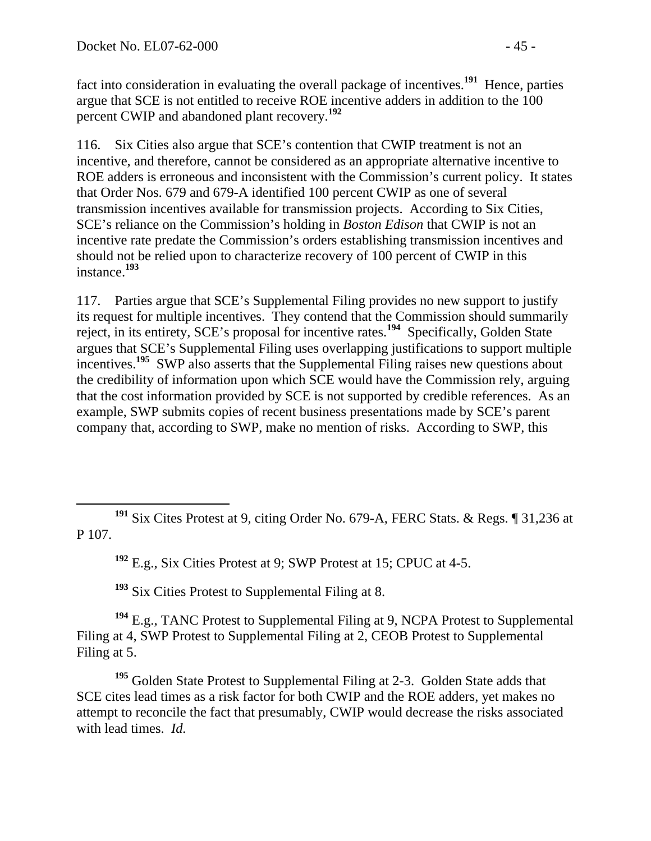fact into consideration in evaluating the overall package of incentives.**<sup>191</sup>** Hence, parties argue that SCE is not entitled to receive ROE incentive adders in addition to the 100 percent CWIP and abandoned plant recovery.**<sup>192</sup>**

116. Six Cities also argue that SCE's contention that CWIP treatment is not an incentive, and therefore, cannot be considered as an appropriate alternative incentive to ROE adders is erroneous and inconsistent with the Commission's current policy. It states that Order Nos. 679 and 679-A identified 100 percent CWIP as one of several transmission incentives available for transmission projects. According to Six Cities, SCE's reliance on the Commission's holding in *Boston Edison* that CWIP is not an incentive rate predate the Commission's orders establishing transmission incentives and should not be relied upon to characterize recovery of 100 percent of CWIP in this instance.**<sup>193</sup>**

117. Parties argue that SCE's Supplemental Filing provides no new support to justify its request for multiple incentives. They contend that the Commission should summarily reject, in its entirety, SCE's proposal for incentive rates.**<sup>194</sup>** Specifically, Golden State argues that SCE's Supplemental Filing uses overlapping justifications to support multiple incentives.**<sup>195</sup>** SWP also asserts that the Supplemental Filing raises new questions about the credibility of information upon which SCE would have the Commission rely, arguing that the cost information provided by SCE is not supported by credible references. As an example, SWP submits copies of recent business presentations made by SCE's parent company that, according to SWP, make no mention of risks. According to SWP, this

**<sup>192</sup>** E.g., Six Cities Protest at 9; SWP Protest at 15; CPUC at 4-5.

**<sup>193</sup>** Six Cities Protest to Supplemental Filing at 8.

**<sup>194</sup>** E.g., TANC Protest to Supplemental Filing at 9, NCPA Protest to Supplemental Filing at 4, SWP Protest to Supplemental Filing at 2, CEOB Protest to Supplemental Filing at 5.

**<sup>195</sup>** Golden State Protest to Supplemental Filing at 2-3. Golden State adds that SCE cites lead times as a risk factor for both CWIP and the ROE adders, yet makes no attempt to reconcile the fact that presumably, CWIP would decrease the risks associated with lead times. *Id.* 

**<sup>191</sup>** Six Cites Protest at 9, citing Order No. 679-A, FERC Stats. & Regs. ¶ 31,236 at P 107.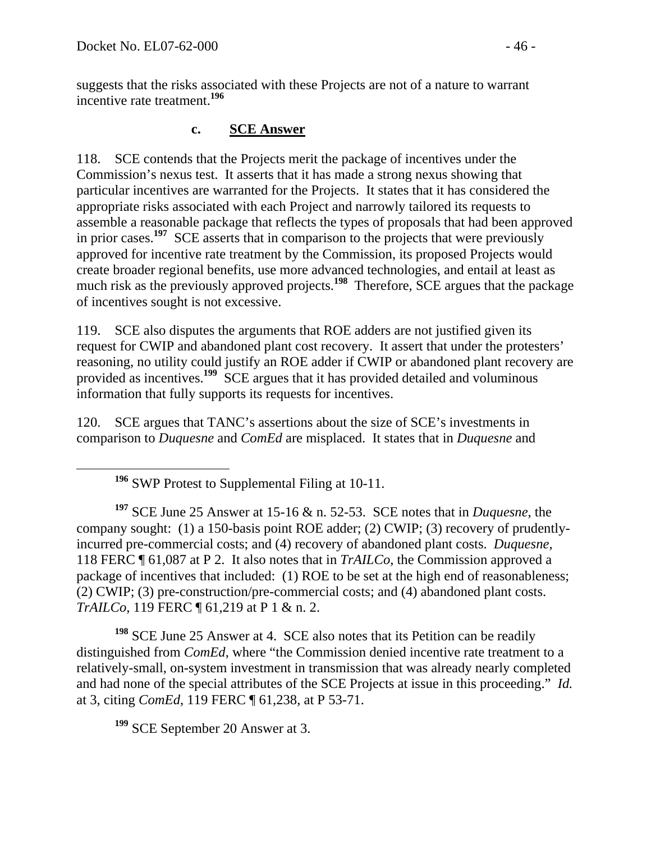suggests that the risks associated with these Projects are not of a nature to warrant incentive rate treatment.**<sup>196</sup>**

# **c. SCE Answer**

118. SCE contends that the Projects merit the package of incentives under the Commission's nexus test. It asserts that it has made a strong nexus showing that particular incentives are warranted for the Projects. It states that it has considered the appropriate risks associated with each Project and narrowly tailored its requests to assemble a reasonable package that reflects the types of proposals that had been approved in prior cases.**<sup>197</sup>** SCE asserts that in comparison to the projects that were previously approved for incentive rate treatment by the Commission, its proposed Projects would create broader regional benefits, use more advanced technologies, and entail at least as much risk as the previously approved projects.<sup>198</sup> Therefore, SCE argues that the package of incentives sought is not excessive.

119. SCE also disputes the arguments that ROE adders are not justified given its request for CWIP and abandoned plant cost recovery. It assert that under the protesters' reasoning, no utility could justify an ROE adder if CWIP or abandoned plant recovery are provided as incentives.**<sup>199</sup>** SCE argues that it has provided detailed and voluminous information that fully supports its requests for incentives.

120. SCE argues that TANC's assertions about the size of SCE's investments in comparison to *Duquesne* and *ComEd* are misplaced. It states that in *Duquesne* and

**<sup>197</sup>** SCE June 25 Answer at 15-16 & n. 52-53. SCE notes that in *Duquesne*, the company sought: (1) a 150-basis point ROE adder; (2) CWIP; (3) recovery of prudentlyincurred pre-commercial costs; and (4) recovery of abandoned plant costs. *Duquesne*, 118 FERC ¶ 61,087 at P 2. It also notes that in *TrAILCo*, the Commission approved a package of incentives that included: (1) ROE to be set at the high end of reasonableness; (2) CWIP; (3) pre-construction/pre-commercial costs; and (4) abandoned plant costs. *TrAILCo*, 119 FERC ¶ 61,219 at P 1 & n. 2.

**<sup>198</sup>** SCE June 25 Answer at 4. SCE also notes that its Petition can be readily distinguished from *ComEd*, where "the Commission denied incentive rate treatment to a relatively-small, on-system investment in transmission that was already nearly completed and had none of the special attributes of the SCE Projects at issue in this proceeding." *Id.* at 3, citing *ComEd*, 119 FERC ¶ 61,238, at P 53-71.

**<sup>199</sup>** SCE September 20 Answer at 3.

**<sup>196</sup>** SWP Protest to Supplemental Filing at 10-11.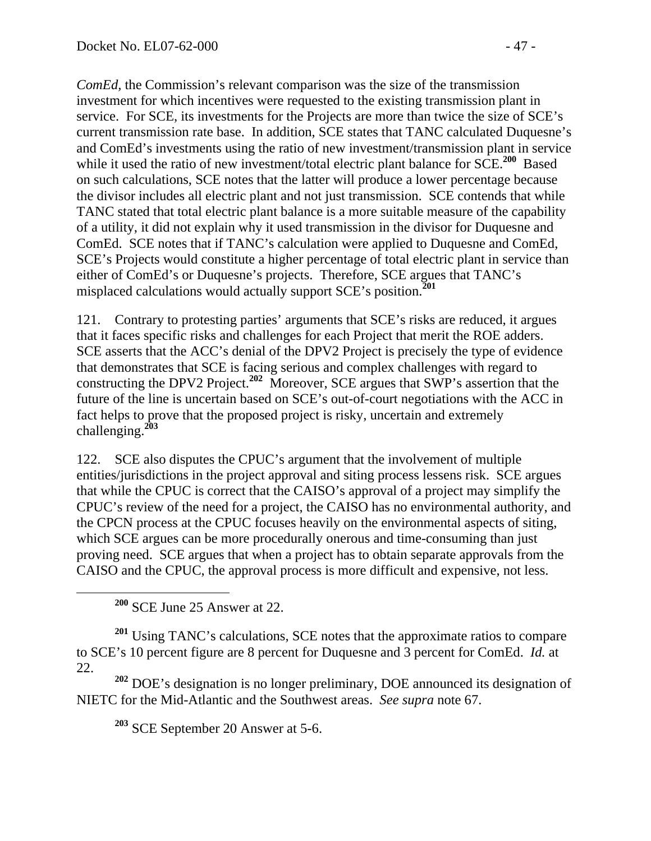*ComEd,* the Commission's relevant comparison was the size of the transmission investment for which incentives were requested to the existing transmission plant in service. For SCE, its investments for the Projects are more than twice the size of SCE's current transmission rate base. In addition, SCE states that TANC calculated Duquesne's and ComEd's investments using the ratio of new investment/transmission plant in service while it used the ratio of new investment/total electric plant balance for  $\angle$ SCE.<sup>200</sup> Based on such calculations, SCE notes that the latter will produce a lower percentage because the divisor includes all electric plant and not just transmission. SCE contends that while TANC stated that total electric plant balance is a more suitable measure of the capability of a utility, it did not explain why it used transmission in the divisor for Duquesne and ComEd. SCE notes that if TANC's calculation were applied to Duquesne and ComEd, SCE's Projects would constitute a higher percentage of total electric plant in service than either of ComEd's or Duquesne's projects. Therefore, SCE argues that TANC's misplaced calculations would actually support SCE's position.**<sup>201</sup>**

121. Contrary to protesting parties' arguments that SCE's risks are reduced, it argues that it faces specific risks and challenges for each Project that merit the ROE adders. SCE asserts that the ACC's denial of the DPV2 Project is precisely the type of evidence that demonstrates that SCE is facing serious and complex challenges with regard to constructing the DPV2 Project.**<sup>202</sup>** Moreover, SCE argues that SWP's assertion that the future of the line is uncertain based on SCE's out-of-court negotiations with the ACC in fact helps to prove that the proposed project is risky, uncertain and extremely challenging.**<sup>203</sup>**

122. SCE also disputes the CPUC's argument that the involvement of multiple entities/jurisdictions in the project approval and siting process lessens risk. SCE argues that while the CPUC is correct that the CAISO's approval of a project may simplify the CPUC's review of the need for a project, the CAISO has no environmental authority, and the CPCN process at the CPUC focuses heavily on the environmental aspects of siting, which SCE argues can be more procedurally onerous and time-consuming than just proving need. SCE argues that when a project has to obtain separate approvals from the CAISO and the CPUC, the approval process is more difficult and expensive, not less.

**<sup>200</sup>** SCE June 25 Answer at 22.

**<sup>201</sup>** Using TANC's calculations, SCE notes that the approximate ratios to compare to SCE's 10 percent figure are 8 percent for Duquesne and 3 percent for ComEd. *Id.* at 22.

**<sup>202</sup>** DOE's designation is no longer preliminary, DOE announced its designation of NIETC for the Mid-Atlantic and the Southwest areas. *See supra* note 67.

**<sup>203</sup>** SCE September 20 Answer at 5-6.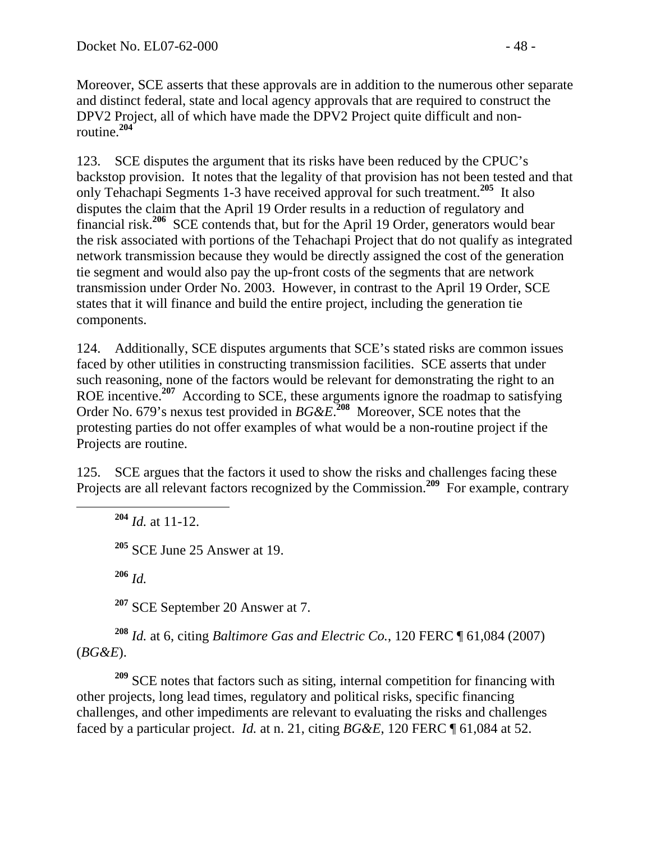Moreover, SCE asserts that these approvals are in addition to the numerous other separate and distinct federal, state and local agency approvals that are required to construct the DPV2 Project, all of which have made the DPV2 Project quite difficult and nonroutine.**<sup>204</sup>**

123. SCE disputes the argument that its risks have been reduced by the CPUC's backstop provision. It notes that the legality of that provision has not been tested and that only Tehachapi Segments 1-3 have received approval for such treatment.**<sup>205</sup>** It also disputes the claim that the April 19 Order results in a reduction of regulatory and financial risk.**<sup>206</sup>** SCE contends that, but for the April 19 Order, generators would bear the risk associated with portions of the Tehachapi Project that do not qualify as integrated network transmission because they would be directly assigned the cost of the generation tie segment and would also pay the up-front costs of the segments that are network transmission under Order No. 2003. However, in contrast to the April 19 Order, SCE states that it will finance and build the entire project, including the generation tie components.

124. Additionally, SCE disputes arguments that SCE's stated risks are common issues faced by other utilities in constructing transmission facilities. SCE asserts that under such reasoning, none of the factors would be relevant for demonstrating the right to an ROE incentive.**<sup>207</sup>** According to SCE, these arguments ignore the roadmap to satisfying Order No. 679's nexus test provided in *BG&E*. **<sup>208</sup>** Moreover, SCE notes that the protesting parties do not offer examples of what would be a non-routine project if the Projects are routine.

125. SCE argues that the factors it used to show the risks and challenges facing these Projects are all relevant factors recognized by the Commission.**<sup>209</sup>** For example, contrary

 **<sup>204</sup>** *Id.* at 11-12. **<sup>205</sup>** SCE June 25 Answer at 19. **<sup>206</sup>** *Id.* **<sup>207</sup>** SCE September 20 Answer at 7.

**<sup>208</sup>** *Id.* at 6, citing *Baltimore Gas and Electric Co.*, 120 FERC ¶ 61,084 (2007) (*BG&E*).

**<sup>209</sup>** SCE notes that factors such as siting, internal competition for financing with other projects, long lead times, regulatory and political risks, specific financing challenges, and other impediments are relevant to evaluating the risks and challenges faced by a particular project. *Id.* at n. 21, citing *BG&E*, 120 FERC ¶ 61,084 at 52.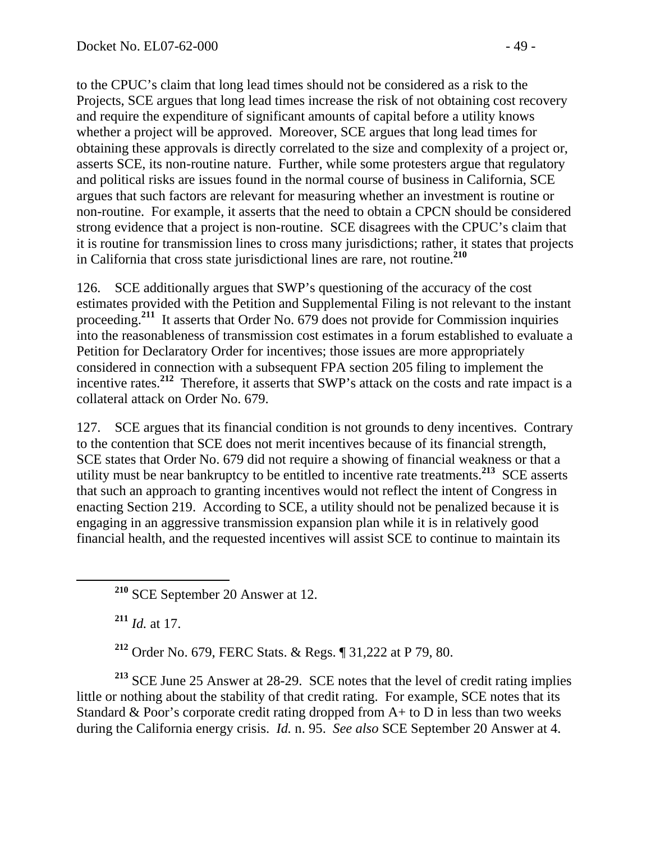to the CPUC's claim that long lead times should not be considered as a risk to the Projects, SCE argues that long lead times increase the risk of not obtaining cost recovery and require the expenditure of significant amounts of capital before a utility knows whether a project will be approved. Moreover, SCE argues that long lead times for obtaining these approvals is directly correlated to the size and complexity of a project or, asserts SCE, its non-routine nature. Further, while some protesters argue that regulatory and political risks are issues found in the normal course of business in California, SCE argues that such factors are relevant for measuring whether an investment is routine or non-routine. For example, it asserts that the need to obtain a CPCN should be considered strong evidence that a project is non-routine. SCE disagrees with the CPUC's claim that it is routine for transmission lines to cross many jurisdictions; rather, it states that projects in California that cross state jurisdictional lines are rare, not routine.**<sup>210</sup>**

126. SCE additionally argues that SWP's questioning of the accuracy of the cost estimates provided with the Petition and Supplemental Filing is not relevant to the instant proceeding.**<sup>211</sup>** It asserts that Order No. 679 does not provide for Commission inquiries into the reasonableness of transmission cost estimates in a forum established to evaluate a Petition for Declaratory Order for incentives; those issues are more appropriately considered in connection with a subsequent FPA section 205 filing to implement the incentive rates.**<sup>212</sup>** Therefore, it asserts that SWP's attack on the costs and rate impact is a collateral attack on Order No. 679.

127. SCE argues that its financial condition is not grounds to deny incentives. Contrary to the contention that SCE does not merit incentives because of its financial strength, SCE states that Order No. 679 did not require a showing of financial weakness or that a utility must be near bankruptcy to be entitled to incentive rate treatments.**<sup>213</sup>** SCE asserts that such an approach to granting incentives would not reflect the intent of Congress in enacting Section 219. According to SCE, a utility should not be penalized because it is engaging in an aggressive transmission expansion plan while it is in relatively good financial health, and the requested incentives will assist SCE to continue to maintain its

**<sup>210</sup>** SCE September 20 Answer at 12.

**<sup>211</sup>** *Id.* at 17.

**<sup>212</sup>** Order No. 679, FERC Stats. & Regs. ¶ 31,222 at P 79, 80.

**<sup>213</sup>** SCE June 25 Answer at 28-29. SCE notes that the level of credit rating implies little or nothing about the stability of that credit rating. For example, SCE notes that its Standard  $& Poor's corporate credit rating dropped from A+ to D in less than two weeks$ during the California energy crisis. *Id.* n. 95. *See also* SCE September 20 Answer at 4.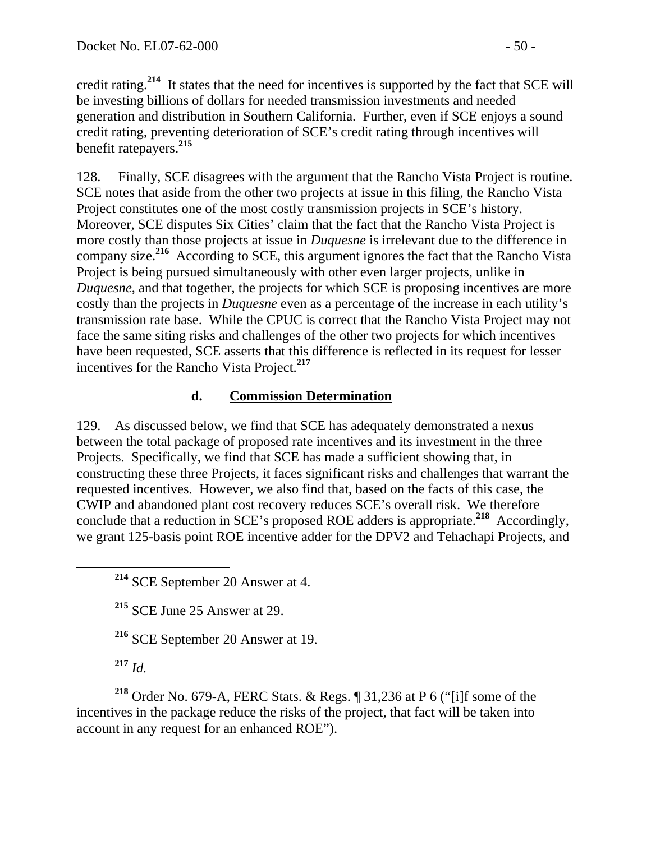credit rating.**<sup>214</sup>** It states that the need for incentives is supported by the fact that SCE will be investing billions of dollars for needed transmission investments and needed generation and distribution in Southern California. Further, even if SCE enjoys a sound credit rating, preventing deterioration of SCE's credit rating through incentives will benefit ratepayers.**<sup>215</sup>**

128. Finally, SCE disagrees with the argument that the Rancho Vista Project is routine. SCE notes that aside from the other two projects at issue in this filing, the Rancho Vista Project constitutes one of the most costly transmission projects in SCE's history. Moreover, SCE disputes Six Cities' claim that the fact that the Rancho Vista Project is more costly than those projects at issue in *Duquesne* is irrelevant due to the difference in company size.**<sup>216</sup>** According to SCE, this argument ignores the fact that the Rancho Vista Project is being pursued simultaneously with other even larger projects, unlike in *Duquesne*, and that together, the projects for which SCE is proposing incentives are more costly than the projects in *Duquesne* even as a percentage of the increase in each utility's transmission rate base. While the CPUC is correct that the Rancho Vista Project may not face the same siting risks and challenges of the other two projects for which incentives have been requested, SCE asserts that this difference is reflected in its request for lesser incentives for the Rancho Vista Project.**<sup>217</sup>**

## **d. Commission Determination**

129. As discussed below, we find that SCE has adequately demonstrated a nexus between the total package of proposed rate incentives and its investment in the three Projects. Specifically, we find that SCE has made a sufficient showing that, in constructing these three Projects, it faces significant risks and challenges that warrant the requested incentives. However, we also find that, based on the facts of this case, the CWIP and abandoned plant cost recovery reduces SCE's overall risk. We therefore conclude that a reduction in SCE's proposed ROE adders is appropriate.**<sup>218</sup>** Accordingly, we grant 125-basis point ROE incentive adder for the DPV2 and Tehachapi Projects, and

**<sup>215</sup>** SCE June 25 Answer at 29.

**<sup>216</sup>** SCE September 20 Answer at 19.

**<sup>217</sup>** *Id.* 

**<sup>218</sup>** Order No. 679-A, FERC Stats. & Regs. ¶ 31,236 at P 6 ("[i]f some of the incentives in the package reduce the risks of the project, that fact will be taken into account in any request for an enhanced ROE").

**<sup>214</sup>** SCE September 20 Answer at 4.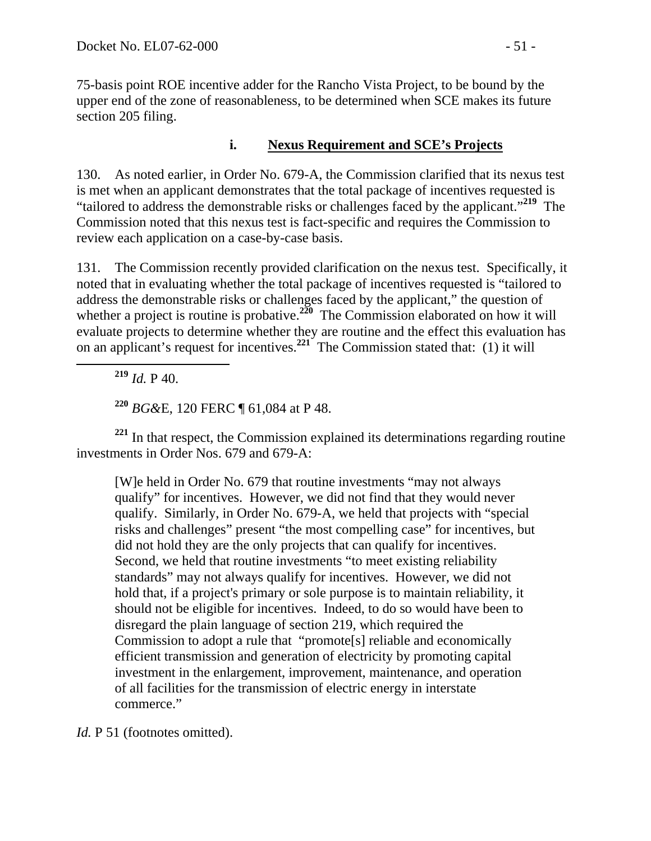75-basis point ROE incentive adder for the Rancho Vista Project, to be bound by the upper end of the zone of reasonableness, to be determined when SCE makes its future section 205 filing.

## **i. Nexus Requirement and SCE's Projects**

130. As noted earlier, in Order No. 679-A, the Commission clarified that its nexus test is met when an applicant demonstrates that the total package of incentives requested is "tailored to address the demonstrable risks or challenges faced by the applicant."**<sup>219</sup>** The Commission noted that this nexus test is fact-specific and requires the Commission to review each application on a case-by-case basis.

131. The Commission recently provided clarification on the nexus test. Specifically, it noted that in evaluating whether the total package of incentives requested is "tailored to address the demonstrable risks or challenges faced by the applicant," the question of whether a project is routine is probative.<sup>220</sup> The Commission elaborated on how it will evaluate projects to determine whether they are routine and the effect this evaluation has on an applicant's request for incentives.**<sup>221</sup>** The Commission stated that: (1) it will

**<sup>219</sup>** *Id.* P 40.

**<sup>220</sup>** *BG&*E, 120 FERC ¶ 61,084 at P 48.

**<sup>221</sup>** In that respect, the Commission explained its determinations regarding routine investments in Order Nos. 679 and 679-A:

[W]e held in Order No. 679 that routine investments "may not always qualify" for incentives. However, we did not find that they would never qualify. Similarly, in Order No. 679-A, we held that projects with "special risks and challenges" present "the most compelling case" for incentives, but did not hold they are the only projects that can qualify for incentives. Second, we held that routine investments "to meet existing reliability standards" may not always qualify for incentives. However, we did not hold that, if a project's primary or sole purpose is to maintain reliability, it should not be eligible for incentives. Indeed, to do so would have been to disregard the plain language of section 219, which required the Commission to adopt a rule that "promote[s] reliable and economically efficient transmission and generation of electricity by promoting capital investment in the enlargement, improvement, maintenance, and operation of all facilities for the transmission of electric energy in interstate commerce."

*Id.* P 51 (footnotes omitted).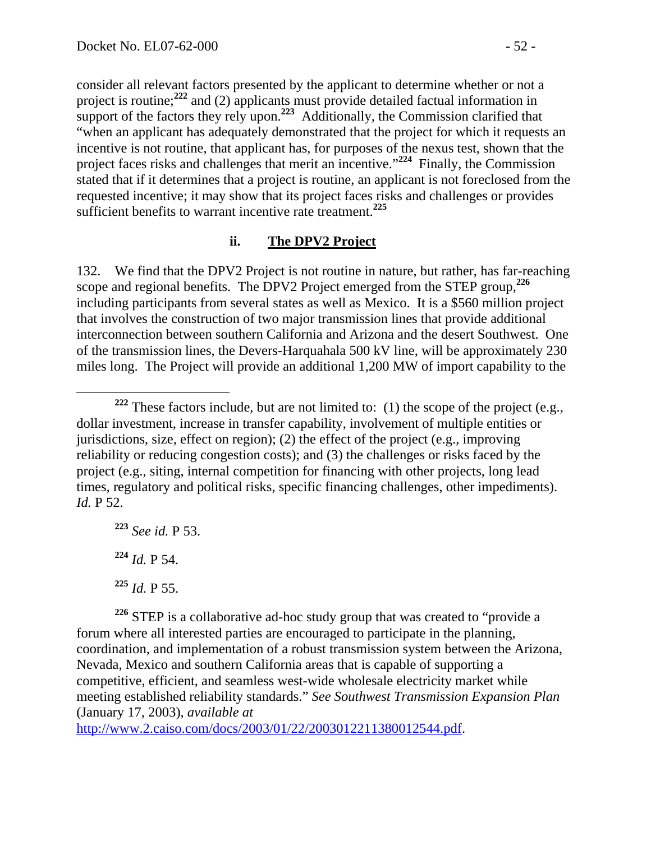consider all relevant factors presented by the applicant to determine whether or not a project is routine;**<sup>222</sup>** and (2) applicants must provide detailed factual information in support of the factors they rely upon.<sup>223</sup> Additionally, the Commission clarified that "when an applicant has adequately demonstrated that the project for which it requests an incentive is not routine, that applicant has, for purposes of the nexus test, shown that the project faces risks and challenges that merit an incentive."**<sup>224</sup>** Finally, the Commission stated that if it determines that a project is routine, an applicant is not foreclosed from the requested incentive; it may show that its project faces risks and challenges or provides sufficient benefits to warrant incentive rate treatment.**<sup>225</sup>**

## **ii. The DPV2 Project**

132. We find that the DPV2 Project is not routine in nature, but rather, has far-reaching scope and regional benefits. The DPV2 Project emerged from the STEP group,**<sup>226</sup>** including participants from several states as well as Mexico. It is a \$560 million project that involves the construction of two major transmission lines that provide additional interconnection between southern California and Arizona and the desert Southwest. One of the transmission lines, the Devers-Harquahala 500 kV line, will be approximately 230 miles long. The Project will provide an additional 1,200 MW of import capability to the

**<sup>223</sup>** *See id.* P 53. **<sup>224</sup>** *Id.* P 54.

**<sup>226</sup>** STEP is a collaborative ad-hoc study group that was created to "provide a forum where all interested parties are encouraged to participate in the planning, coordination, and implementation of a robust transmission system between the Arizona, Nevada, Mexico and southern California areas that is capable of supporting a competitive, efficient, and seamless west-wide wholesale electricity market while meeting established reliability standards." *See Southwest Transmission Expansion Plan* (January 17, 2003), *available at*

http://www.2.caiso.com/docs/2003/01/22/2003012211380012544.pdf.

**<sup>222</sup>** These factors include, but are not limited to: (1) the scope of the project (e.g., dollar investment, increase in transfer capability, involvement of multiple entities or jurisdictions, size, effect on region); (2) the effect of the project (e.g., improving reliability or reducing congestion costs); and (3) the challenges or risks faced by the project (e.g., siting, internal competition for financing with other projects, long lead times, regulatory and political risks, specific financing challenges, other impediments). *Id.* P 52.

**<sup>225</sup>** *Id.* P 55.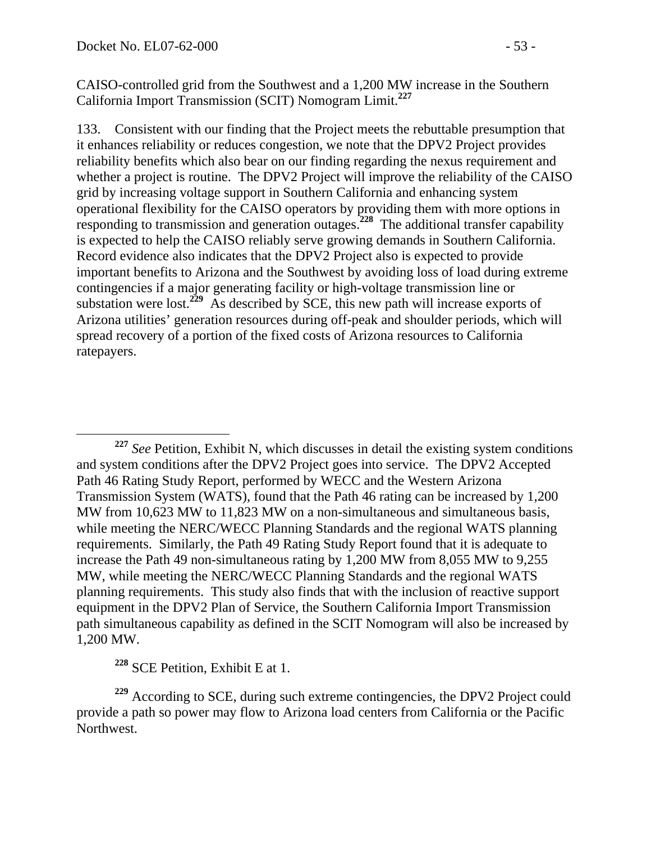CAISO-controlled grid from the Southwest and a 1,200 MW increase in the Southern California Import Transmission (SCIT) Nomogram Limit.**<sup>227</sup>**

133. Consistent with our finding that the Project meets the rebuttable presumption that it enhances reliability or reduces congestion, we note that the DPV2 Project provides reliability benefits which also bear on our finding regarding the nexus requirement and whether a project is routine. The DPV2 Project will improve the reliability of the CAISO grid by increasing voltage support in Southern California and enhancing system operational flexibility for the CAISO operators by providing them with more options in responding to transmission and generation outages.**<sup>228</sup>** The additional transfer capability is expected to help the CAISO reliably serve growing demands in Southern California. Record evidence also indicates that the DPV2 Project also is expected to provide important benefits to Arizona and the Southwest by avoiding loss of load during extreme contingencies if a major generating facility or high-voltage transmission line or substation were lost.<sup>229</sup> As described by SCE, this new path will increase exports of Arizona utilities' generation resources during off-peak and shoulder periods, which will spread recovery of a portion of the fixed costs of Arizona resources to California ratepayers.

**<sup>228</sup>** SCE Petition, Exhibit E at 1.

**<sup>227</sup>** *See* Petition, Exhibit N, which discusses in detail the existing system conditions and system conditions after the DPV2 Project goes into service. The DPV2 Accepted Path 46 Rating Study Report, performed by WECC and the Western Arizona Transmission System (WATS), found that the Path 46 rating can be increased by 1,200 MW from 10,623 MW to 11,823 MW on a non-simultaneous and simultaneous basis, while meeting the NERC/WECC Planning Standards and the regional WATS planning requirements. Similarly, the Path 49 Rating Study Report found that it is adequate to increase the Path 49 non-simultaneous rating by 1,200 MW from 8,055 MW to 9,255 MW, while meeting the NERC/WECC Planning Standards and the regional WATS planning requirements. This study also finds that with the inclusion of reactive support equipment in the DPV2 Plan of Service, the Southern California Import Transmission path simultaneous capability as defined in the SCIT Nomogram will also be increased by 1,200 MW.

**<sup>229</sup>** According to SCE, during such extreme contingencies, the DPV2 Project could provide a path so power may flow to Arizona load centers from California or the Pacific Northwest.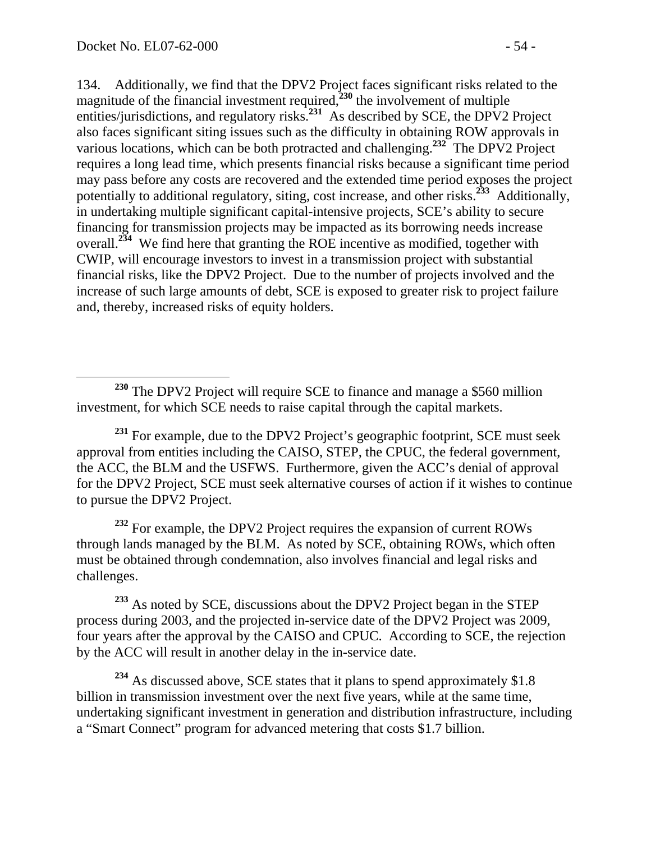134. Additionally, we find that the DPV2 Project faces significant risks related to the magnitude of the financial investment required,**<sup>230</sup>** the involvement of multiple entities/jurisdictions, and regulatory risks.**<sup>231</sup>** As described by SCE, the DPV2 Project also faces significant siting issues such as the difficulty in obtaining ROW approvals in various locations, which can be both protracted and challenging.**<sup>232</sup>** The DPV2 Project requires a long lead time, which presents financial risks because a significant time period may pass before any costs are recovered and the extended time period exposes the project potentially to additional regulatory, siting, cost increase, and other risks.**<sup>233</sup>** Additionally, in undertaking multiple significant capital-intensive projects, SCE's ability to secure financing for transmission projects may be impacted as its borrowing needs increase overall.**<sup>234</sup>** We find here that granting the ROE incentive as modified, together with CWIP, will encourage investors to invest in a transmission project with substantial financial risks, like the DPV2 Project. Due to the number of projects involved and the increase of such large amounts of debt, SCE is exposed to greater risk to project failure and, thereby, increased risks of equity holders.

**<sup>232</sup>** For example, the DPV2 Project requires the expansion of current ROWs through lands managed by the BLM. As noted by SCE, obtaining ROWs, which often must be obtained through condemnation, also involves financial and legal risks and challenges.

**<sup>233</sup>** As noted by SCE, discussions about the DPV2 Project began in the STEP process during 2003, and the projected in-service date of the DPV2 Project was 2009, four years after the approval by the CAISO and CPUC. According to SCE, the rejection by the ACC will result in another delay in the in-service date.

<sup>234</sup> As discussed above, SCE states that it plans to spend approximately \$1.8 billion in transmission investment over the next five years, while at the same time, undertaking significant investment in generation and distribution infrastructure, including a "Smart Connect" program for advanced metering that costs \$1.7 billion.

**<sup>230</sup>** The DPV2 Project will require SCE to finance and manage a \$560 million investment, for which SCE needs to raise capital through the capital markets.

**<sup>231</sup>** For example, due to the DPV2 Project's geographic footprint, SCE must seek approval from entities including the CAISO, STEP, the CPUC, the federal government, the ACC, the BLM and the USFWS. Furthermore, given the ACC's denial of approval for the DPV2 Project, SCE must seek alternative courses of action if it wishes to continue to pursue the DPV2 Project.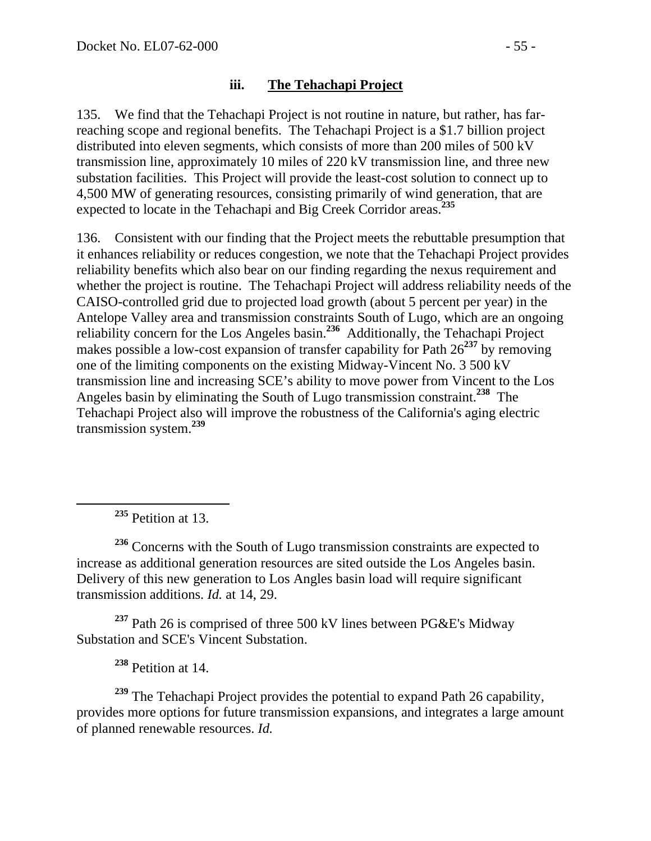#### **iii. The Tehachapi Project**

135. We find that the Tehachapi Project is not routine in nature, but rather, has farreaching scope and regional benefits. The Tehachapi Project is a \$1.7 billion project distributed into eleven segments, which consists of more than 200 miles of 500 kV transmission line, approximately 10 miles of 220 kV transmission line, and three new substation facilities. This Project will provide the least-cost solution to connect up to 4,500 MW of generating resources, consisting primarily of wind generation, that are expected to locate in the Tehachapi and Big Creek Corridor areas.**<sup>235</sup>**

136. Consistent with our finding that the Project meets the rebuttable presumption that it enhances reliability or reduces congestion, we note that the Tehachapi Project provides reliability benefits which also bear on our finding regarding the nexus requirement and whether the project is routine. The Tehachapi Project will address reliability needs of the CAISO-controlled grid due to projected load growth (about 5 percent per year) in the Antelope Valley area and transmission constraints South of Lugo, which are an ongoing reliability concern for the Los Angeles basin.**<sup>236</sup>** Additionally, the Tehachapi Project makes possible a low-cost expansion of transfer capability for Path 26**<sup>237</sup>** by removing one of the limiting components on the existing Midway-Vincent No. 3 500 kV transmission line and increasing SCE's ability to move power from Vincent to the Los Angeles basin by eliminating the South of Lugo transmission constraint.**<sup>238</sup>** The Tehachapi Project also will improve the robustness of the California's aging electric transmission system.**<sup>239</sup>**

**<sup>235</sup>** Petition at 13.

**<sup>236</sup>** Concerns with the South of Lugo transmission constraints are expected to increase as additional generation resources are sited outside the Los Angeles basin. Delivery of this new generation to Los Angles basin load will require significant transmission additions. *Id.* at 14, 29.

**<sup>237</sup>** Path 26 is comprised of three 500 kV lines between PG&E's Midway Substation and SCE's Vincent Substation.

**<sup>238</sup>** Petition at 14.

**<sup>239</sup>** The Tehachapi Project provides the potential to expand Path 26 capability, provides more options for future transmission expansions, and integrates a large amount of planned renewable resources. *Id.*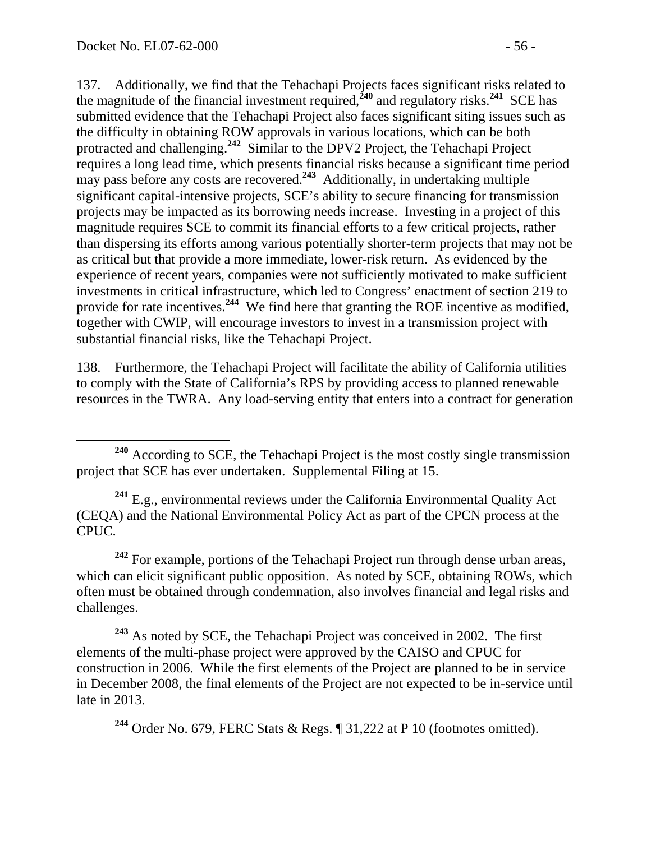137. Additionally, we find that the Tehachapi Projects faces significant risks related to the magnitude of the financial investment required,  $\frac{240}{40}$  and regulatory risks.<sup>241</sup> SCE has submitted evidence that the Tehachapi Project also faces significant siting issues such as the difficulty in obtaining ROW approvals in various locations, which can be both protracted and challenging.**<sup>242</sup>** Similar to the DPV2 Project, the Tehachapi Project requires a long lead time, which presents financial risks because a significant time period may pass before any costs are recovered.**<sup>243</sup>** Additionally, in undertaking multiple significant capital-intensive projects, SCE's ability to secure financing for transmission projects may be impacted as its borrowing needs increase. Investing in a project of this magnitude requires SCE to commit its financial efforts to a few critical projects, rather than dispersing its efforts among various potentially shorter-term projects that may not be as critical but that provide a more immediate, lower-risk return. As evidenced by the experience of recent years, companies were not sufficiently motivated to make sufficient investments in critical infrastructure, which led to Congress' enactment of section 219 to provide for rate incentives.<sup>244</sup> We find here that granting the ROE incentive as modified, together with CWIP, will encourage investors to invest in a transmission project with substantial financial risks, like the Tehachapi Project.

138. Furthermore, the Tehachapi Project will facilitate the ability of California utilities to comply with the State of California's RPS by providing access to planned renewable resources in the TWRA. Any load-serving entity that enters into a contract for generation

**<sup>241</sup>** E.g., environmental reviews under the California Environmental Quality Act (CEQA) and the National Environmental Policy Act as part of the CPCN process at the CPUC.

**<sup>242</sup>** For example, portions of the Tehachapi Project run through dense urban areas, which can elicit significant public opposition. As noted by SCE, obtaining ROWs, which often must be obtained through condemnation, also involves financial and legal risks and challenges.

**<sup>243</sup>** As noted by SCE, the Tehachapi Project was conceived in 2002. The first elements of the multi-phase project were approved by the CAISO and CPUC for construction in 2006. While the first elements of the Project are planned to be in service in December 2008, the final elements of the Project are not expected to be in-service until late in 2013.

**<sup>244</sup>** Order No. 679, FERC Stats & Regs. ¶ 31,222 at P 10 (footnotes omitted).

**<sup>240</sup>** According to SCE, the Tehachapi Project is the most costly single transmission project that SCE has ever undertaken. Supplemental Filing at 15.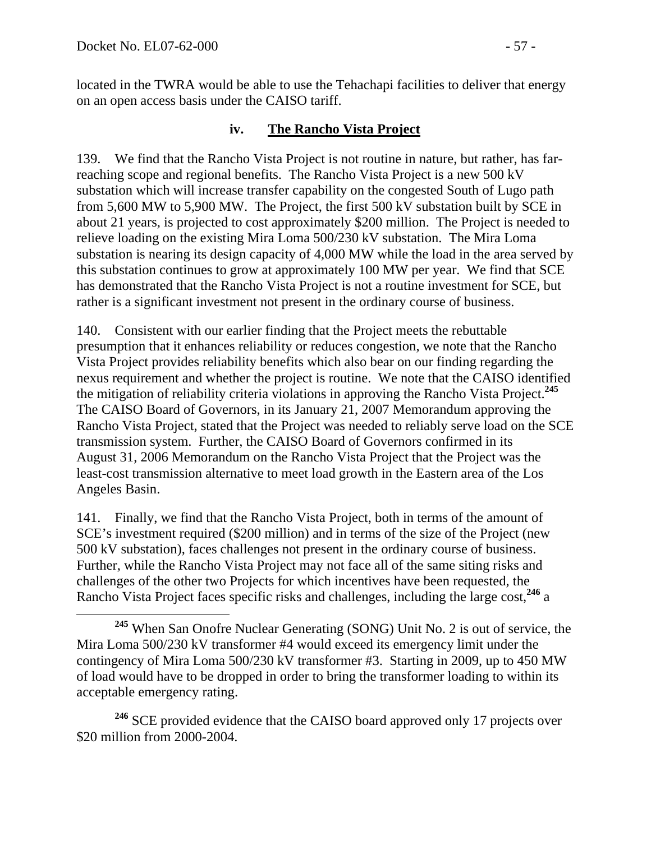located in the TWRA would be able to use the Tehachapi facilities to deliver that energy on an open access basis under the CAISO tariff.

#### **iv. The Rancho Vista Project**

139. We find that the Rancho Vista Project is not routine in nature, but rather, has farreaching scope and regional benefits. The Rancho Vista Project is a new 500 kV substation which will increase transfer capability on the congested South of Lugo path from 5,600 MW to 5,900 MW. The Project, the first 500 kV substation built by SCE in about 21 years, is projected to cost approximately \$200 million. The Project is needed to relieve loading on the existing Mira Loma 500/230 kV substation. The Mira Loma substation is nearing its design capacity of 4,000 MW while the load in the area served by this substation continues to grow at approximately 100 MW per year. We find that SCE has demonstrated that the Rancho Vista Project is not a routine investment for SCE, but rather is a significant investment not present in the ordinary course of business.

140. Consistent with our earlier finding that the Project meets the rebuttable presumption that it enhances reliability or reduces congestion, we note that the Rancho Vista Project provides reliability benefits which also bear on our finding regarding the nexus requirement and whether the project is routine. We note that the CAISO identified the mitigation of reliability criteria violations in approving the Rancho Vista Project.**<sup>245</sup>** The CAISO Board of Governors, in its January 21, 2007 Memorandum approving the Rancho Vista Project, stated that the Project was needed to reliably serve load on the SCE transmission system. Further, the CAISO Board of Governors confirmed in its August 31, 2006 Memorandum on the Rancho Vista Project that the Project was the least-cost transmission alternative to meet load growth in the Eastern area of the Los Angeles Basin.

141. Finally, we find that the Rancho Vista Project, both in terms of the amount of SCE's investment required (\$200 million) and in terms of the size of the Project (new 500 kV substation), faces challenges not present in the ordinary course of business. Further, while the Rancho Vista Project may not face all of the same siting risks and challenges of the other two Projects for which incentives have been requested, the Rancho Vista Project faces specific risks and challenges, including the large cost,**<sup>246</sup>** a

<sup>246</sup> SCE provided evidence that the CAISO board approved only 17 projects over \$20 million from 2000-2004.

**<sup>245</sup>** When San Onofre Nuclear Generating (SONG) Unit No. 2 is out of service, the Mira Loma 500/230 kV transformer #4 would exceed its emergency limit under the contingency of Mira Loma 500/230 kV transformer #3. Starting in 2009, up to 450 MW of load would have to be dropped in order to bring the transformer loading to within its acceptable emergency rating.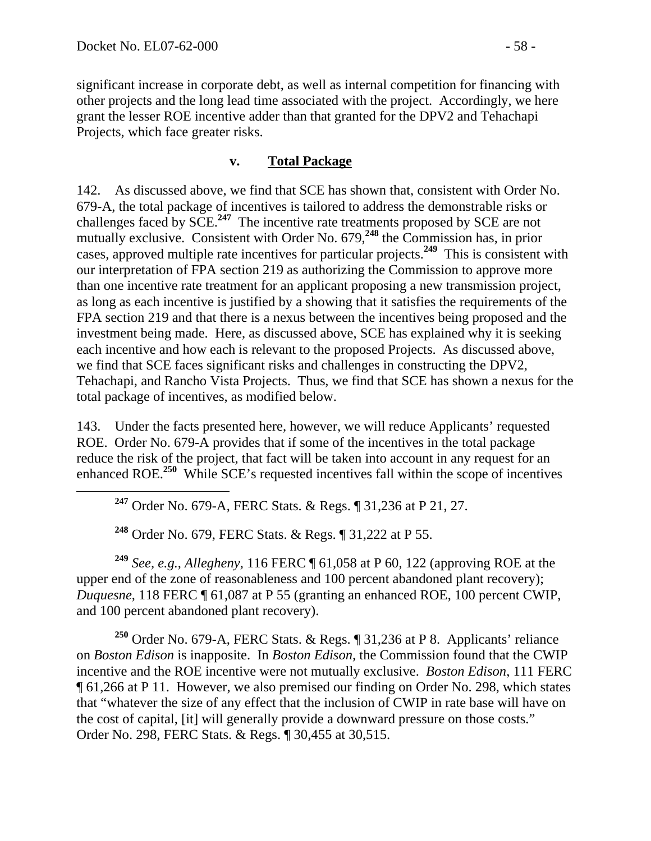significant increase in corporate debt, as well as internal competition for financing with other projects and the long lead time associated with the project. Accordingly, we here grant the lesser ROE incentive adder than that granted for the DPV2 and Tehachapi Projects, which face greater risks.

#### **v. Total Package**

142. As discussed above, we find that SCE has shown that, consistent with Order No. 679-A, the total package of incentives is tailored to address the demonstrable risks or challenges faced by SCE.**<sup>247</sup>** The incentive rate treatments proposed by SCE are not mutually exclusive. Consistent with Order No. 679,**<sup>248</sup>** the Commission has, in prior cases, approved multiple rate incentives for particular projects.**<sup>249</sup>** This is consistent with our interpretation of FPA section 219 as authorizing the Commission to approve more than one incentive rate treatment for an applicant proposing a new transmission project, as long as each incentive is justified by a showing that it satisfies the requirements of the FPA section 219 and that there is a nexus between the incentives being proposed and the investment being made. Here, as discussed above, SCE has explained why it is seeking each incentive and how each is relevant to the proposed Projects. As discussed above, we find that SCE faces significant risks and challenges in constructing the DPV2, Tehachapi, and Rancho Vista Projects. Thus, we find that SCE has shown a nexus for the total package of incentives, as modified below.

143. Under the facts presented here, however, we will reduce Applicants' requested ROE. Order No. 679-A provides that if some of the incentives in the total package reduce the risk of the project, that fact will be taken into account in any request for an enhanced ROE.**<sup>250</sup>** While SCE's requested incentives fall within the scope of incentives

**<sup>247</sup>** Order No. 679-A, FERC Stats. & Regs. ¶ 31,236 at P 21, 27.

**<sup>248</sup>** Order No. 679, FERC Stats. & Regs. ¶ 31,222 at P 55.

**<sup>249</sup>** *See, e.g.*, *Allegheny*, 116 FERC ¶ 61,058 at P 60, 122 (approving ROE at the upper end of the zone of reasonableness and 100 percent abandoned plant recovery); *Duquesne*, 118 FERC ¶ 61,087 at P 55 (granting an enhanced ROE, 100 percent CWIP, and 100 percent abandoned plant recovery).

**<sup>250</sup>** Order No. 679-A, FERC Stats. & Regs. ¶ 31,236 at P 8. Applicants' reliance on *Boston Edison* is inapposite. In *Boston Edison,* the Commission found that the CWIP incentive and the ROE incentive were not mutually exclusive. *Boston Edison*, 111 FERC ¶ 61,266 at P 11. However, we also premised our finding on Order No. 298, which states that "whatever the size of any effect that the inclusion of CWIP in rate base will have on the cost of capital, [it] will generally provide a downward pressure on those costs." Order No. 298, FERC Stats. & Regs. ¶ 30,455 at 30,515.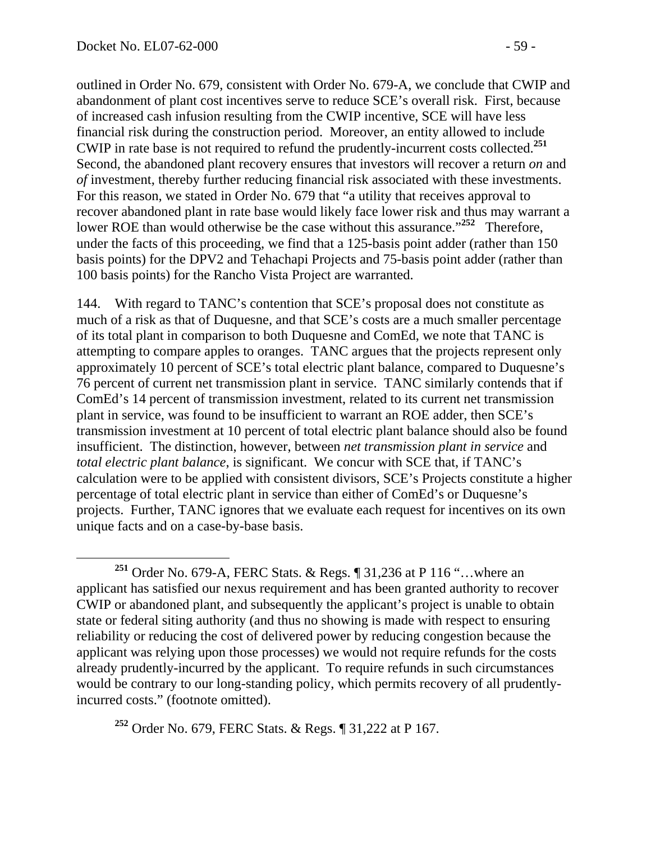outlined in Order No. 679, consistent with Order No. 679-A, we conclude that CWIP and abandonment of plant cost incentives serve to reduce SCE's overall risk. First, because of increased cash infusion resulting from the CWIP incentive, SCE will have less financial risk during the construction period. Moreover, an entity allowed to include CWIP in rate base is not required to refund the prudently-incurrent costs collected.**<sup>251</sup>** Second, the abandoned plant recovery ensures that investors will recover a return *on* and *of* investment, thereby further reducing financial risk associated with these investments. For this reason, we stated in Order No. 679 that "a utility that receives approval to recover abandoned plant in rate base would likely face lower risk and thus may warrant a lower ROE than would otherwise be the case without this assurance."<sup>252</sup> Therefore, under the facts of this proceeding, we find that a 125-basis point adder (rather than 150 basis points) for the DPV2 and Tehachapi Projects and 75-basis point adder (rather than 100 basis points) for the Rancho Vista Project are warranted.

144. With regard to TANC's contention that SCE's proposal does not constitute as much of a risk as that of Duquesne, and that SCE's costs are a much smaller percentage of its total plant in comparison to both Duquesne and ComEd, we note that TANC is attempting to compare apples to oranges. TANC argues that the projects represent only approximately 10 percent of SCE's total electric plant balance, compared to Duquesne's 76 percent of current net transmission plant in service. TANC similarly contends that if ComEd's 14 percent of transmission investment, related to its current net transmission plant in service, was found to be insufficient to warrant an ROE adder, then SCE's transmission investment at 10 percent of total electric plant balance should also be found insufficient. The distinction, however, between *net transmission plant in service* and *total electric plant balance*, is significant. We concur with SCE that, if TANC's calculation were to be applied with consistent divisors, SCE's Projects constitute a higher percentage of total electric plant in service than either of ComEd's or Duquesne's projects. Further, TANC ignores that we evaluate each request for incentives on its own unique facts and on a case-by-base basis.

**<sup>252</sup>** Order No. 679, FERC Stats. & Regs. ¶ 31,222 at P 167.

**<sup>251</sup>** Order No. 679-A, FERC Stats. & Regs. ¶ 31,236 at P 116 "…where an applicant has satisfied our nexus requirement and has been granted authority to recover CWIP or abandoned plant, and subsequently the applicant's project is unable to obtain state or federal siting authority (and thus no showing is made with respect to ensuring reliability or reducing the cost of delivered power by reducing congestion because the applicant was relying upon those processes) we would not require refunds for the costs already prudently-incurred by the applicant. To require refunds in such circumstances would be contrary to our long-standing policy, which permits recovery of all prudentlyincurred costs." (footnote omitted).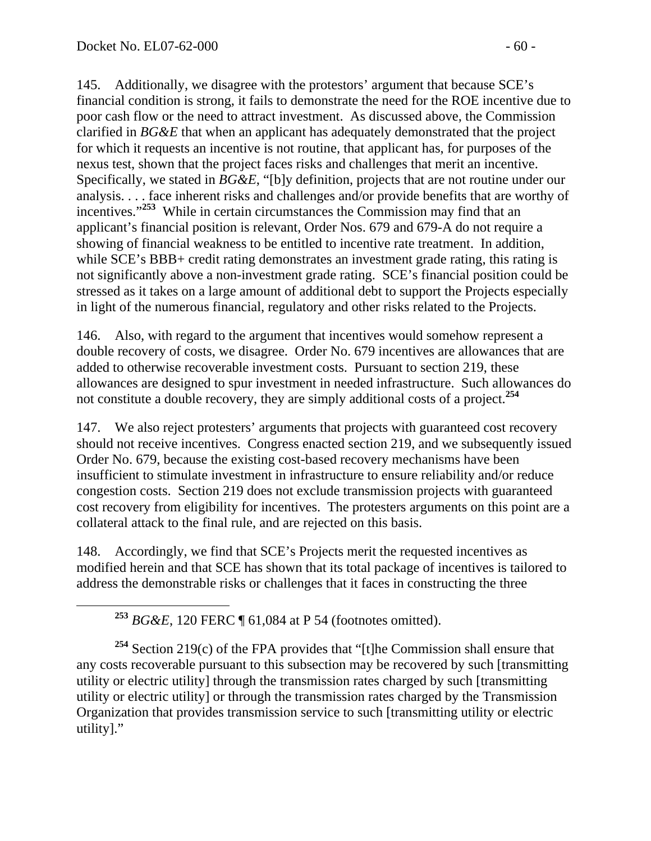145. Additionally, we disagree with the protestors' argument that because SCE's financial condition is strong, it fails to demonstrate the need for the ROE incentive due to poor cash flow or the need to attract investment. As discussed above, the Commission clarified in *BG&E* that when an applicant has adequately demonstrated that the project for which it requests an incentive is not routine, that applicant has, for purposes of the nexus test, shown that the project faces risks and challenges that merit an incentive. Specifically, we stated in *BG&E*, "[b]y definition, projects that are not routine under our analysis. . . . face inherent risks and challenges and/or provide benefits that are worthy of incentives."**<sup>253</sup>** While in certain circumstances the Commission may find that an applicant's financial position is relevant, Order Nos. 679 and 679-A do not require a showing of financial weakness to be entitled to incentive rate treatment. In addition, while SCE's BBB+ credit rating demonstrates an investment grade rating, this rating is not significantly above a non-investment grade rating. SCE's financial position could be stressed as it takes on a large amount of additional debt to support the Projects especially in light of the numerous financial, regulatory and other risks related to the Projects.

146. Also, with regard to the argument that incentives would somehow represent a double recovery of costs, we disagree. Order No. 679 incentives are allowances that are added to otherwise recoverable investment costs. Pursuant to section 219, these allowances are designed to spur investment in needed infrastructure. Such allowances do not constitute a double recovery, they are simply additional costs of a project.**<sup>254</sup>**

147. We also reject protesters' arguments that projects with guaranteed cost recovery should not receive incentives. Congress enacted section 219, and we subsequently issued Order No. 679, because the existing cost-based recovery mechanisms have been insufficient to stimulate investment in infrastructure to ensure reliability and/or reduce congestion costs. Section 219 does not exclude transmission projects with guaranteed cost recovery from eligibility for incentives. The protesters arguments on this point are a collateral attack to the final rule, and are rejected on this basis.

148. Accordingly, we find that SCE's Projects merit the requested incentives as modified herein and that SCE has shown that its total package of incentives is tailored to address the demonstrable risks or challenges that it faces in constructing the three

**<sup>253</sup>** *BG&E*, 120 FERC ¶ 61,084 at P 54 (footnotes omitted).

**<sup>254</sup>** Section 219(c) of the FPA provides that "[t]he Commission shall ensure that any costs recoverable pursuant to this subsection may be recovered by such [transmitting utility or electric utility] through the transmission rates charged by such [transmitting utility or electric utility] or through the transmission rates charged by the Transmission Organization that provides transmission service to such [transmitting utility or electric utility]."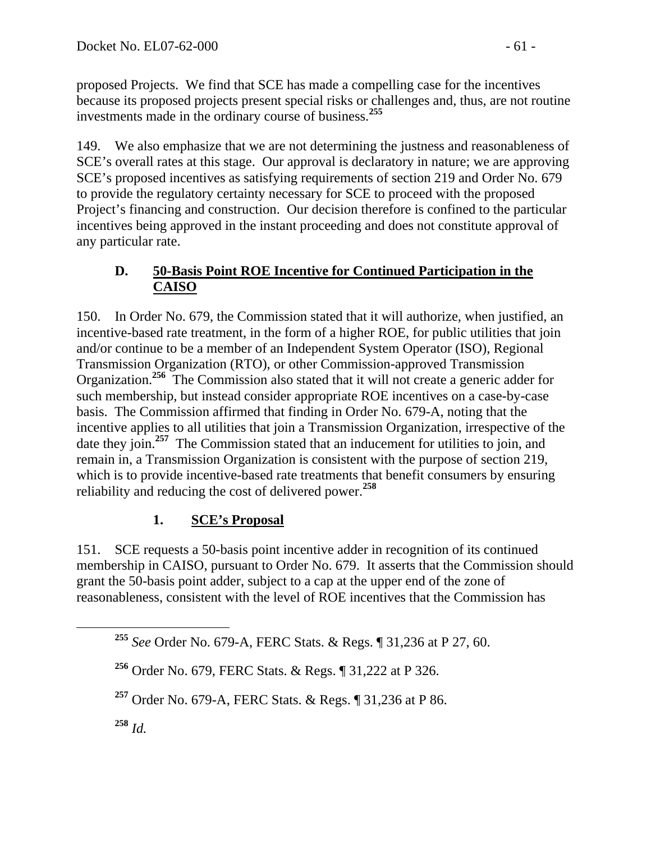proposed Projects. We find that SCE has made a compelling case for the incentives because its proposed projects present special risks or challenges and, thus, are not routine investments made in the ordinary course of business.**<sup>255</sup>**

149. We also emphasize that we are not determining the justness and reasonableness of SCE's overall rates at this stage. Our approval is declaratory in nature; we are approving SCE's proposed incentives as satisfying requirements of section 219 and Order No. 679 to provide the regulatory certainty necessary for SCE to proceed with the proposed Project's financing and construction. Our decision therefore is confined to the particular incentives being approved in the instant proceeding and does not constitute approval of any particular rate.

# **D. 50-Basis Point ROE Incentive for Continued Participation in the CAISO**

150. In Order No. 679, the Commission stated that it will authorize, when justified, an incentive-based rate treatment, in the form of a higher ROE, for public utilities that join and/or continue to be a member of an Independent System Operator (ISO), Regional Transmission Organization (RTO), or other Commission-approved Transmission Organization.**<sup>256</sup>** The Commission also stated that it will not create a generic adder for such membership, but instead consider appropriate ROE incentives on a case-by-case basis. The Commission affirmed that finding in Order No. 679-A, noting that the incentive applies to all utilities that join a Transmission Organization, irrespective of the date they join.<sup>257</sup> The Commission stated that an inducement for utilities to join, and remain in, a Transmission Organization is consistent with the purpose of section 219, which is to provide incentive-based rate treatments that benefit consumers by ensuring reliability and reducing the cost of delivered power.**<sup>258</sup>**

# **1. SCE's Proposal**

151. SCE requests a 50-basis point incentive adder in recognition of its continued membership in CAISO, pursuant to Order No. 679. It asserts that the Commission should grant the 50-basis point adder, subject to a cap at the upper end of the zone of reasonableness, consistent with the level of ROE incentives that the Commission has

**<sup>255</sup>** *See* Order No. 679-A, FERC Stats. & Regs. ¶ 31,236 at P 27, 60.

**<sup>256</sup>** Order No. 679, FERC Stats. & Regs. ¶ 31,222 at P 326.

**<sup>257</sup>** Order No. 679-A, FERC Stats. & Regs. ¶ 31,236 at P 86.

**<sup>258</sup>** *Id.*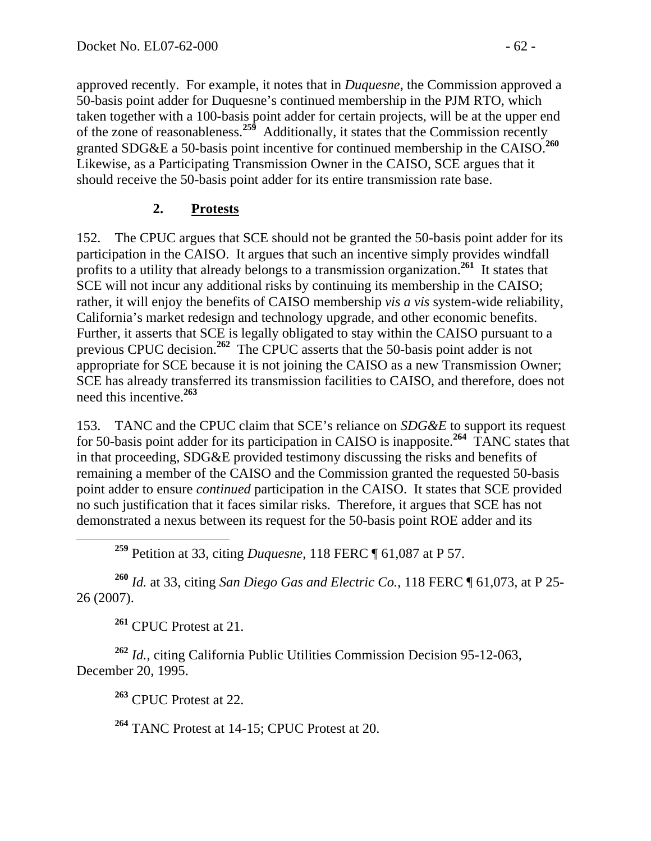approved recently. For example, it notes that in *Duquesne*, the Commission approved a 50-basis point adder for Duquesne's continued membership in the PJM RTO, which taken together with a 100-basis point adder for certain projects, will be at the upper end of the zone of reasonableness.**<sup>259</sup>**Additionally, it states that the Commission recently granted SDG&E a 50-basis point incentive for continued membership in the CAISO.**<sup>260</sup>** Likewise, as a Participating Transmission Owner in the CAISO, SCE argues that it should receive the 50-basis point adder for its entire transmission rate base.

# **2. Protests**

152. The CPUC argues that SCE should not be granted the 50-basis point adder for its participation in the CAISO. It argues that such an incentive simply provides windfall profits to a utility that already belongs to a transmission organization.**<sup>261</sup>** It states that SCE will not incur any additional risks by continuing its membership in the CAISO; rather, it will enjoy the benefits of CAISO membership *vis a vis* system-wide reliability, California's market redesign and technology upgrade, and other economic benefits. Further, it asserts that SCE is legally obligated to stay within the CAISO pursuant to a previous CPUC decision.**<sup>262</sup>** The CPUC asserts that the 50-basis point adder is not appropriate for SCE because it is not joining the CAISO as a new Transmission Owner; SCE has already transferred its transmission facilities to CAISO, and therefore, does not need this incentive.**<sup>263</sup>**

153. TANC and the CPUC claim that SCE's reliance on *SDG&E* to support its request for 50-basis point adder for its participation in CAISO is inapposite.**<sup>264</sup>** TANC states that in that proceeding, SDG&E provided testimony discussing the risks and benefits of remaining a member of the CAISO and the Commission granted the requested 50-basis point adder to ensure *continued* participation in the CAISO. It states that SCE provided no such justification that it faces similar risks. Therefore, it argues that SCE has not demonstrated a nexus between its request for the 50-basis point ROE adder and its

**<sup>259</sup>** Petition at 33, citing *Duquesne*, 118 FERC ¶ 61,087 at P 57.

**<sup>260</sup>** *Id.* at 33, citing *San Diego Gas and Electric Co.*, 118 FERC ¶ 61,073, at P 25- 26 (2007).

**<sup>261</sup>** CPUC Protest at 21.

**<sup>262</sup>** *Id.*, citing California Public Utilities Commission Decision 95-12-063, December 20, 1995.

**<sup>263</sup>** CPUC Protest at 22.

**<sup>264</sup>** TANC Protest at 14-15; CPUC Protest at 20.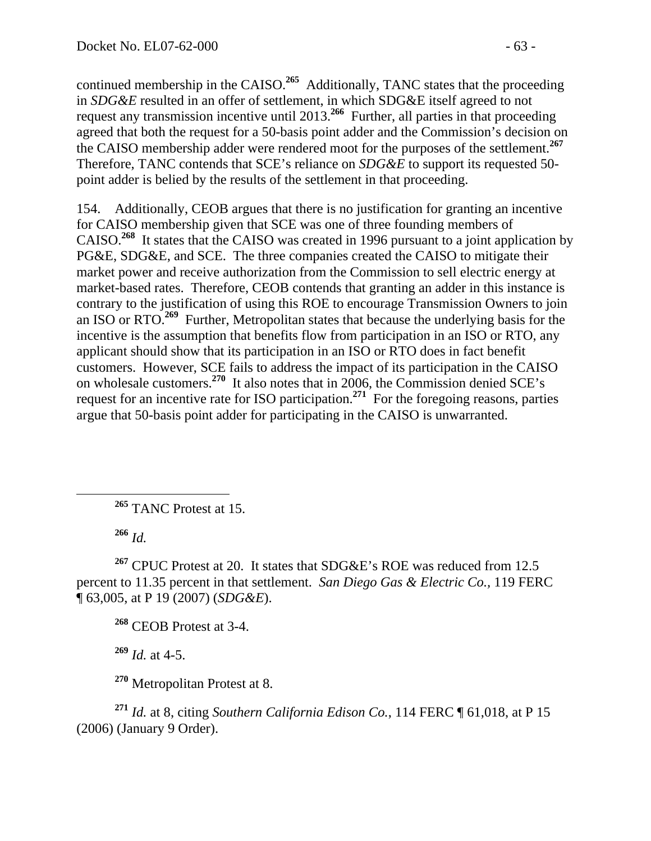continued membership in the CAISO.<sup>265</sup> Additionally, TANC states that the proceeding in *SDG&E* resulted in an offer of settlement, in which SDG&E itself agreed to not request any transmission incentive until 2013.**<sup>266</sup>** Further, all parties in that proceeding agreed that both the request for a 50-basis point adder and the Commission's decision on the CAISO membership adder were rendered moot for the purposes of the settlement.**<sup>267</sup>** Therefore, TANC contends that SCE's reliance on *SDG&E* to support its requested 50 point adder is belied by the results of the settlement in that proceeding.

154. Additionally, CEOB argues that there is no justification for granting an incentive for CAISO membership given that SCE was one of three founding members of CAISO.**<sup>268</sup>** It states that the CAISO was created in 1996 pursuant to a joint application by PG&E, SDG&E, and SCE. The three companies created the CAISO to mitigate their market power and receive authorization from the Commission to sell electric energy at market-based rates. Therefore, CEOB contends that granting an adder in this instance is contrary to the justification of using this ROE to encourage Transmission Owners to join an ISO or RTO.**<sup>269</sup>** Further, Metropolitan states that because the underlying basis for the incentive is the assumption that benefits flow from participation in an ISO or RTO, any applicant should show that its participation in an ISO or RTO does in fact benefit customers. However, SCE fails to address the impact of its participation in the CAISO on wholesale customers.**<sup>270</sup>** It also notes that in 2006, the Commission denied SCE's request for an incentive rate for ISO participation.**<sup>271</sup>** For the foregoing reasons, parties argue that 50-basis point adder for participating in the CAISO is unwarranted.

**<sup>265</sup>** TANC Protest at 15.

**<sup>266</sup>** *Id.*

<sup>267</sup> CPUC Protest at 20. It states that SDG&E's ROE was reduced from 12.5 percent to 11.35 percent in that settlement. *San Diego Gas & Electric Co.,* 119 FERC ¶ 63,005, at P 19 (2007) (*SDG&E*).

**<sup>268</sup>** CEOB Protest at 3-4.

**<sup>269</sup>** *Id.* at 4-5.

**<sup>270</sup>** Metropolitan Protest at 8.

**<sup>271</sup>** *Id.* at 8, citing *Southern California Edison Co.*, 114 FERC ¶ 61,018, at P 15 (2006) (January 9 Order).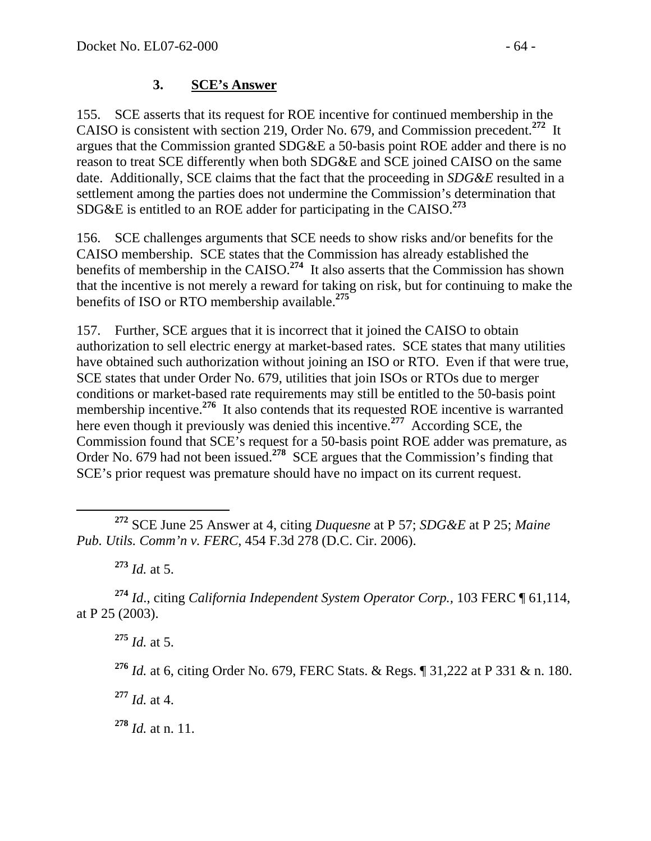## **3. SCE's Answer**

155. SCE asserts that its request for ROE incentive for continued membership in the CAISO is consistent with section 219, Order No. 679, and Commission precedent.**<sup>272</sup>** It argues that the Commission granted SDG&E a 50-basis point ROE adder and there is no reason to treat SCE differently when both SDG&E and SCE joined CAISO on the same date. Additionally, SCE claims that the fact that the proceeding in *SDG&E* resulted in a settlement among the parties does not undermine the Commission's determination that SDG&E is entitled to an ROE adder for participating in the CAISO.**<sup>273</sup>**

156. SCE challenges arguments that SCE needs to show risks and/or benefits for the CAISO membership. SCE states that the Commission has already established the benefits of membership in the CAISO.**<sup>274</sup>** It also asserts that the Commission has shown that the incentive is not merely a reward for taking on risk, but for continuing to make the benefits of ISO or RTO membership available.**<sup>275</sup>**

157. Further, SCE argues that it is incorrect that it joined the CAISO to obtain authorization to sell electric energy at market-based rates. SCE states that many utilities have obtained such authorization without joining an ISO or RTO. Even if that were true, SCE states that under Order No. 679, utilities that join ISOs or RTOs due to merger conditions or market-based rate requirements may still be entitled to the 50-basis point membership incentive.**<sup>276</sup>** It also contends that its requested ROE incentive is warranted here even though it previously was denied this incentive.<sup>277</sup> According SCE, the Commission found that SCE's request for a 50-basis point ROE adder was premature, as Order No. 679 had not been issued.**<sup>278</sup>** SCE argues that the Commission's finding that SCE's prior request was premature should have no impact on its current request.

**<sup>273</sup>** *Id.* at 5.

**<sup>274</sup>** *Id*., citing *California Independent System Operator Corp.,* 103 FERC ¶ 61,114, at P 25 (2003).

**<sup>275</sup>** *Id.* at 5.

**<sup>277</sup>** *Id.* at 4.

**<sup>278</sup>** *Id.* at n. 11.

**<sup>272</sup>** SCE June 25 Answer at 4, citing *Duquesne* at P 57; *SDG&E* at P 25; *Maine Pub. Utils. Comm'n v. FERC*, 454 F.3d 278 (D.C. Cir. 2006).

**<sup>276</sup>** *Id.* at 6, citing Order No. 679, FERC Stats. & Regs. ¶ 31,222 at P 331 & n. 180.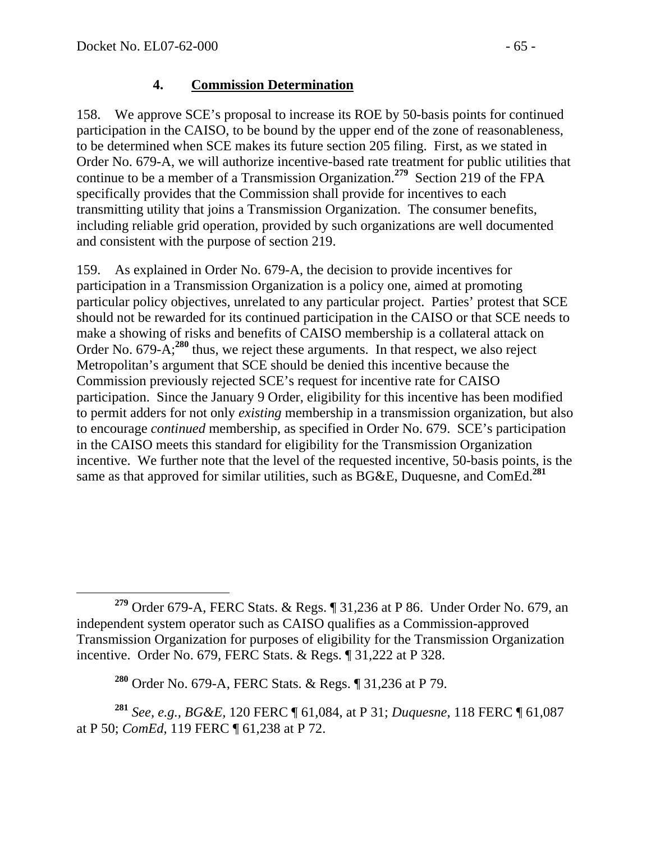## **4. Commission Determination**

158. We approve SCE's proposal to increase its ROE by 50-basis points for continued participation in the CAISO, to be bound by the upper end of the zone of reasonableness, to be determined when SCE makes its future section 205 filing. First, as we stated in Order No. 679-A, we will authorize incentive-based rate treatment for public utilities that continue to be a member of a Transmission Organization.**<sup>279</sup>** Section 219 of the FPA specifically provides that the Commission shall provide for incentives to each transmitting utility that joins a Transmission Organization. The consumer benefits, including reliable grid operation, provided by such organizations are well documented and consistent with the purpose of section 219.

159. As explained in Order No. 679-A, the decision to provide incentives for participation in a Transmission Organization is a policy one, aimed at promoting particular policy objectives, unrelated to any particular project. Parties' protest that SCE should not be rewarded for its continued participation in the CAISO or that SCE needs to make a showing of risks and benefits of CAISO membership is a collateral attack on Order No. 679-A;**<sup>280</sup>** thus, we reject these arguments. In that respect, we also reject Metropolitan's argument that SCE should be denied this incentive because the Commission previously rejected SCE's request for incentive rate for CAISO participation. Since the January 9 Order, eligibility for this incentive has been modified to permit adders for not only *existing* membership in a transmission organization, but also to encourage *continued* membership, as specified in Order No. 679. SCE's participation in the CAISO meets this standard for eligibility for the Transmission Organization incentive. We further note that the level of the requested incentive, 50-basis points, is the same as that approved for similar utilities, such as BG&E, Duquesne, and ComEd.**<sup>281</sup>**

**<sup>279</sup>** Order 679-A, FERC Stats. & Regs. ¶ 31,236 at P 86. Under Order No. 679, an independent system operator such as CAISO qualifies as a Commission-approved Transmission Organization for purposes of eligibility for the Transmission Organization incentive. Order No. 679, FERC Stats. & Regs. ¶ 31,222 at P 328.

**<sup>280</sup>** Order No. 679-A, FERC Stats. & Regs. ¶ 31,236 at P 79.

**<sup>281</sup>** *See, e.g., BG&E,* 120 FERC ¶ 61,084, at P 31; *Duquesne*, 118 FERC ¶ 61,087 at P 50; *ComEd*, 119 FERC ¶ 61,238 at P 72.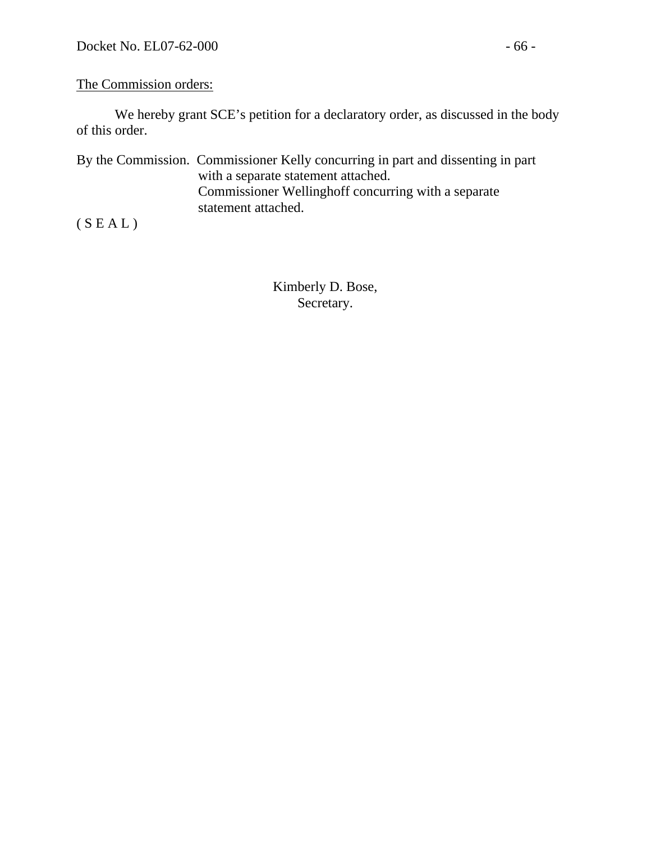#### The Commission orders:

 We hereby grant SCE's petition for a declaratory order, as discussed in the body of this order.

By the Commission. Commissioner Kelly concurring in part and dissenting in part with a separate statement attached. Commissioner Wellinghoff concurring with a separate statement attached.

 $(S E A L)$ 

Kimberly D. Bose, Secretary.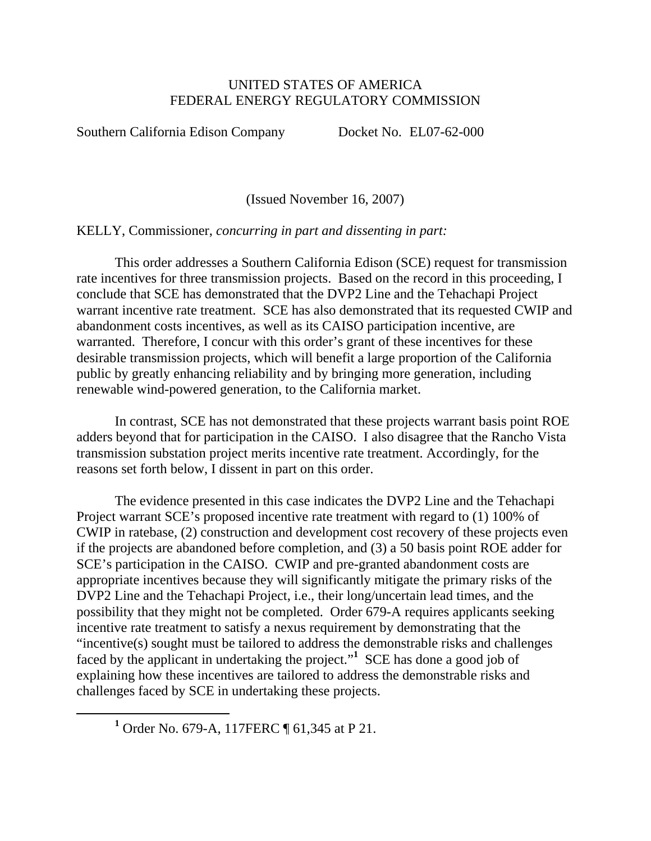#### UNITED STATES OF AMERICA FEDERAL ENERGY REGULATORY COMMISSION

Southern California Edison Company Docket No. EL07-62-000

(Issued November 16, 2007)

KELLY, Commissioner, *concurring in part and dissenting in part:* 

This order addresses a Southern California Edison (SCE) request for transmission rate incentives for three transmission projects. Based on the record in this proceeding, I conclude that SCE has demonstrated that the DVP2 Line and the Tehachapi Project warrant incentive rate treatment. SCE has also demonstrated that its requested CWIP and abandonment costs incentives, as well as its CAISO participation incentive, are warranted. Therefore, I concur with this order's grant of these incentives for these desirable transmission projects, which will benefit a large proportion of the California public by greatly enhancing reliability and by bringing more generation, including renewable wind-powered generation, to the California market.

In contrast, SCE has not demonstrated that these projects warrant basis point ROE adders beyond that for participation in the CAISO. I also disagree that the Rancho Vista transmission substation project merits incentive rate treatment. Accordingly, for the reasons set forth below, I dissent in part on this order.

The evidence presented in this case indicates the DVP2 Line and the Tehachapi Project warrant SCE's proposed incentive rate treatment with regard to (1) 100% of CWIP in ratebase, (2) construction and development cost recovery of these projects even if the projects are abandoned before completion, and (3) a 50 basis point ROE adder for SCE's participation in the CAISO. CWIP and pre-granted abandonment costs are appropriate incentives because they will significantly mitigate the primary risks of the DVP2 Line and the Tehachapi Project, i.e., their long/uncertain lead times, and the possibility that they might not be completed. Order 679-A requires applicants seeking incentive rate treatment to satisfy a nexus requirement by demonstrating that the "incentive(s) sought must be tailored to address the demonstrable risks and challenges faced by the applicant in undertaking the project."**<sup>1</sup>** SCE has done a good job of explaining how these incentives are tailored to address the demonstrable risks and challenges faced by SCE in undertaking these projects.

<sup>&</sup>lt;u>1</u> <sup>1</sup> Order No. 679-A, 117FERC ¶ 61,345 at P 21.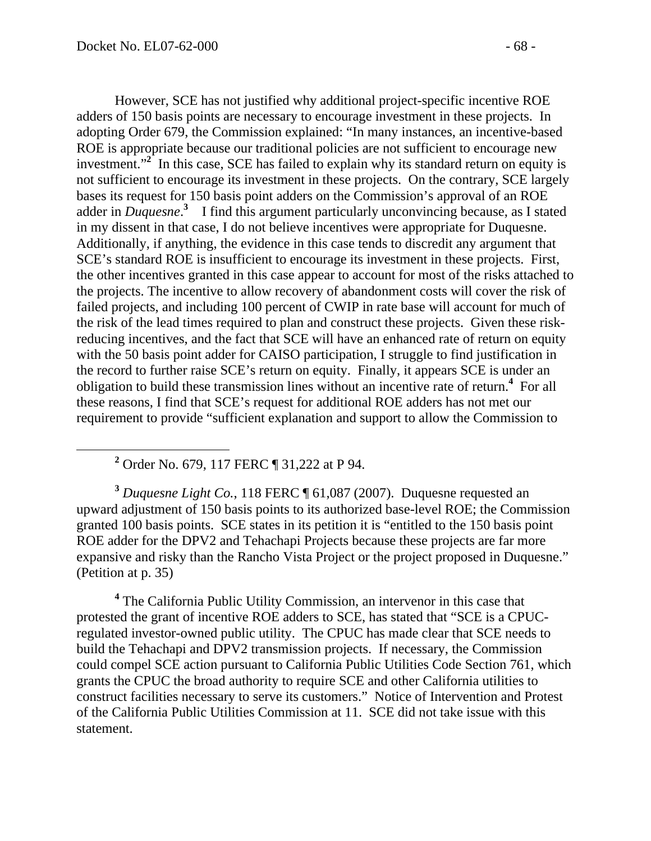However, SCE has not justified why additional project-specific incentive ROE adders of 150 basis points are necessary to encourage investment in these projects. In adopting Order 679, the Commission explained: "In many instances, an incentive-based ROE is appropriate because our traditional policies are not sufficient to encourage new investment."<sup>2</sup> In this case, SCE has failed to explain why its standard return on equity is not sufficient to encourage its investment in these projects. On the contrary, SCE largely bases its request for 150 basis point adders on the Commission's approval of an ROE adder in *Duquesne*.<sup>3</sup> I find this argument particularly unconvincing because, as I stated in my dissent in that case, I do not believe incentives were appropriate for Duquesne. Additionally, if anything, the evidence in this case tends to discredit any argument that SCE's standard ROE is insufficient to encourage its investment in these projects. First, the other incentives granted in this case appear to account for most of the risks attached to the projects. The incentive to allow recovery of abandonment costs will cover the risk of failed projects, and including 100 percent of CWIP in rate base will account for much of the risk of the lead times required to plan and construct these projects. Given these riskreducing incentives, and the fact that SCE will have an enhanced rate of return on equity with the 50 basis point adder for CAISO participation, I struggle to find justification in the record to further raise SCE's return on equity. Finally, it appears SCE is under an obligation to build these transmission lines without an incentive rate of return.**<sup>4</sup>** For all these reasons, I find that SCE's request for additional ROE adders has not met our requirement to provide "sufficient explanation and support to allow the Commission to

 **<sup>2</sup>** <sup>2</sup> Order No. 679, 117 FERC ¶ 31,222 at P 94.

**<sup>3</sup>** *Duquesne Light Co.*, 118 FERC ¶ 61,087 (2007). Duquesne requested an upward adjustment of 150 basis points to its authorized base-level ROE; the Commission granted 100 basis points. SCE states in its petition it is "entitled to the 150 basis point ROE adder for the DPV2 and Tehachapi Projects because these projects are far more expansive and risky than the Rancho Vista Project or the project proposed in Duquesne." (Petition at p. 35)

<sup>4</sup> The California Public Utility Commission, an intervenor in this case that protested the grant of incentive ROE adders to SCE, has stated that "SCE is a CPUCregulated investor-owned public utility. The CPUC has made clear that SCE needs to build the Tehachapi and DPV2 transmission projects. If necessary, the Commission could compel SCE action pursuant to California Public Utilities Code Section 761, which grants the CPUC the broad authority to require SCE and other California utilities to construct facilities necessary to serve its customers." Notice of Intervention and Protest of the California Public Utilities Commission at 11. SCE did not take issue with this statement.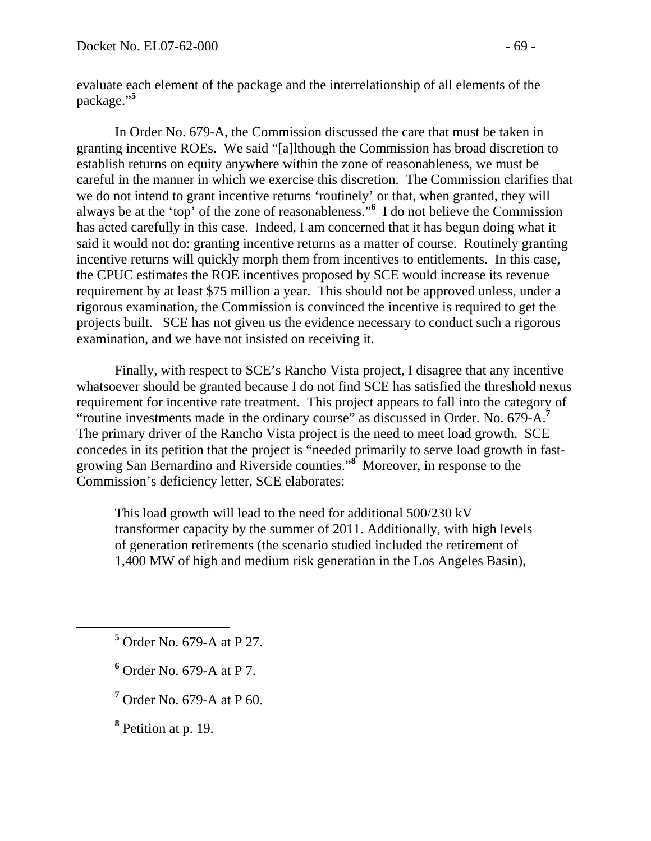evaluate each element of the package and the interrelationship of all elements of the package."**<sup>5</sup>**

In Order No. 679-A, the Commission discussed the care that must be taken in granting incentive ROEs. We said "[a]lthough the Commission has broad discretion to establish returns on equity anywhere within the zone of reasonableness, we must be careful in the manner in which we exercise this discretion. The Commission clarifies that we do not intend to grant incentive returns 'routinely' or that, when granted, they will always be at the 'top' of the zone of reasonableness."**<sup>6</sup>** I do not believe the Commission has acted carefully in this case. Indeed, I am concerned that it has begun doing what it said it would not do: granting incentive returns as a matter of course. Routinely granting incentive returns will quickly morph them from incentives to entitlements. In this case, the CPUC estimates the ROE incentives proposed by SCE would increase its revenue requirement by at least \$75 million a year. This should not be approved unless, under a rigorous examination, the Commission is convinced the incentive is required to get the projects built. SCE has not given us the evidence necessary to conduct such a rigorous examination, and we have not insisted on receiving it.

Finally, with respect to SCE's Rancho Vista project, I disagree that any incentive whatsoever should be granted because I do not find SCE has satisfied the threshold nexus requirement for incentive rate treatment. This project appears to fall into the category of "routine investments made in the ordinary course" as discussed in Order. No. 679-A.**<sup>7</sup>** The primary driver of the Rancho Vista project is the need to meet load growth. SCE concedes in its petition that the project is "needed primarily to serve load growth in fastgrowing San Bernardino and Riverside counties."**<sup>8</sup>** Moreover, in response to the Commission's deficiency letter, SCE elaborates:

This load growth will lead to the need for additional 500/230 kV transformer capacity by the summer of 2011. Additionally, with high levels of generation retirements (the scenario studied included the retirement of 1,400 MW of high and medium risk generation in the Los Angeles Basin),

- **<sup>5</sup>** <sup>5</sup> Order No. 679-A at P 27.
	- **6** Order No. 679-A at P 7.
	- **7** Order No. 679-A at P 60.
	- **8** Petition at p. 19.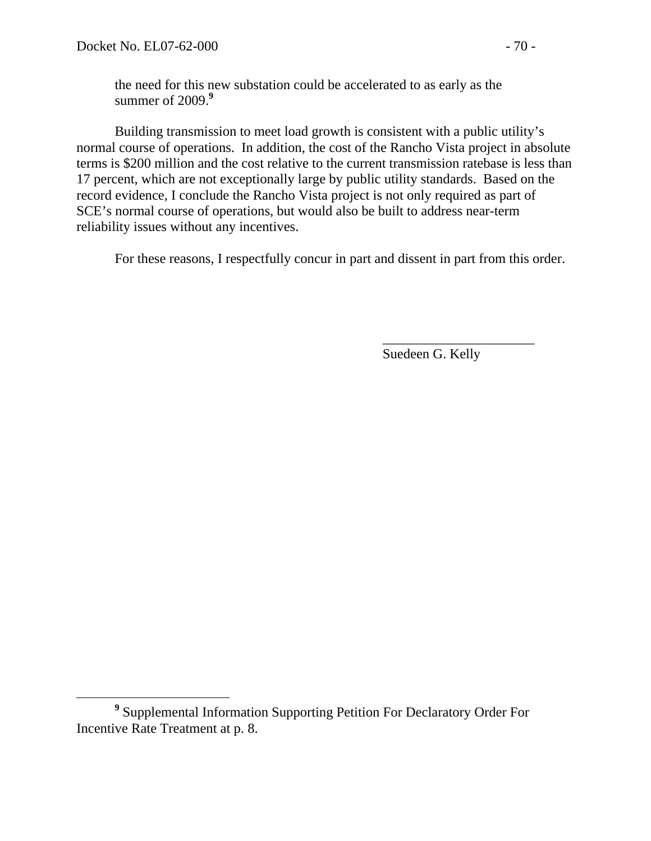the need for this new substation could be accelerated to as early as the summer of 2009.**<sup>9</sup>**

Building transmission to meet load growth is consistent with a public utility's normal course of operations. In addition, the cost of the Rancho Vista project in absolute terms is \$200 million and the cost relative to the current transmission ratebase is less than 17 percent, which are not exceptionally large by public utility standards. Based on the record evidence, I conclude the Rancho Vista project is not only required as part of SCE's normal course of operations, but would also be built to address near-term reliability issues without any incentives.

For these reasons, I respectfully concur in part and dissent in part from this order.

 $\overline{\phantom{a}}$  , which is a set of the contract of the contract of the contract of the contract of the contract of the contract of the contract of the contract of the contract of the contract of the contract of the contract

Suedeen G. Kelly

**<sup>9</sup>** Supplemental Information Supporting Petition For Declaratory Order For Incentive Rate Treatment at p. 8.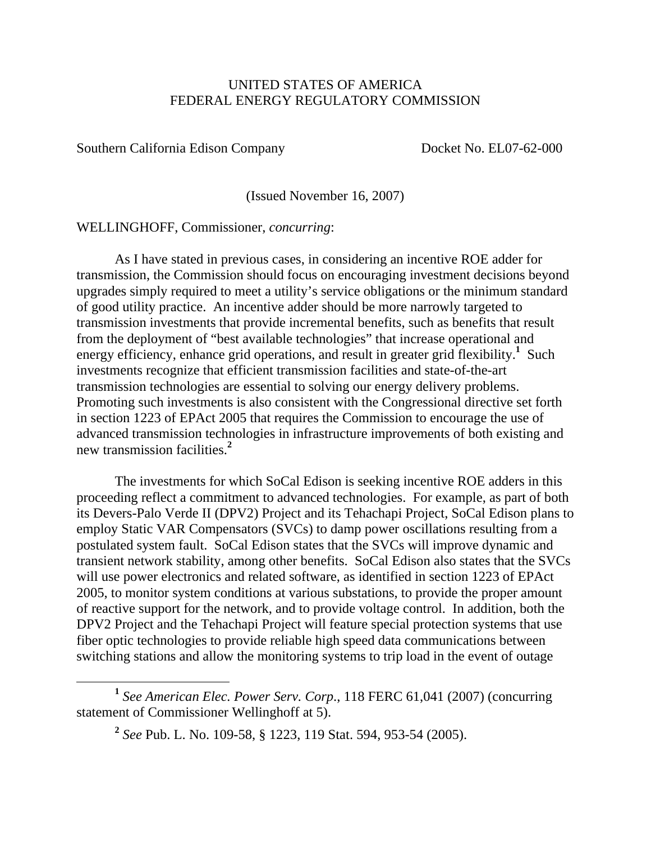#### UNITED STATES OF AMERICA FEDERAL ENERGY REGULATORY COMMISSION

Southern California Edison Company Docket No. EL07-62-000

(Issued November 16, 2007)

WELLINGHOFF, Commissioner, *concurring*:

 As I have stated in previous cases, in considering an incentive ROE adder for transmission, the Commission should focus on encouraging investment decisions beyond upgrades simply required to meet a utility's service obligations or the minimum standard of good utility practice. An incentive adder should be more narrowly targeted to transmission investments that provide incremental benefits, such as benefits that result from the deployment of "best available technologies" that increase operational and energy efficiency, enhance grid operations, and result in greater grid flexibility.<sup>1</sup> Such investments recognize that efficient transmission facilities and state-of-the-art transmission technologies are essential to solving our energy delivery problems. Promoting such investments is also consistent with the Congressional directive set forth in section 1223 of EPAct 2005 that requires the Commission to encourage the use of advanced transmission technologies in infrastructure improvements of both existing and new transmission facilities.**<sup>2</sup>**

 The investments for which SoCal Edison is seeking incentive ROE adders in this proceeding reflect a commitment to advanced technologies. For example, as part of both its Devers-Palo Verde II (DPV2) Project and its Tehachapi Project, SoCal Edison plans to employ Static VAR Compensators (SVCs) to damp power oscillations resulting from a postulated system fault. SoCal Edison states that the SVCs will improve dynamic and transient network stability, among other benefits. SoCal Edison also states that the SVCs will use power electronics and related software, as identified in section 1223 of EPAct 2005, to monitor system conditions at various substations, to provide the proper amount of reactive support for the network, and to provide voltage control. In addition, both the DPV2 Project and the Tehachapi Project will feature special protection systems that use fiber optic technologies to provide reliable high speed data communications between switching stations and allow the monitoring systems to trip load in the event of outage

**<sup>1</sup>** *See American Elec. Power Serv. Corp*., 118 FERC 61,041 (2007) (concurring statement of Commissioner Wellinghoff at 5).

**<sup>2</sup>** *See* Pub. L. No. 109-58, § 1223, 119 Stat. 594, 953-54 (2005).